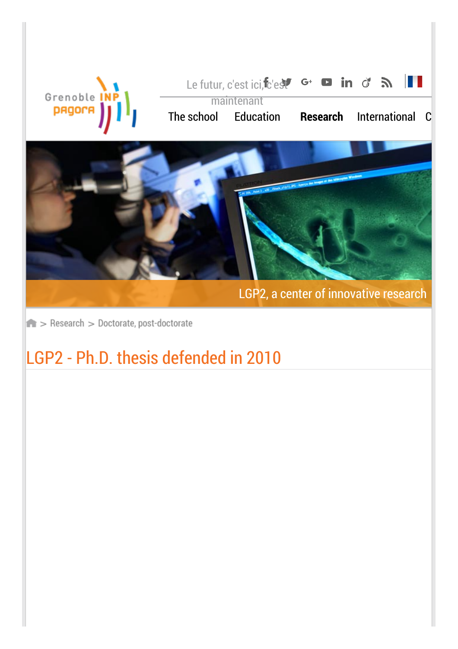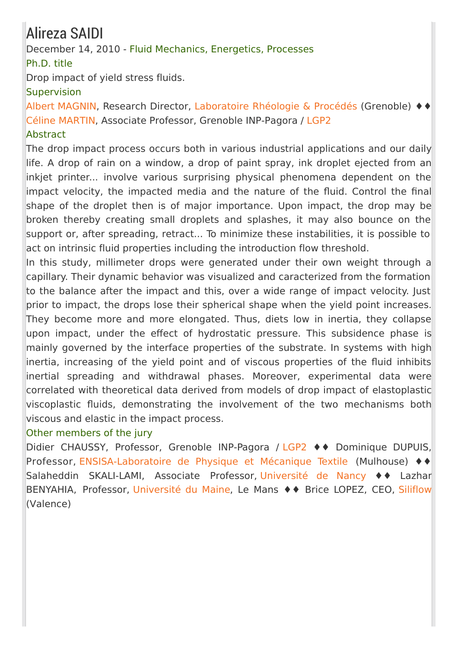### Alireza SAIDI

December 14, 2010 - Fluid Mechanics, Energetics, Processes

Ph.D. title

Drop impact of yield stress fluids.

#### **Supervision**

Albert [MAGNIN](http://rheologie.ujf-grenoble.fr/spip.php?article43), Research Director, [Laboratoire](http://www.laboratoire-rheologie-et-procedes.fr/) Rhéologie & Procédés (Grenoble) ♦♦ Céline [MARTIN](http://pagora.grenoble-inp.fr/fr/annuaire/martin-celine), Associate Professor, Grenoble INP-Pagora / [LGP2](http://pagora.grenoble-inp.fr/fr/recherche)

#### **Abstract**

The drop impact process occurs both in various industrial applications and our daily life. A drop of rain on a window, a drop of paint spray, ink droplet ejected from an inkjet printer... involve various surprising physical phenomena dependent on the impact velocity, the impacted media and the nature of the fluid. Control the final shape of the droplet then is of major importance. Upon impact, the drop may be broken thereby creating small droplets and splashes, it may also bounce on the support or, after spreading, retract... To minimize these instabilities, it is possible to act on intrinsic fluid properties including the introduction flow threshold.

In this study, millimeter drops were generated under their own weight through a capillary. Their dynamic behavior was visualized and caracterized from the formation to the balance after the impact and this, over a wide range of impact velocity. Just prior to impact, the drops lose their spherical shape when the yield point increases. They become more and more elongated. Thus, diets low in inertia, they collapse upon impact, under the effect of hydrostatic pressure. This subsidence phase is mainly governed by the interface properties of the substrate. In systems with high inertia, increasing of the yield point and of viscous properties of the fluid inhibits inertial spreading and withdrawal phases. Moreover, experimental data were correlated with theoretical data derived from models of drop impact of elastoplastic viscoplastic fluids, demonstrating the involvement of the two mechanisms both viscous and elastic in the impact process.

#### Other members of the jury

Didier CHAUSSY, Professor, Grenoble INP-Pagora / [LGP2](http://pagora.grenoble-inp.fr/fr/recherche) ♦♦ Dominique DUPUIS, Professor, [ENSISA-Laboratoire](http://www.ensisa.uha.fr/dn_laboratoire_de_physique_et_mecanique_textiles_lmpt/) de Physique et Mécanique Textile (Mulhouse) ♦♦ Salaheddin SKALI-LAMI, Associate Professor, [Université](http://www.uhp-nancy.fr/) de Nancy ♦♦ Lazhar BENYAHIA, Professor, [Université](http://www.univ-lemans.fr/fr/index.html) du Maine, Le Mans ♦♦ Brice LOPEZ, CEO, [Siliflow](http://www.siliflow.com/) (Valence)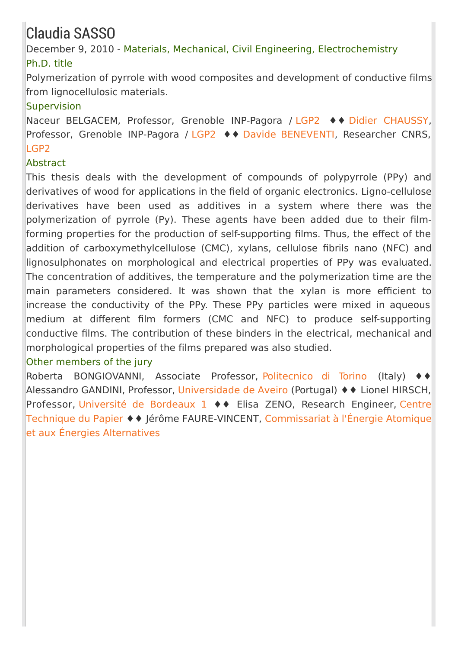## Claudia SASSO

December 9, 2010 - Materials, Mechanical, Civil Engineering, Electrochemistry Ph.D. title

Polymerization of pyrrole with wood composites and development of conductive films from lignocellulosic materials.

#### **Supervision**

Naceur BELGACEM, Professor, Grenoble INP-Pagora / [LGP2](http://pagora.grenoble-inp.fr/fr/recherche) ♦♦ Didier [CHAUSSY](http://pagora.grenoble-inp.fr/fr/annuaire/m-chaussy-didier), Professor, Grenoble INP-Pagora / [LGP2](http://pagora.grenoble-inp.fr/fr/recherche) ♦♦ Davide [BENEVENTI,](http://pagora.grenoble-inp.fr/fr/annuaire/beneventi-davide) Researcher CNRS, [LGP2](http://pagora.grenoble-inp.fr/fr/recherche)

#### **Abstract**

This thesis deals with the development of compounds of polypyrrole (PPy) and derivatives of wood for applications in the field of organic electronics. Ligno-cellulose derivatives have been used as additives in a system where there was the polymerization of pyrrole (Py). These agents have been added due to their filmforming properties for the production of self-supporting films. Thus, the effect of the addition of carboxymethylcellulose (CMC), xylans, cellulose fibrils nano (NFC) and lignosulphonates on morphological and electrical properties of PPy was evaluated. The concentration of additives, the temperature and the polymerization time are the main parameters considered. It was shown that the xylan is more efficient to increase the conductivity of the PPy. These PPy particles were mixed in aqueous medium at different film formers (CMC and NFC) to produce self-supporting conductive films. The contribution of these binders in the electrical, mechanical and morphological properties of the films prepared was also studied.

#### Other members of the jury

Roberta BONGIOVANNI, Associate Professor, [Politecnico](http://www.polito.it/) di Torino (Italy) Alessandro GANDINI, Professor, [Universidade](http://www.ua.pt/) de Aveiro (Portugal) ♦♦ Lionel HIRSCH, Professor, [Université](http://www.u-bordeaux1.fr/) de Bordeaux 1 ♦ Elisa ZENO, Research Engineer, Centre Technique du Papier ♦♦ Jérôme [FAURE-VINCENT,](http://www.cea.fr/) Commissariat à l'Énergie Atomique et aux Énergies Alternatives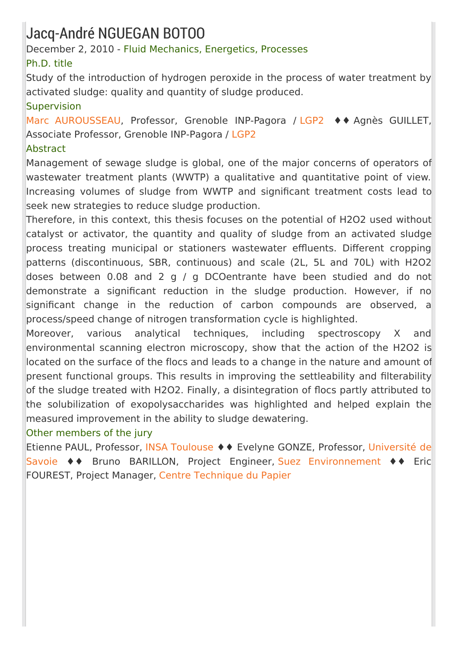### Jacq-André NGUEGAN BOTOO

#### December 2, 2010 - Fluid Mechanics, Energetics, Processes

#### Ph.D. title

Study of the introduction of hydrogen peroxide in the process of water treatment by activated sludge: quality and quantity of sludge produced.

#### Supervision

Marc [AUROUSSEAU](http://pagora.grenoble-inp.fr/fr/annuaire/m-aurousseau-marc), Professor, Grenoble INP-Pagora / [LGP2](http://pagora.grenoble-inp.fr/fr/recherche) ♦♦ Agnès GUILLET, Associate Professor, Grenoble INP-Pagora / [LGP2](http://pagora.grenoble-inp.fr/fr/recherche)

#### Abstract

Management of sewage sludge is global, one of the major concerns of operators of wastewater treatment plants (WWTP) a qualitative and quantitative point of view. Increasing volumes of sludge from WWTP and significant treatment costs lead to seek new strategies to reduce sludge production.

Therefore, in this context, this thesis focuses on the potential of H2O2 used without catalyst or activator, the quantity and quality of sludge from an activated sludge process treating municipal or stationers wastewater effluents. Different cropping patterns (discontinuous, SBR, continuous) and scale (2L, 5L and 70L) with H2O2 doses between 0.08 and 2 g / g DCOentrante have been studied and do not demonstrate a significant reduction in the sludge production. However, if no significant change in the reduction of carbon compounds are observed, a process/speed change of nitrogen transformation cycle is highlighted.

Moreover, various analytical techniques, including spectroscopy X and environmental scanning electron microscopy, show that the action of the H2O2 is located on the surface of the flocs and leads to a change in the nature and amount of present functional groups. This results in improving the settleability and filterability of the sludge treated with H2O2. Finally, a disintegration of flocs partly attributed to the solubilization of exopolysaccharides was highlighted and helped explain the measured improvement in the ability to sludge dewatering.

#### Other members of the jury

Etienne PAUL, Professor, INSA [Toulouse](http://www.insa-toulouse.fr/fr/index.html;jsessionid=707A9DFA1DAC725B8D528CCD961AA10F) ♦♦ Evelyne GONZE, Professor, Université de Savoie ♦♦ Bruno BARILLON, Project Engineer, Suez [Environnement](http://www.univ-savoie.fr/) ♦♦ Eric FOUREST, Project Manager, Centre [Technique](http://www.webctp.com/) du Papier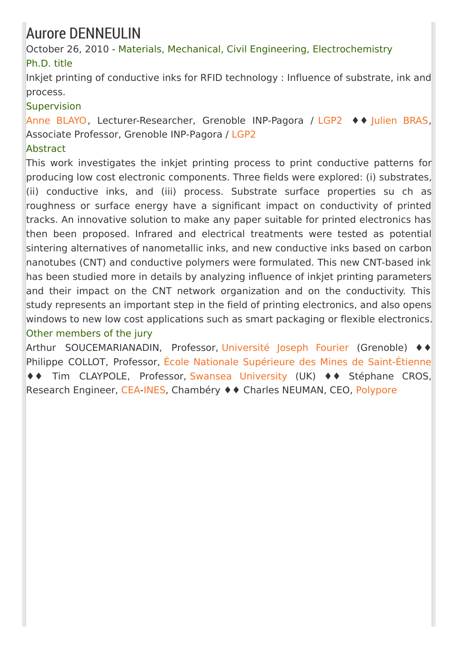### Aurore DENNEULIN

October 26, 2010 - Materials, Mechanical, Civil Engineering, Electrochemistry Ph.D. title

Inkjet printing of conductive inks for RFID technology : Influence of substrate, ink and process.

#### **Supervision**

Anne [BLAYO](http://pagora.grenoble-inp.fr/fr/annuaire/blayo-anne), Lecturer-Researcher, Grenoble INP-Pagora / [LGP2](http://pagora.grenoble-inp.fr/fr/recherche) ♦♦ [Julien](http://pagora.grenoble-inp.fr/fr/annuaire/m-bras-julien) BRAS, Associate Professor, Grenoble INP-Pagora / [LGP2](http://pagora.grenoble-inp.fr/fr/recherche)

#### Abstract

This work investigates the inkjet printing process to print conductive patterns for producing low cost electronic components. Three fields were explored: (i) substrates, (ii) conductive inks, and (iii) process. Substrate surface properties su ch as roughness or surface energy have a significant impact on conductivity of printed tracks. An innovative solution to make any paper suitable for printed electronics has then been proposed. Infrared and electrical treatments were tested as potential sintering alternatives of nanometallic inks, and new conductive inks based on carbon nanotubes (CNT) and conductive polymers were formulated. This new CNT-based ink has been studied more in details by analyzing influence of inkjet printing parameters and their impact on the CNT network organization and on the conductivity. This study represents an important step in the field of printing electronics, and also opens windows to new low cost applications such as smart packaging or flexible electronics. Other members of the jury

Arthur SOUCEMARIANADIN, Professor, [Université](http://www.ujf-grenoble.fr/36392593/0/fiche___pagelibre_accueil/) Joseph Fourier (Grenoble) ♦♦ Philippe COLLOT, Professor, École Nationale Supérieure des Mines de [Saint-Étienne](http://www.emse.fr/index.php) ♦♦ Tim CLAYPOLE, Professor, Swansea [University](http://www.swan.ac.uk/) (UK) ♦♦ Stéphane CROS, Research Engineer, [CEA](http://www.cea.fr/)[-INES](http://www.ines-solaire.com/), Chambéry ♦♦ Charles NEUMAN, CEO, [Polypore](http://www.polypore.fr/)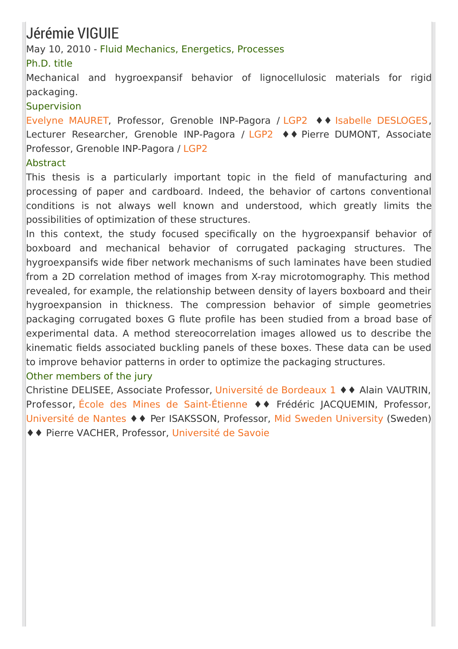### Jérémie VIGUIE

#### May 10, 2010 - Fluid Mechanics, Energetics, Processes

#### Ph.D. title

Mechanical and hygroexpansif behavior of lignocellulosic materials for rigid packaging.

#### **Supervision**

Evelyne [MAURET](http://pagora.grenoble-inp.fr/fr/annuaire/mme-mauret-evelyne), Professor, Grenoble INP-Pagora / [LGP2](http://pagora.grenoble-inp.fr/fr/recherche) ♦♦ Isabelle [DESLOGES](http://pagora.grenoble-inp.fr/fr/annuaire/mme-desloges-isabelle), Lecturer Researcher, Grenoble INP-Pagora / [LGP2](http://pagora.grenoble-inp.fr/fr/recherche) ♦♦ Pierre DUMONT, Associate Professor, Grenoble INP-Pagora / [LGP2](http://pagora.grenoble-inp.fr/fr/recherche)

#### **Abstract**

This thesis is a particularly important topic in the field of manufacturing and processing of paper and cardboard. Indeed, the behavior of cartons conventional conditions is not always well known and understood, which greatly limits the possibilities of optimization of these structures.

In this context, the study focused specifically on the hygroexpansif behavior of boxboard and mechanical behavior of corrugated packaging structures. The hygroexpansifs wide fiber network mechanisms of such laminates have been studied from a 2D correlation method of images from X-ray microtomography. This method revealed, for example, the relationship between density of layers boxboard and their hygroexpansion in thickness. The compression behavior of simple geometries packaging corrugated boxes G flute profile has been studied from a broad base of experimental data. A method stereocorrelation images allowed us to describe the kinematic fields associated buckling panels of these boxes. These data can be used to improve behavior patterns in order to optimize the packaging structures.

#### Other members of the jury

Christine DELISEE, Associate Professor, [Université](http://www.u-bordeaux1.fr/) de Bordeaux 1 ♦♦ Alain VAUTRIN, Professor, École des Mines de [Saint-Étienne](http://www.emse.fr/index.php) ♦♦ Frédéric JACQUEMIN, Professor, [Université](http://www.univ-nantes.fr/index_flash.jsp) de Nantes ♦♦ Per ISAKSSON, Professor, Mid Sweden [University](http://www.miun.se/Mittuniversitetet-In-English/Home/) (Sweden) ♦♦ Pierre VACHER, Professor, [Université](http://www.univ-savoie.fr/) de Savoie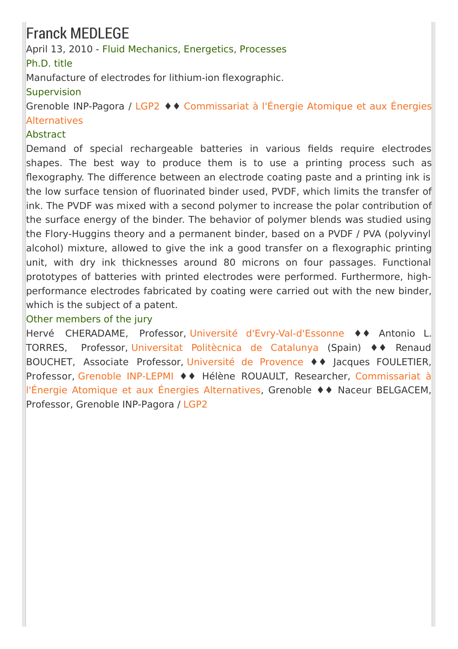### Franck MEDLEGE

#### April 13, 2010 - Fluid Mechanics, Energetics, Processes

Ph.D. title

Manufacture of electrodes for lithium-ion flexographic.

#### **Supervision**

Grenoble INP-Pagora / [LGP2](http://pagora.grenoble-inp.fr/fr/recherche) ♦♦ [Commissariat](http://www.cea.fr/) à l'Énergie Atomique et aux Énergies Alternatives

#### **Abstract**

Demand of special rechargeable batteries in various fields require electrodes shapes. The best way to produce them is to use a printing process such as flexography. The difference between an electrode coating paste and a printing ink is the low surface tension of fluorinated binder used, PVDF, which limits the transfer of ink. The PVDF was mixed with a second polymer to increase the polar contribution of the surface energy of the binder. The behavior of polymer blends was studied using the Flory-Huggins theory and a permanent binder, based on a PVDF / PVA (polyvinyl alcohol) mixture, allowed to give the ink a good transfer on a flexographic printing unit, with dry ink thicknesses around 80 microns on four passages. Functional prototypes of batteries with printed electrodes were performed. Furthermore, highperformance electrodes fabricated by coating were carried out with the new binder, which is the subject of a patent.

#### Other members of the jury

Hervé CHERADAME, Professor, Université [d'Evry-Val-d'Essonne](http://www.univ-evry.fr/fr/index.html) ♦♦ Antonio L. TORRES, Professor, [Universitat](http://www.upc.edu/) Politècnica de Catalunya (Spain) ♦♦ Renaud BOUCHET, Associate Professor, [Université](http://www.univ-provence.fr/) de Provence ♦♦ Jacques FOULETIER, Professor, Grenoble [INP-LEPMI](http://lepmi.grenoble-inp.fr/) ♦♦ Hélène ROUAULT, Researcher, [Commissariat](http://www.cea.fr/) à l'Énergie Atomique et aux Énergies Alternatives, Grenoble ♦♦ Naceur BELGACEM, Professor, Grenoble INP-Pagora / [LGP2](http://pagora.grenoble-inp.fr/fr/recherche)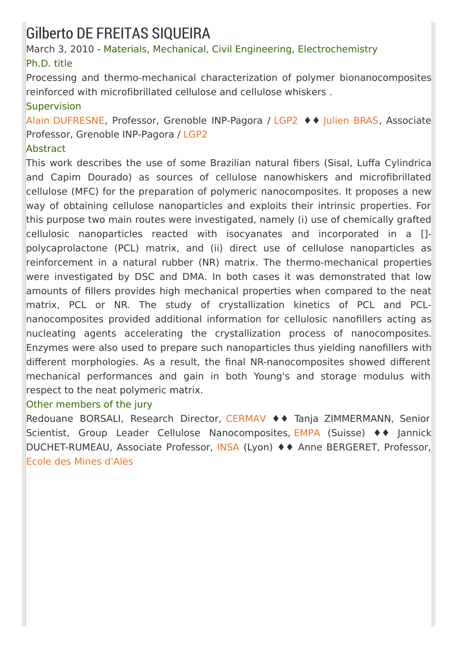### Gilberto DE FREITAS SIQUEIRA

March 3, 2010 - Materials, Mechanical, Civil Engineering, Electrochemistry Ph.D. title

Processing and thermo-mechanical characterization of polymer bionanocomposites reinforced with microfibrillated cellulose and cellulose whiskers .

#### Supervision

Alain [DUFRESNE](http://pagora.grenoble-inp.fr/fr/annuaire/dufresne-alain), Professor, Grenoble INP-Pagora / [LGP2](http://pagora.grenoble-inp.fr/fr/recherche) ♦♦ [Julien](http://pagora.grenoble-inp.fr/fr/annuaire/m-bras-julien) BRAS, Associate Professor, Grenoble INP-Pagora / [LGP2](http://pagora.grenoble-inp.fr/fr/recherche)

#### Abstract

This work describes the use of some Brazilian natural fibers (Sisal, Luffa Cylindrica and Capim Dourado) as sources of cellulose nanowhiskers and microfibrillated cellulose (MFC) for the preparation of polymeric nanocomposites. It proposes a new way of obtaining cellulose nanoparticles and exploits their intrinsic properties. For this purpose two main routes were investigated, namely (i) use of chemically grafted cellulosic nanoparticles reacted with isocyanates and incorporated in a [] polycaprolactone (PCL) matrix, and (ii) direct use of cellulose nanoparticles as reinforcement in a natural rubber (NR) matrix. The thermo-mechanical properties were investigated by DSC and DMA. In both cases it was demonstrated that low amounts of fillers provides high mechanical properties when compared to the neat matrix, PCL or NR. The study of crystallization kinetics of PCL and PCLnanocomposites provided additional information for cellulosic nanofillers acting as nucleating agents accelerating the crystallization process of nanocomposites. Enzymes were also used to prepare such nanoparticles thus yielding nanofillers with different morphologies. As a result, the final NR-nanocomposites showed different mechanical performances and gain in both Young's and storage modulus with respect to the neat polymeric matrix.

#### Other members of the jury

Redouane BORSALI, Research Director, [CERMAV](http://www.cermav.cnrs.fr/) ♦♦ Tanja ZIMMERMANN, Senior Scientist, Group Leader Cellulose Nanocomposites, [EMPA](http://www.empa.ch/) (Suisse) ♦♦ Jannick DUCHET-RUMEAU, Associate Professor, [INSA](http://www.insa-lyon.fr/) (Lyon) ♦♦ Anne BERGERET, Professor, Ecole des Mines [d'Alès](http://www.mines-ales.fr/pages/?all=accueil&idl=21)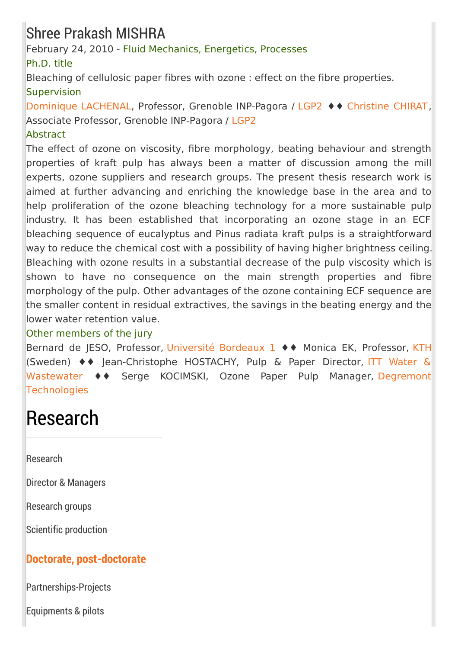### Shree Prakash MISHRA

February 24, 2010 - Fluid Mechanics, Energetics, Processes

Ph.D. title

Bleaching of cellulosic paper fibres with ozone : effect on the fibre properties. **Supervision** 

[Dominique](http://pagora.grenoble-inp.fr/fr/annuaire/lachenal-dominique) LACHENAL, Professor, Grenoble INP-Pagora / [LGP2](http://pagora.grenoble-inp.fr/fr/recherche) ♦♦ [Christine](http://pagora.grenoble-inp.fr/fr/annuaire/mme-chirat-christine) CHIRAT, Associate Professor, Grenoble INP-Pagora / [LGP2](http://pagora.grenoble-inp.fr/fr/recherche)

#### **Abstract**

The effect of ozone on viscosity, fibre morphology, beating behaviour and strength properties of kraft pulp has always been a matter of discussion among the mill experts, ozone suppliers and research groups. The present thesis research work is aimed at further advancing and enriching the knowledge base in the area and to help proliferation of the ozone bleaching technology for a more sustainable pulp industry. It has been established that incorporating an ozone stage in an ECF bleaching sequence of eucalyptus and Pinus radiata kraft pulps is a straightforward way to reduce the chemical cost with a possibility of having higher brightness ceiling. Bleaching with ozone results in a substantial decrease of the pulp viscosity which is shown to have no consequence on the main strength properties and fibre morphology of the pulp. Other advantages of the ozone containing ECF sequence are the smaller content in residual extractives, the savings in the beating energy and the lower water retention value.

#### Other members of the jury

Bernard de JESO, Professor, [Université](http://www.u-bordeaux1.fr/) Bordeaux 1 ♦♦ Monica EK, Professor, [KTH](http://www.kth.se/?l=en_UK) (Sweden) ♦♦ [Jean-Christophe](http://www.ittwww.com/) HOSTACHY, Pulp & Paper Director, ITT Water & Wastewater ♦♦ Serge KOCIMSKI, Ozone Paper Pulp Manager, Degremont **[Technologies](http://www.degremont-technologies.com/)** 

# Research

[Research](http://pagora.grenoble-inp.fr/en/research?RH=EFP_EN-RESEARCH)

Director & [Managers](http://pagora.grenoble-inp.fr/en/research/director-managers)

[Research](http://pagora.grenoble-inp.fr/en/research/research-groups) groups

Scientific [production](http://pagora.grenoble-inp.fr/en/research/scientific-production)

### **Doctorate, [post-doctorate](http://pagora.grenoble-inp.fr/en/research/doctorate-post-doctorate)**

[Partnerships-Projects](http://pagora.grenoble-inp.fr/en/research/partnerships-projects)

[Equipments](http://pagora.grenoble-inp.fr/en/research/equipments-pilots) & pilots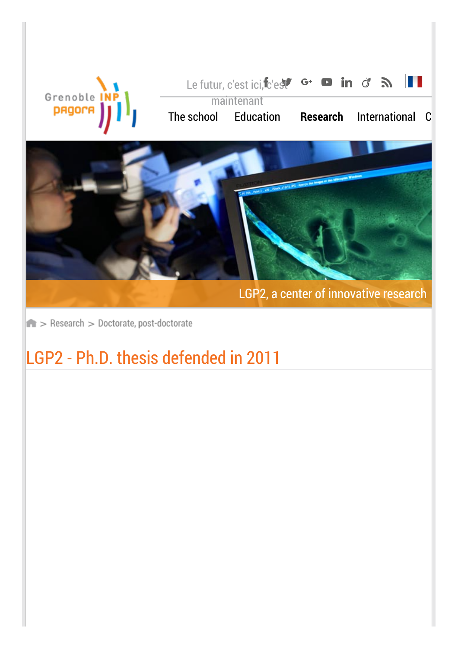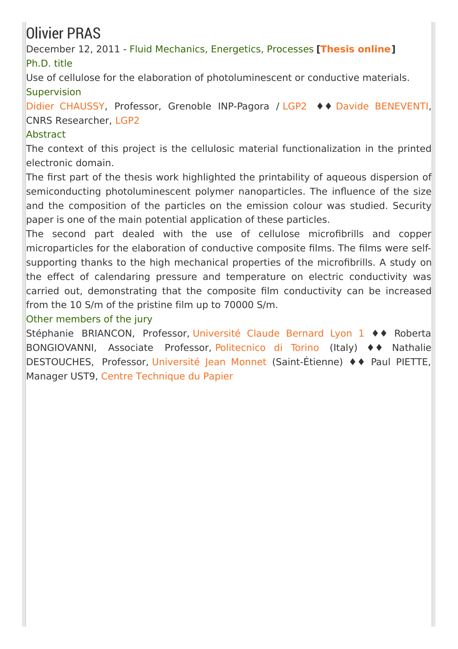## Olivier PRAS

December 12, 2011 - Fluid Mechanics, Energetics, Processes **[\[Thesis](https://tel.archives-ouvertes.fr/tel-00685846) online]** Ph.D. title

Use of cellulose for the elaboration of photoluminescent or conductive materials. **Supervision** 

Didier [CHAUSSY](http://pagora.grenoble-inp.fr/liens-utiles/chaussy-didier-191657.kjsp), Professor, Grenoble INP-Pagora / [LGP2](http://pagora.grenoble-inp.fr/fr/recherche) ♦♦ Davide [BENEVENTI](http://pagora.grenoble-inp.fr/fr/annuaire/beneventi-davide), CNRS Researcher, [LGP2](http://pagora.grenoble-inp.fr/fr/recherche)

#### Abstract

The context of this project is the cellulosic material functionalization in the printed electronic domain.

The first part of the thesis work highlighted the printability of aqueous dispersion of semiconducting photoluminescent polymer nanoparticles. The influence of the size and the composition of the particles on the emission colour was studied. Security paper is one of the main potential application of these particles.

The second part dealed with the use of cellulose microfibrills and copper microparticles for the elaboration of conductive composite films. The films were selfsupporting thanks to the high mechanical properties of the microfibrills. A study on the effect of calendaring pressure and temperature on electric conductivity was carried out, demonstrating that the composite film conductivity can be increased from the 10 S/m of the pristine film up to 70000 S/m.

#### Other members of the jury

Stéphanie BRIANCON, Professor, [Université](http://www.univ-lyon1.fr/) Claude Bernard Lyon 1 ♦♦ Roberta BONGIOVANNI, Associate Professor, [Politecnico](http://www.polito.it/) di Torino (Italy) ♦♦ Nathalie DESTOUCHES, Professor, [Université](http://portail.univ-st-etienne.fr/) Jean Monnet (Saint-Étienne) ♦♦ Paul PIETTE, Manager UST9, Centre [Technique](http://www.webctp.com/) du Papier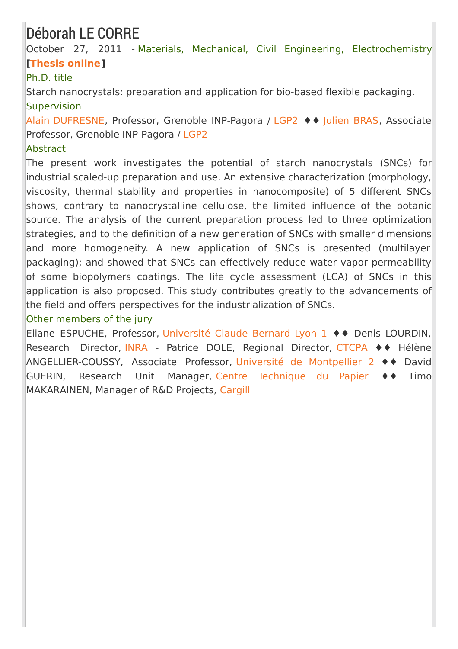### Déborah LE CORRE

October 27, 2011 - Materials, Mechanical, Civil Engineering, Electrochemistry **[\[Thesis](https://tel.archives-ouvertes.fr/tel-00721830) online]**

#### Ph.D. title

Starch nanocrystals: preparation and application for bio-based flexible packaging. **Supervision** 

Alain [DUFRESNE](http://pagora.grenoble-inp.fr/liens-utiles/dufresne-alain-192159.kjsp), Professor, Grenoble INP-Pagora / [LGP2](http://pagora.grenoble-inp.fr/fr/recherche) ♦♦ [Julien](http://pagora.grenoble-inp.fr/liens-utiles/bras-julien-190525.kjsp) BRAS, Associate Professor, Grenoble INP-Pagora / [LGP2](http://pagora.grenoble-inp.fr/fr/recherche)

#### Abstract

The present work investigates the potential of starch nanocrystals (SNCs) for industrial scaled-up preparation and use. An extensive characterization (morphology, viscosity, thermal stability and properties in nanocomposite) of 5 different SNCs shows, contrary to nanocrystalline cellulose, the limited influence of the botanic source. The analysis of the current preparation process led to three optimization strategies, and to the definition of a new generation of SNCs with smaller dimensions and more homogeneity. A new application of SNCs is presented (multilayer packaging); and showed that SNCs can effectively reduce water vapor permeability of some biopolymers coatings. The life cycle assessment (LCA) of SNCs in this application is also proposed. This study contributes greatly to the advancements of the field and offers perspectives for the industrialization of SNCs.

#### Other members of the jury

Eliane ESPUCHE, Professor, [Université](http://www.univ-lyon1.fr/) Claude Bernard Lyon 1 ♦♦ Denis LOURDIN, Research Director, [INRA](http://www.inra.fr/) - Patrice DOLE, Regional Director, [CTCPA](http://www.ctcpa.org/) ♦♦ Hélène ANGELLIER-COUSSY, Associate Professor, Université de [Montpellier](http://www.univ-montp2.fr/) 2 ♦♦ David GUERIN, Research Unit Manager, Centre [Technique](http://www.webctp.com/) du Papier ♦♦ Timo MAKARAINEN, Manager of R&D Projects, [Cargill](http://www.cargill.fr/france/fr/index.jsp)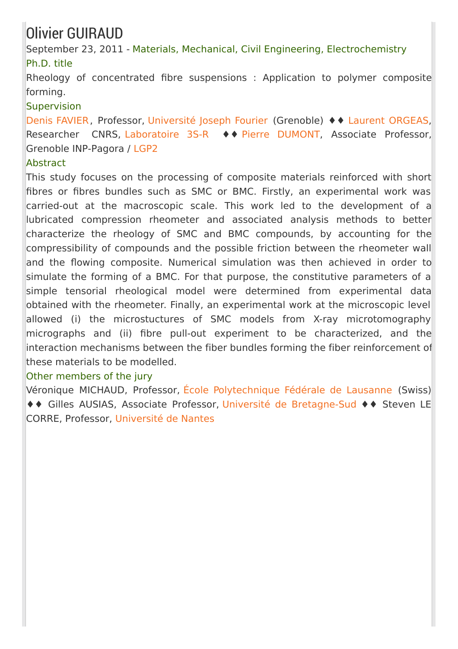## Olivier GUIRAUD

September 23, 2011 - Materials, Mechanical, Civil Engineering, Electrochemistry Ph.D. title

Rheology of concentrated fibre suspensions : Application to polymer composite forming.

#### Supervision

Denis [FAVIER](http://www.3s-r.hmg.inpg.fr/3sr/spip.php?article290), Professor, [Université](http://www.ujf-grenoble.fr/) Joseph Fourier (Grenoble) ♦♦ Laurent [ORGEAS](http://www.3s-r.hmg.inpg.fr/3sr/spip.php?article99), Researcher CNRS, [Laboratoire](http://www.3s-r.hmg.inpg.fr/3sr/) 3S-R 
November en [DUMONT](http://pagora.grenoble-inp.fr/liens-utiles/dumont-pierre-190848.kjsp), Associate Professor, Grenoble INP-Pagora / [LGP2](http://pagora.grenoble-inp.fr/fr/recherche)

#### **Abstract**

This study focuses on the processing of composite materials reinforced with short fibres or fibres bundles such as SMC or BMC. Firstly, an experimental work was carried-out at the macroscopic scale. This work led to the development of a lubricated compression rheometer and associated analysis methods to better characterize the rheology of SMC and BMC compounds, by accounting for the compressibility of compounds and the possible friction between the rheometer wall and the flowing composite. Numerical simulation was then achieved in order to simulate the forming of a BMC. For that purpose, the constitutive parameters of a simple tensorial rheological model were determined from experimental data obtained with the rheometer. Finally, an experimental work at the microscopic level allowed (i) the microstuctures of SMC models from X-ray microtomography micrographs and (ii) fibre pull-out experiment to be characterized, and the interaction mechanisms between the fiber bundles forming the fiber reinforcement of these materials to be modelled.

#### Other members of the jury

Véronique MICHAUD, Professor, École [Polytechnique](http://www.epfl.ch/) Fédérale de Lausanne (Swiss) ♦♦ Gilles AUSIAS, Associate Professor, Université de [Bretagne-Sud](http://www.univ-ubs.fr/) ♦♦ Steven LE CORRE, Professor, [Université](http://www.univ-nantes.fr) de Nantes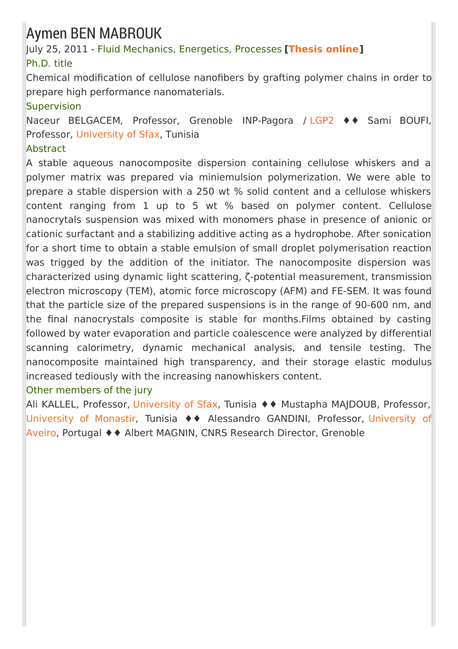### Aymen BEN MABROUK

July 25, 2011 - Fluid Mechanics, Energetics, Processes **[\[Thesis](https://tel.archives-ouvertes.fr/tel-00721813) online]** Ph.D. title

Chemical modification of cellulose nanofibers by grafting polymer chains in order to prepare high performance nanomaterials.

#### Supervision

Naceur BELGACEM, Professor, Grenoble INP-Pagora / [LGP2](http://pagora.grenoble-inp.fr/en/research) ♦♦ Sami BOUFI, Professor, [University](http://www.uss.rnu.tn/) of Sfax, Tunisia

#### Abstract

A stable aqueous nanocomposite dispersion containing cellulose whiskers and a polymer matrix was prepared via miniemulsion polymerization. We were able to prepare a stable dispersion with a 250 wt % solid content and a cellulose whiskers content ranging from 1 up to 5 wt % based on polymer content. Cellulose nanocrytals suspension was mixed with monomers phase in presence of anionic or cationic surfactant and a stabilizing additive acting as a hydrophobe. After sonication for a short time to obtain a stable emulsion of small droplet polymerisation reaction was trigged by the addition of the initiator. The nanocomposite dispersion was characterized using dynamic light scattering, ζ-potential measurement, transmission electron microscopy (TEM), atomic force microscopy (AFM) and FE-SEM. It was found that the particle size of the prepared suspensions is in the range of 90-600 nm, and the final nanocrystals composite is stable for months.Films obtained by casting followed by water evaporation and particle coalescence were analyzed by differential scanning calorimetry, dynamic mechanical analysis, and tensile testing. The nanocomposite maintained high transparency, and their storage elastic modulus increased tediously with the increasing nanowhiskers content.

#### Other members of the jury

Ali KALLEL, Professor, [University](http://www.uss.rnu.tn/) of Sfax, Tunisia ♦♦ Mustapha MAJDOUB, Professor, [University](http://www.um.rnu.tn/) of Monastir, Tunisia ♦♦ [Alessandro](https://www.ua.pt/) GANDINI, Professor, University of Aveiro, Portugal ♦♦ Albert MAGNIN, CNRS Research Director, Grenoble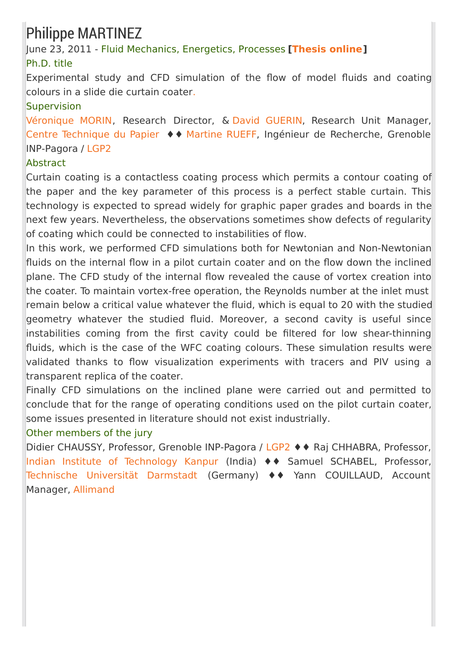## Philippe MARTINEZ

June 23, 2011 - Fluid Mechanics, Energetics, Processes **[\[Thesis](https://tel.archives-ouvertes.fr/tel-00638025) online]** Ph.D. title

Experimental study and CFD simulation of the flow of model fluids and coating colours in a slide die curtain coate[r.](https://tel.archives-ouvertes.fr/tel-00638025)

#### Supervision

[Véronique](mailto:Veronique%2EMorin%40webCTP%2Ecom) MORIN, Research Director, & David [GUERIN](mailto:David%2EGuerin%40webCTP%2Ecom), Research Unit Manager, Centre [Technique](http://www.webctp.com/) du Papier ♦♦ [Martine](http://pagora.grenoble-inp.fr/liens-utiles/rueff-martine-189857.kjsp) RUEFF, Ingénieur de Recherche, Grenoble INP-Pagora / [LGP2](http://pagora.grenoble-inp.fr/fr/recherche)

#### **Abstract**

Curtain coating is a contactless coating process which permits a contour coating of the paper and the key parameter of this process is a perfect stable curtain. This technology is expected to spread widely for graphic paper grades and boards in the next few years. Nevertheless, the observations sometimes show defects of regularity of coating which could be connected to instabilities of flow.

In this work, we performed CFD simulations both for Newtonian and Non-Newtonian fluids on the internal flow in a pilot curtain coater and on the flow down the inclined plane. The CFD study of the internal flow revealed the cause of vortex creation into the coater. To maintain vortex-free operation, the Reynolds number at the inlet must remain below a critical value whatever the fluid, which is equal to 20 with the studied geometry whatever the studied fluid. Moreover, a second cavity is useful since instabilities coming from the first cavity could be filtered for low shear-thinning fluids, which is the case of the WFC coating colours. These simulation results were validated thanks to flow visualization experiments with tracers and PIV using a transparent replica of the coater.

Finally CFD simulations on the inclined plane were carried out and permitted to conclude that for the range of operating conditions used on the pilot curtain coater, some issues presented in literature should not exist industrially.

#### Other members of the jury

Didier CHAUSSY, Professor, Grenoble INP-Pagora / [LGP2](http://pagora.grenoble-inp.fr/fr/recherche) ♦ ♦ Raj CHHABRA, Professor, Indian Institute of [Technology](http://www.iitk.ac.in/) Kanpur (India) ♦♦ Samuel SCHABEL, Professor, Technische [Universität](http://www.tu-darmstadt.de/) Darmstadt (Germany) ♦♦ Yann COUILLAUD, Account Manager, [Allimand](http://www.allimand.com/)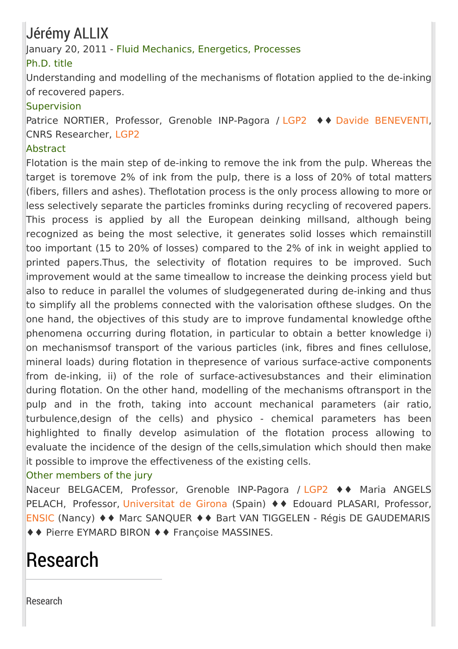### Jérémy ALLIX

#### January 20, 2011 - Fluid Mechanics, Energetics, Processes

#### Ph.D. title

Understanding and modelling of the mechanisms of flotation applied to the de-inking of recovered papers.

#### Supervision

Patrice NORTIER, Professor, Grenoble INP-Pagora / [LGP2](http://pagora.grenoble-inp.fr/fr/recherche) ♦♦ Davide [BENEVENTI](http://pagora.grenoble-inp.fr/fr/annuaire/beneventi-davide), CNRS Researcher, [LGP2](http://pagora.grenoble-inp.fr/fr/recherche)

#### Abstract

Flotation is the main step of de-inking to remove the ink from the pulp. Whereas the target is toremove 2% of ink from the pulp, there is a loss of 20% of total matters (fibers, fillers and ashes). Theflotation process is the only process allowing to more or less selectively separate the particles frominks during recycling of recovered papers. This process is applied by all the European deinking millsand, although being recognized as being the most selective, it generates solid losses which remainstill too important (15 to 20% of losses) compared to the 2% of ink in weight applied to printed papers.Thus, the selectivity of flotation requires to be improved. Such improvement would at the same timeallow to increase the deinking process yield but also to reduce in parallel the volumes of sludgegenerated during de-inking and thus to simplify all the problems connected with the valorisation ofthese sludges. On the one hand, the objectives of this study are to improve fundamental knowledge ofthe phenomena occurring during flotation, in particular to obtain a better knowledge i) on mechanismsof transport of the various particles (ink, fibres and fines cellulose, mineral loads) during flotation in thepresence of various surface-active components from de-inking, ii) of the role of surface-activesubstances and their elimination during flotation. On the other hand, modelling of the mechanisms oftransport in the pulp and in the froth, taking into account mechanical parameters (air ratio, turbulence,design of the cells) and physico - chemical parameters has been highlighted to finally develop asimulation of the flotation process allowing to evaluate the incidence of the design of the cells,simulation which should then make it possible to improve the effectiveness of the existing cells.

#### Other members of the jury

Naceur BELGACEM, Professor, Grenoble INP-Pagora / [LGP2](http://pagora.grenoble-inp.fr/fr/recherche) ♦♦ Maria ANGELS PELACH, Professor, [Universitat](http://www.udg.edu/) de Girona (Spain) ♦ ♦ Edouard PLASARI, Professor, [ENSIC](http://www.ensic.inpl-nancy.fr/) (Nancy) ♦♦ Marc SANQUER ♦♦ Bart VAN TIGGELEN - Régis DE GAUDEMARIS ♦♦ Pierre EYMARD BIRON ♦♦ Françoise MASSINES.

# Research

[Research](http://pagora.grenoble-inp.fr/en/research?RH=EFP_EN-RESEARCH)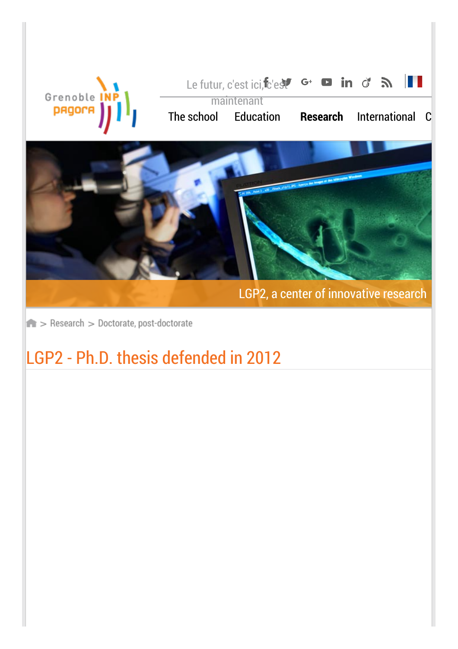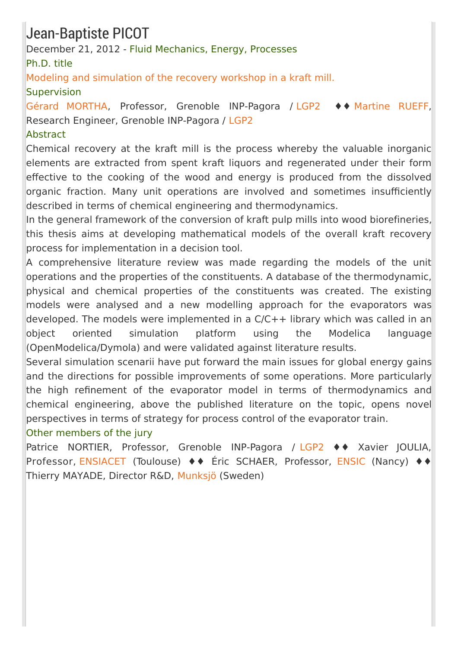### Jean-Baptiste PICOT

December 21, 2012 - Fluid Mechanics, Energy, Processes

Ph.D. title

Modeling and [simulation](https://hal.archives-ouvertes.fr/tel-00819888) of the recovery workshop in a kraft mill.

### **Supervision**

Gérard [MORTHA](http://pagora.grenoble-inp.fr/fr/annuaire/m-mortha-gerard), Professor, Grenoble INP-Pagora / [LGP2](http://pagora.grenoble-inp.fr/fr/recherche) ♦♦ [Martine](http://pagora.grenoble-inp.fr/fr/annuaire/rueff-martine) RUEFF, Research Engineer, Grenoble INP-Pagora / [LGP2](http://pagora.grenoble-inp.fr/fr/recherche)

#### **Abstract**

Chemical recovery at the kraft mill is the process whereby the valuable inorganic elements are extracted from spent kraft liquors and regenerated under their form effective to the cooking of the wood and energy is produced from the dissolved organic fraction. Many unit operations are involved and sometimes insufficiently described in terms of chemical engineering and thermodynamics.

In the general framework of the conversion of kraft pulp mills into wood biorefineries. this thesis aims at developing mathematical models of the overall kraft recovery process for implementation in a decision tool.

A comprehensive literature review was made regarding the models of the unit operations and the properties of the constituents. A database of the thermodynamic, physical and chemical properties of the constituents was created. The existing models were analysed and a new modelling approach for the evaporators was developed. The models were implemented in a C/C++ library which was called in an object oriented simulation platform using the Modelica language (OpenModelica/Dymola) and were validated against literature results.

Several simulation scenarii have put forward the main issues for global energy gains and the directions for possible improvements of some operations. More particularly the high refinement of the evaporator model in terms of thermodynamics and chemical engineering, above the published literature on the topic, opens novel perspectives in terms of strategy for process control of the evaporator train.

#### Other members of the jury

Patrice NORTIER, Professor, Grenoble INP-Pagora / [LGP2](http://pagora.grenoble-inp.fr/fr/recherche) ♦♦ Xavier JOULIA, Professor, [ENSIACET](http://www.ensiacet.fr/) (Toulouse) ♦♦ Éric SCHAER, Professor, [ENSIC](http://www.ensic.inpl-nancy.fr/) (Nancy) ♦♦ Thierry MAYADE, Director R&D, [Munksjö](http://www.munksjo.com/) (Sweden)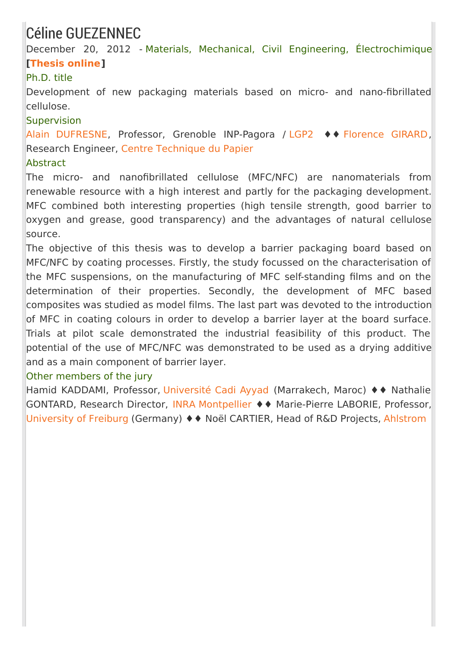### Céline GUEZENNEC

December 20, 2012 - Materials, Mechanical, Civil Engineering, Électrochimique **[\[Thesis](https://hal.archives-ouvertes.fr/tel-00870839) online]**

#### Ph.D. title

Development of new packaging materials based on micro- and nano-fibrillated cellulose.

#### **Supervision**

Alain [DUFRESNE](http://pagora.grenoble-inp.fr/fr/annuaire/dufresne-alain), Professor, Grenoble INP-Pagora / [LGP2](http://pagora.grenoble-inp.fr/fr/recherche) ♦♦ [Florence](mailto:Florence%2EGirard%40webCTP%2Ecom) GIRARD, Research Engineer, Centre [Technique](http://www.webctp.com/) du Papier

#### Abstract

The micro- and nanofibrillated cellulose (MFC/NFC) are nanomaterials from renewable resource with a high interest and partly for the packaging development. MFC combined both interesting properties (high tensile strength, good barrier to oxygen and grease, good transparency) and the advantages of natural cellulose source.

The objective of this thesis was to develop a barrier packaging board based on MFC/NFC by coating processes. Firstly, the study focussed on the characterisation of the MFC suspensions, on the manufacturing of MFC self-standing films and on the determination of their properties. Secondly, the development of MFC based composites was studied as model films. The last part was devoted to the introduction of MFC in coating colours in order to develop a barrier layer at the board surface. Trials at pilot scale demonstrated the industrial feasibility of this product. The potential of the use of MFC/NFC was demonstrated to be used as a drying additive and as a main component of barrier layer.

#### Other members of the jury

Hamid KADDAMI, Professor, [Université](http://www.uca.ma/site/) Cadi Ayyad (Marrakech, Maroc) ♦♦ Nathalie GONTARD, Research Director, INRA [Montpellier](http://www.montpellier.inra.fr/) ♦♦ Marie-Pierre LABORIE, Professor, [University](http://www.uni-freiburg.de/) of Freiburg (Germany) ♦♦ Noël CARTIER, Head of R&D Projects, [Ahlstrom](http://www.ahlstrom.com/en/Pages/default.aspx)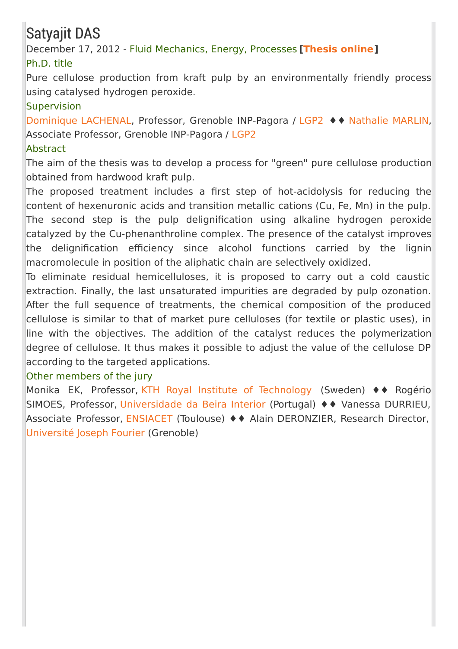## Satyajit DAS

December 17, 2012 - Fluid Mechanics, Energy, Processes **[\[Thesis](https://tel.archives-ouvertes.fr/tel-00876881) online]** Ph.D. title

Pure cellulose production from kraft pulp by an environmentally friendly process using catalysed hydrogen peroxide.

#### **Supervision**

[Dominique](http://pagora.grenoble-inp.fr/fr/annuaire/lachenal-dominique) LACHENAL, Professor, Grenoble INP-Pagora / [LGP2](http://pagora.grenoble-inp.fr/fr/recherche) ♦♦ [Nathalie](http://pagora.grenoble-inp.fr/fr/annuaire/mme-marlin-nathalie) MARLIN, Associate Professor, Grenoble INP-Pagora / [LGP2](http://pagora.grenoble-inp.fr/fr/recherche)

#### Abstract

The aim of the thesis was to develop a process for "green" pure cellulose production obtained from hardwood kraft pulp.

The proposed treatment includes a first step of hot-acidolysis for reducing the content of hexenuronic acids and transition metallic cations (Cu, Fe, Mn) in the pulp. The second step is the pulp delignification using alkaline hydrogen peroxide catalyzed by the Cu-phenanthroline complex. The presence of the catalyst improves the delignification efficiency since alcohol functions carried by the lignin macromolecule in position of the aliphatic chain are selectively oxidized.

To eliminate residual hemicelluloses, it is proposed to carry out a cold caustic extraction. Finally, the last unsaturated impurities are degraded by pulp ozonation. After the full sequence of treatments, the chemical composition of the produced cellulose is similar to that of market pure celluloses (for textile or plastic uses), in line with the objectives. The addition of the catalyst reduces the polymerization degree of cellulose. It thus makes it possible to adjust the value of the cellulose DP according to the targeted applications.

#### Other members of the jury

Monika EK, Professor, KTH Royal Institute of [Technology](http://www.kth.se/en) (Sweden) ♦♦ Rogério SIMOES, Professor, [Universidade](https://www.ubi.pt/Index.aspx) da Beira Interior (Portugal) ♦♦ Vanessa DURRIEU, Associate Professor, [ENSIACET](http://www.ensiacet.fr/) (Toulouse) ♦♦ Alain DERONZIER, Research Director, [Université](http://www.ujf-grenoble.fr/) Joseph Fourier (Grenoble)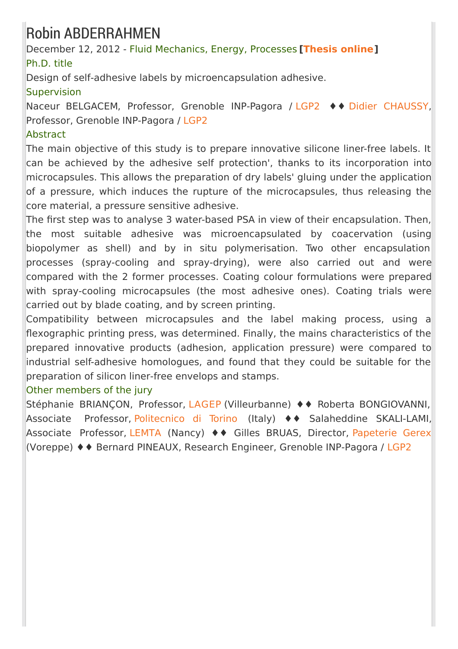### Robin ABDERRAHMEN

December 12, 2012 - Fluid Mechanics, Energy, Processes **[\[Thesis](https://tel.archives-ouvertes.fr/tel-01124085) online]** Ph.D. title

Design of self-adhesive labels by microencapsulation adhesive.

#### **Supervision**

Naceur BELGACEM, Professor, Grenoble INP-Pagora / [LGP2](http://pagora.grenoble-inp.fr/fr/recherche) ♦♦ Didier [CHAUSSY](http://pagora.grenoble-inp.fr/fr/annuaire/m-chaussy-didier), Professor, Grenoble INP-Pagora / [LGP2](http://pagora.grenoble-inp.fr/fr/recherche)

#### **Abstract**

The main objective of this study is to prepare innovative silicone liner-free labels. It can be achieved by the adhesive self protection', thanks to its incorporation into microcapsules. This allows the preparation of dry labels' gluing under the application of a pressure, which induces the rupture of the microcapsules, thus releasing the core material, a pressure sensitive adhesive.

The first step was to analyse 3 water-based PSA in view of their encapsulation. Then, the most suitable adhesive was microencapsulated by coacervation (using biopolymer as shell) and by in situ polymerisation. Two other encapsulation processes (spray-cooling and spray-drying), were also carried out and were compared with the 2 former processes. Coating colour formulations were prepared with spray-cooling microcapsules (the most adhesive ones). Coating trials were carried out by blade coating, and by screen printing.

Compatibility between microcapsules and the label making process, using a flexographic printing press, was determined. Finally, the mains characteristics of the prepared innovative products (adhesion, application pressure) were compared to industrial self-adhesive homologues, and found that they could be suitable for the preparation of silicon liner-free envelops and stamps.

#### Other members of the jury

Stéphanie BRIANÇON, Professor, [LAGEP](http://www-lagep.cpe.fr/wwwlagep6/index.php) (Villeurbanne) ♦♦ Roberta BONGIOVANNI, Associate Professor, [Politecnico](http://www.polito.it/) di Torino (Italy) ♦♦ Salaheddine SKALI-LAMI, Associate Professor, [LEMTA](http://lemta.ensem.inpl-nancy.fr/) (Nancy) ♦♦ Gilles BRUAS, Director, [Papeterie](http://www.gerex.com/) Gerex (Voreppe) ♦♦ Bernard PINEAUX, Research Engineer, Grenoble INP-Pagora / [LGP2](http://pagora.grenoble-inp.fr/fr/recherche)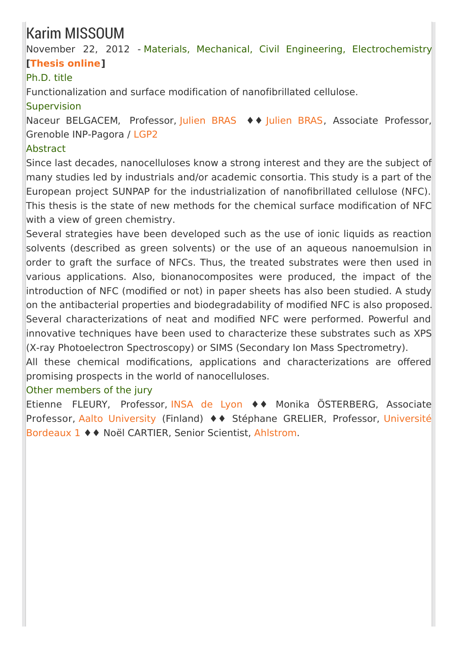### Karim MISSOUM

November 22, 2012 - Materials, Mechanical, Civil Engineering, Electrochemistry **[\[Thesis](https://tel.archives-ouvertes.fr/tel-01072240) online]**

### Ph.D. title

Functionalization and surface modification of nanofibrillated cellulose.

#### Supervision

Naceur BELGACEM, Professor, [Julien](http://pagora.grenoble-inp.fr/fr/annuaire/m-bras-julien) BRAS ♦ • Julien BRAS, Associate Professor, Grenoble INP-Pagora / [LGP2](http://pagora.grenoble-inp.fr/fr/recherche)

#### Abstract

Since last decades, nanocelluloses know a strong interest and they are the subject of many studies led by industrials and/or academic consortia. This study is a part of the European project SUNPAP for the industrialization of nanofibrillated cellulose (NFC). This thesis is the state of new methods for the chemical surface modification of NFC with a view of green chemistry.

Several strategies have been developed such as the use of ionic liquids as reaction solvents (described as green solvents) or the use of an aqueous nanoemulsion in order to graft the surface of NFCs. Thus, the treated substrates were then used in various applications. Also, bionanocomposites were produced, the impact of the introduction of NFC (modified or not) in paper sheets has also been studied. A study on the antibacterial properties and biodegradability of modified NFC is also proposed. Several characterizations of neat and modified NFC were performed. Powerful and innovative techniques have been used to characterize these substrates such as XPS (X-ray Photoelectron Spectroscopy) or SIMS (Secondary Ion Mass Spectrometry).

All these chemical modifications, applications and characterizations are offered promising prospects in the world of nanocelluloses.

#### Other members of the jury

Etienne FLEURY, Professor, [INSA](http://www.insa-lyon.fr/) de Lyon ♦♦ Monika ÖSTERBERG, Associate [Professor,](http://www.u-bordeaux1.fr/) Aalto [University](http://www.aalto.fi/EN/) (Finland) ♦♦ Stéphane GRELIER, Professor, Université Bordeaux 1 ♦♦ Noël CARTIER, Senior Scientist, [Ahlstrom](http://www.ahlstrom.com/en/Pages/default.aspx).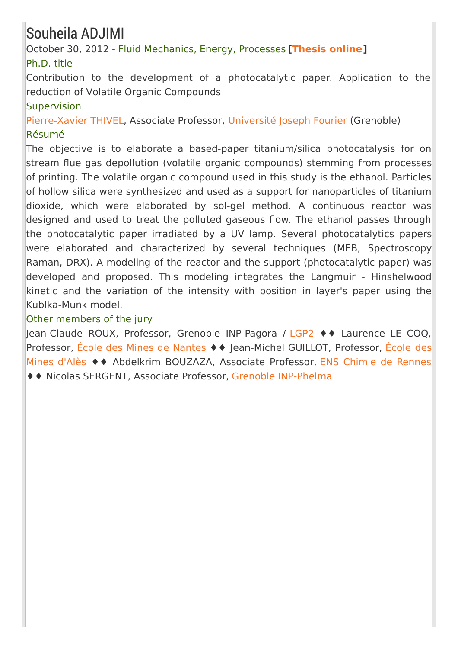## Souheila ADJIMI

October 30, 2012 - Fluid Mechanics, Energy, Processes **[\[Thesis](https://tel.archives-ouvertes.fr/tel-00907361) online]** Ph.D. title

Contribution to the development of a photocatalytic paper. Application to the reduction of Volatile Organic Compounds

#### Supervision

[Pierre-Xavier](http://lepmi.grenoble-inp.fr/equipes/m-thivel-pierre-xavier-430257.kjsp) THIVEL, Associate Professor, [Université](http://www.ujf-grenoble.fr/) Joseph Fourier (Grenoble) Résumé

The objective is to elaborate a based-paper titanium/silica photocatalysis for on stream flue gas depollution (volatile organic compounds) stemming from processes of printing. The volatile organic compound used in this study is the ethanol. Particles of hollow silica were synthesized and used as a support for nanoparticles of titanium dioxide, which were elaborated by sol-gel method. A continuous reactor was designed and used to treat the polluted gaseous flow. The ethanol passes through the photocatalytic paper irradiated by a UV lamp. Several photocatalytics papers were elaborated and characterized by several techniques (MEB, Spectroscopy Raman, DRX). A modeling of the reactor and the support (photocatalytic paper) was developed and proposed. This modeling integrates the Langmuir - Hinshelwood kinetic and the variation of the intensity with position in layer's paper using the Kublka-Munk model.

#### Other members of the jury

Jean-Claude ROUX, Professor, Grenoble INP-Pagora / [LGP2](http://pagora.grenoble-inp.fr/fr/recherche) ♦♦ Laurence LE COQ, Professor, École des Mines de [Nantes](http://www.mines-nantes.fr/) ♦ ♦ [Jean-Michel](http://www.mines-ales.fr/) GUILLOT, Professor, École des Mines d'Alès ♦♦ Abdelkrim BOUZAZA, Associate Professor, ENS Chimie de [Rennes](http://www.ensc-rennes.fr/) ♦♦ Nicolas SERGENT, Associate Professor, Grenoble [INP-Phelma](http://phelma.grenoble-inp.fr/)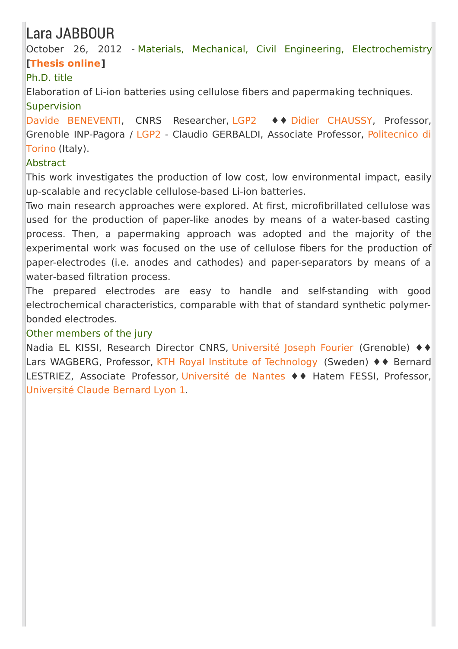### Lara JABBOUR

October 26, 2012 - Materials, Mechanical, Civil Engineering, Electrochemistry **[\[Thesis](https://tel.archives-ouvertes.fr/tel-00998372) online]**

### Ph.D. title

Elaboration of Li-ion batteries using cellulose fibers and papermaking techniques. Supervision

Davide [BENEVENTI](http://pagora.grenoble-inp.fr/fr/annuaire/beneventi-davide), CNRS Researcher, [LGP2](http://pagora.grenoble-inp.fr/fr/recherche) ♦♦ Didier [CHAUSSY,](http://pagora.grenoble-inp.fr/fr/annuaire/m-chaussy-didier) Professor, Grenoble [INP-Pagora](http://www.polito.it/) / [LGP2](http://pagora.grenoble-inp.fr/fr/recherche) - Claudio GERBALDI, Associate Professor, Politecnico di Torino (Italy).

#### **Abstract**

This work investigates the production of low cost, low environmental impact, easily up-scalable and recyclable cellulose-based Li-ion batteries.

Two main research approaches were explored. At first, microfibrillated cellulose was used for the production of paper-like anodes by means of a water-based casting process. Then, a papermaking approach was adopted and the majority of the experimental work was focused on the use of cellulose fibers for the production of paper-electrodes (i.e. anodes and cathodes) and paper-separators by means of a water-based filtration process.

The prepared electrodes are easy to handle and self-standing with good electrochemical characteristics, comparable with that of standard synthetic polymerbonded electrodes.

#### Other members of the jury

Nadia EL KISSI, Research Director CNRS, [Université](http://www.ujf-grenoble.fr/) Joseph Fourier (Grenoble) ♦♦ Lars WAGBERG, Professor, KTH Royal Institute of [Technology](http://www.kth.se/en) (Sweden) ♦♦ Bernard LESTRIEZ, Associate Professor, [Université](http://www.univ-nantes.fr/) de Nantes ♦♦ Hatem FESSI, Professor, [Université](http://www.univ-lyon1.fr/) Claude Bernard Lyon 1.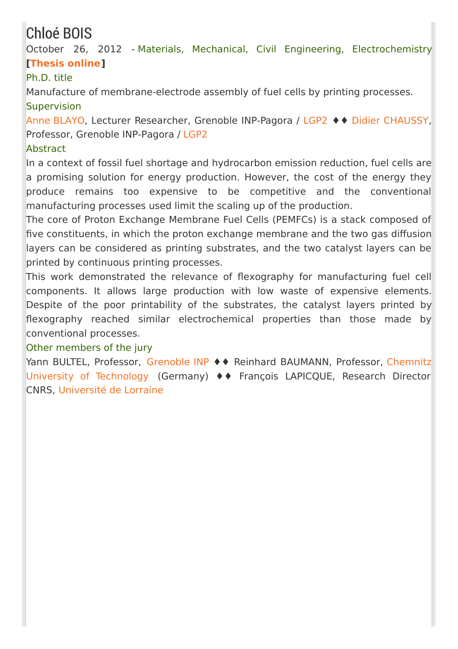## Chloé BOIS

October 26, 2012 - Materials, Mechanical, Civil Engineering, Electrochemistry **[\[Thesis](https://tel.archives-ouvertes.fr/tel-00844403) online]**

### Ph.D. title

Manufacture of membrane-electrode assembly of fuel cells by printing processes. **Supervision** 

Anne [BLAYO](http://pagora.grenoble-inp.fr/fr/annuaire/blayo-anne), Lecturer Researcher, Grenoble INP-Pagora / [LGP2](http://pagora.grenoble-inp.fr/fr/recherche) ♦♦ Didier [CHAUSSY](http://pagora.grenoble-inp.fr/fr/annuaire/m-chaussy-didier), Professor, Grenoble INP-Pagora / [LGP2](http://pagora.grenoble-inp.fr/fr/recherche)

#### Abstract

In a context of fossil fuel shortage and hydrocarbon emission reduction, fuel cells are a promising solution for energy production. However, the cost of the energy they produce remains too expensive to be competitive and the conventional manufacturing processes used limit the scaling up of the production.

The core of Proton Exchange Membrane Fuel Cells (PEMFCs) is a stack composed of five constituents, in which the proton exchange membrane and the two gas diffusion layers can be considered as printing substrates, and the two catalyst layers can be printed by continuous printing processes.

This work demonstrated the relevance of flexography for manufacturing fuel cell components. It allows large production with low waste of expensive elements. Despite of the poor printability of the substrates, the catalyst layers printed by flexography reached similar electrochemical properties than those made by conventional processes.

#### Other members of the jury

Yann BULTEL, Professor, [Grenoble](http://www.grenoble-inp.fr/fr/ecoles-d-ingenieurs-et-formations-de-docteurs-grenoble-inp) INP ♦ ♦ Reinhard BAUMANN, Professor, Chemnitz University of [Technology](http://www.tu-chemnitz.de/tu/sprachen/engl/) (Germany) ♦♦ François LAPICQUE, Research Director CNRS, [Université](http://www.univ-lorraine.fr/) de Lorraine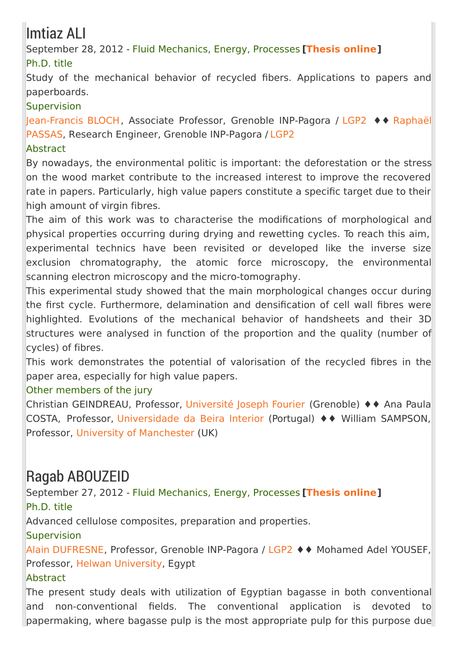## Imtiaz ALI

September 28, 2012 - Fluid Mechanics, Energy, Processes **[\[Thesis](https://tel.archives-ouvertes.fr/tel-00872112) online]** Ph.D. title

Study of the mechanical behavior of recycled fibers. Applications to papers and paperboards.

#### **Supervision**

[Jean-Francis](http://pagora.grenoble-inp.fr/fr/annuaire/m-passas-raphael) BLOCH, Associate Professor, Grenoble INP-Pagora / [LGP2](http://pagora.grenoble-inp.fr/fr/recherche) ♦♦ Raphaël PASSAS, Research Engineer, Grenoble INP-Pagora / [LGP2](http://pagora.grenoble-inp.fr/fr/recherche)

#### Abstract

By nowadays, the environmental politic is important: the deforestation or the stress on the wood market contribute to the increased interest to improve the recovered rate in papers. Particularly, high value papers constitute a specific target due to their high amount of virgin fibres.

The aim of this work was to characterise the modifications of morphological and physical properties occurring during drying and rewetting cycles. To reach this aim, experimental technics have been revisited or developed like the inverse size exclusion chromatography, the atomic force microscopy, the environmental scanning electron microscopy and the micro-tomography.

This experimental study showed that the main morphological changes occur during the first cycle. Furthermore, delamination and densification of cell wall fibres were highlighted. Evolutions of the mechanical behavior of handsheets and their 3D structures were analysed in function of the proportion and the quality (number of cycles) of fibres.

This work demonstrates the potential of valorisation of the recycled fibres in the paper area, especially for high value papers.

#### Other members of the jury

Christian GEINDREAU, Professor, [Université](http://www.ujf-grenoble.fr/) Joseph Fourier (Grenoble) ♦♦ Ana Paula COSTA, Professor, [Universidade](https://www.ubi.pt) da Beira Interior (Portugal) ♦♦ William SAMPSON, Professor, University of [Manchester](http://www.manchester.ac.uk/) (UK)

### Ragab ABOUZEID

September 27, 2012 - Fluid Mechanics, Energy, Processes **[\[Thesis](https://tel.archives-ouvertes.fr/tel-00947624) online]** Ph.D. title

Advanced cellulose composites, preparation and properties.

**Supervision** 

Alain [DUFRESNE](http://pagora.grenoble-inp.fr/fr/annuaire/dufresne-alain), Professor, Grenoble INP-Pagora / [LGP2](http://pagora.grenoble-inp.fr/fr/recherche) ♦♦ Mohamed Adel YOUSEF, Professor, Helwan [University](https://en.wikipedia.org/wiki/Helwan_University), Egypt

#### Abstract

The present study deals with utilization of Egyptian bagasse in both conventional and non-conventional fields. The conventional application is devoted to papermaking, where bagasse pulp is the most appropriate pulp for this purpose due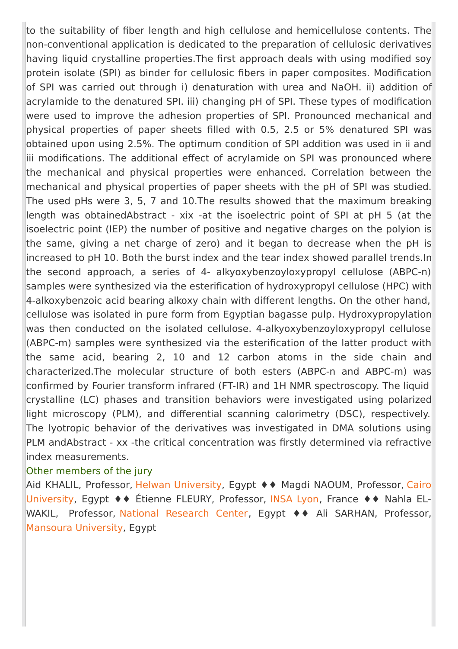to the suitability of fiber length and high cellulose and hemicellulose contents. The non-conventional application is dedicated to the preparation of cellulosic derivatives having liquid crystalline properties. The first approach deals with using modified soy protein isolate (SPI) as binder for cellulosic fibers in paper composites. Modification of SPI was carried out through i) denaturation with urea and NaOH. ii) addition of acrylamide to the denatured SPI. iii) changing pH of SPI. These types of modification were used to improve the adhesion properties of SPI. Pronounced mechanical and physical properties of paper sheets filled with 0.5, 2.5 or 5% denatured SPI was obtained upon using 2.5%. The optimum condition of SPI addition was used in ii and iii modifications. The additional effect of acrylamide on SPI was pronounced where the mechanical and physical properties were enhanced. Correlation between the mechanical and physical properties of paper sheets with the pH of SPI was studied. The used pHs were 3, 5, 7 and 10.The results showed that the maximum breaking length was obtainedAbstract - xix -at the isoelectric point of SPI at pH 5 (at the isoelectric point (IEP) the number of positive and negative charges on the polyion is the same, giving a net charge of zero) and it began to decrease when the pH is increased to pH 10. Both the burst index and the tear index showed parallel trends.In the second approach, a series of 4- alkyoxybenzoyloxypropyl cellulose (ABPC-n) samples were synthesized via the esterification of hydroxypropyl cellulose (HPC) with 4-alkoxybenzoic acid bearing alkoxy chain with different lengths. On the other hand, cellulose was isolated in pure form from Egyptian bagasse pulp. Hydroxypropylation was then conducted on the isolated cellulose. 4-alkyoxybenzoyloxypropyl cellulose (ABPC-m) samples were synthesized via the esterification of the latter product with the same acid, bearing 2, 10 and 12 carbon atoms in the side chain and characterized.The molecular structure of both esters (ABPC-n and ABPC-m) was confirmed by Fourier transform infrared (FT-IR) and 1H NMR spectroscopy. The liquid crystalline (LC) phases and transition behaviors were investigated using polarized light microscopy (PLM), and differential scanning calorimetry (DSC), respectively. The lyotropic behavior of the derivatives was investigated in DMA solutions using PLM andAbstract - xx -the critical concentration was firstly determined via refractive index measurements.

#### Other members of the jury

Aid KHALIL, Professor, Helwan [University,](https://cu.edu.eg/Home) Egypt ♦♦ Magdi NAOUM, Professor, Cairo University, Egypt ♦♦ Étienne FLEURY, Professor, [INSA](https://www.insa-lyon.fr/) Lyon, France ♦♦ Nahla EL-WAKIL, Professor, National [Research](http://www.nrc.sci.eg/nrc/#.VsR_bFJZsZM) Center, Egypt ♦♦ Ali SARHAN, Professor, Mansoura [University](http://www.mans.edu.eg/en), Egypt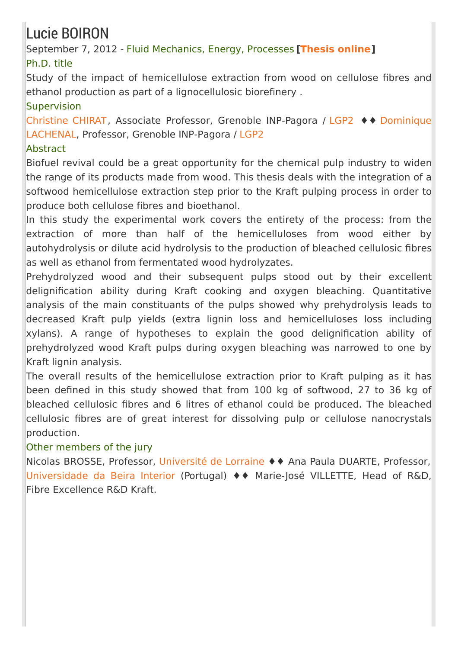## Lucie BOIRON

September 7, 2012 - Fluid Mechanics, Energy, Processes **[\[Thesis](https://tel.archives-ouvertes.fr/tel-01683106) online]** Ph.D. title

Study of the impact of hemicellulose extraction from wood on cellulose fibres and ethanol production as part of a lignocellulosic biorefinery .

#### Supervision

[Christine](http://pagora.grenoble-inp.fr/fr/annuaire/mme-chirat-christine) CHIRAT, Associate Professor, Grenoble [INP-Pagora](http://pagora.grenoble-inp.fr/fr/annuaire/lachenal-dominique) / [LGP2](http://pagora.grenoble-inp.fr/fr/recherche) ♦♦ Dominique LACHENAL, Professor, Grenoble INP-Pagora / [LGP2](http://pagora.grenoble-inp.fr/fr/recherche)

#### **Abstract**

Biofuel revival could be a great opportunity for the chemical pulp industry to widen the range of its products made from wood. This thesis deals with the integration of a softwood hemicellulose extraction step prior to the Kraft pulping process in order to produce both cellulose fibres and bioethanol.

In this study the experimental work covers the entirety of the process: from the extraction of more than half of the hemicelluloses from wood either by autohydrolysis or dilute acid hydrolysis to the production of bleached cellulosic fibres as well as ethanol from fermentated wood hydrolyzates.

Prehydrolyzed wood and their subsequent pulps stood out by their excellent delignification ability during Kraft cooking and oxygen bleaching. Quantitative analysis of the main constituants of the pulps showed why prehydrolysis leads to decreased Kraft pulp yields (extra lignin loss and hemicelluloses loss including xylans). A range of hypotheses to explain the good delignification ability of prehydrolyzed wood Kraft pulps during oxygen bleaching was narrowed to one by Kraft lignin analysis.

The overall results of the hemicellulose extraction prior to Kraft pulping as it has been defined in this study showed that from 100 kg of softwood, 27 to 36 kg of bleached cellulosic fibres and 6 litres of ethanol could be produced. The bleached cellulosic fibres are of great interest for dissolving pulp or cellulose nanocrystals production.

#### Other members of the jury

Nicolas BROSSE, Professor, [Université](http://www.univ-lorraine.fr/) de Lorraine ♦♦ Ana Paula DUARTE, Professor, [Universidade](https://www.ubi.pt/) da Beira Interior (Portugal) ♦♦ Marie-José VILLETTE, Head of R&D, Fibre Excellence R&D Kraft.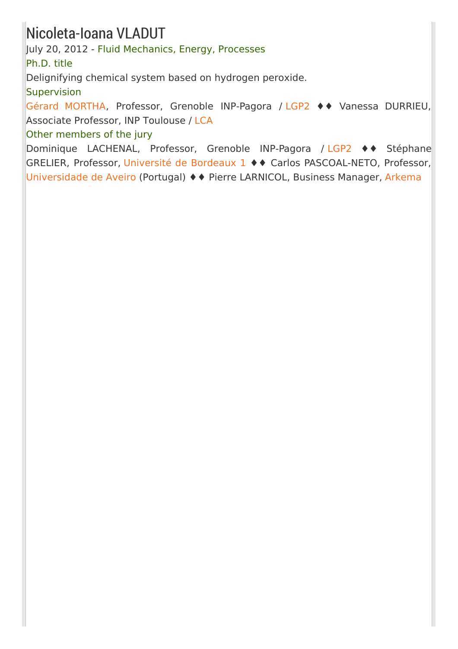### Nicoleta-Ioana VLADUT

July 20, 2012 - Fluid Mechanics, Energy, Processes

Ph.D. title

Delignifying chemical system based on hydrogen peroxide.

**Supervision** 

Gérard [MORTHA](http://pagora.grenoble-inp.fr/fr/annuaire/m-mortha-gerard), Professor, Grenoble INP-Pagora / [LGP2](http://pagora.grenoble-inp.fr/fr/recherche) ♦♦ Vanessa DURRIEU, Associate Professor, INP Toulouse / [LCA](http://www6.toulouse.inra.fr/lca)

Other members of the jury

Dominique LACHENAL, Professor, Grenoble INP-Pagora / [LGP2](http://pagora.grenoble-inp.fr/fr/recherche) ♦♦ Stéphane GRELIER, Professor, [Université](http://www.u-bordeaux.fr/) de Bordeaux 1 ♦♦ Carlos PASCOAL-NETO, Professor, [Universidade](http://www.ua.pt/) de Aveiro (Portugal) ♦♦ Pierre LARNICOL, Business Manager, [Arkema](http://www.arkema.fr/fr/)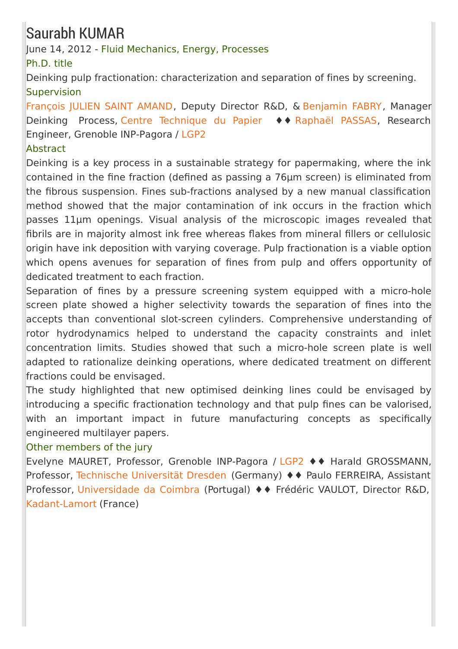### Saurabh KUMAR

June 14, 2012 - Fluid Mechanics, Energy, Processes

Ph.D. title

Deinking pulp fractionation: characterization and separation of fines by screening. **Supervision** 

[François](mailto:Francois%2EJulien-Saint-Amand%40webCTP%2Ecom) JULIEN SAINT AMAND, Deputy Director R&D, & [Benjamin](mailto:Benjamin%2EFabry%40webCTP%2Ecom) FABRY, Manager Deinking Process, Centre [Technique](http://www.webctp.com/) du Papier ♦♦ [Raphaël](http://pagora.grenoble-inp.fr/fr/annuaire/m-passas-raphael) PASSAS, Research Engineer, Grenoble INP-Pagora / [LGP2](http://pagora.grenoble-inp.fr/fr/recherche)

#### Abstract

Deinking is a key process in a sustainable strategy for papermaking, where the ink contained in the fine fraction (defined as passing a 76µm screen) is eliminated from the fibrous suspension. Fines sub-fractions analysed by a new manual classification method showed that the major contamination of ink occurs in the fraction which passes 11µm openings. Visual analysis of the microscopic images revealed that fibrils are in majority almost ink free whereas flakes from mineral fillers or cellulosic origin have ink deposition with varying coverage. Pulp fractionation is a viable option which opens avenues for separation of fines from pulp and offers opportunity of dedicated treatment to each fraction.

Separation of fines by a pressure screening system equipped with a micro-hole screen plate showed a higher selectivity towards the separation of fines into the accepts than conventional slot-screen cylinders. Comprehensive understanding of rotor hydrodynamics helped to understand the capacity constraints and inlet concentration limits. Studies showed that such a micro-hole screen plate is well adapted to rationalize deinking operations, where dedicated treatment on different fractions could be envisaged.

The study highlighted that new optimised deinking lines could be envisaged by introducing a specific fractionation technology and that pulp fines can be valorised, with an important impact in future manufacturing concepts as specifically engineered multilayer papers.

#### Other members of the jury

Evelyne MAURET, Professor, Grenoble INP-Pagora / [LGP2](http://pagora.grenoble-inp.fr/fr/recherche) ♦♦ Harald GROSSMANN, Professor, Technische [Universität](http://tu-dresden.de/) Dresden (Germany) ♦♦ Paulo FERREIRA, Assistant Professor, [Universidade](http://www.uc.pt/) da Coimbra (Portugal) ♦♦ Frédéric VAULOT, Director R&D, [Kadant-Lamort](http://www.kadant.com/) (France)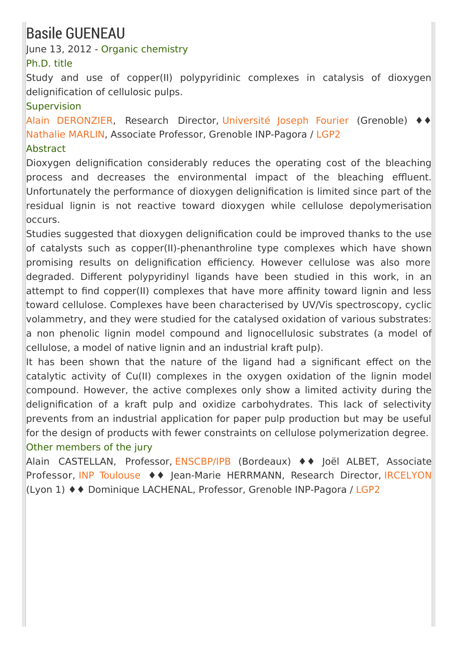### Basile GUENEAU

June 13, 2012 - Organic chemistry

#### Ph.D. title

Study and use of copper(II) polypyridinic complexes in catalysis of dioxygen delignification of cellulosic pulps.

#### **Supervision**

Alain [DERONZIER](mailto:alain%2Ederonzier%40ujf-grenoble%2Efr), Research Director, [Université](http://www.ujf-grenoble.fr/) Joseph Fourier (Grenoble) ♦♦ [Nathalie](http://pagora.grenoble-inp.fr/fr/annuaire/mme-marlin-nathalie) MARLIN, Associate Professor, Grenoble INP-Pagora / [LGP2](http://pagora.grenoble-inp.fr/fr/recherche)

#### Abstract

Dioxygen delignification considerably reduces the operating cost of the bleaching process and decreases the environmental impact of the bleaching effluent. Unfortunately the performance of dioxygen delignification is limited since part of the residual lignin is not reactive toward dioxygen while cellulose depolymerisation occurs.

Studies suggested that dioxygen delignification could be improved thanks to the use of catalysts such as copper(II)-phenanthroline type complexes which have shown promising results on delignification efficiency. However cellulose was also more degraded. Different polypyridinyl ligands have been studied in this work, in an attempt to find copper(II) complexes that have more affinity toward lignin and less toward cellulose. Complexes have been characterised by UV/Vis spectroscopy, cyclic volammetry, and they were studied for the catalysed oxidation of various substrates: a non phenolic lignin model compound and lignocellulosic substrates (a model of cellulose, a model of native lignin and an industrial kraft pulp).

It has been shown that the nature of the ligand had a significant effect on the catalytic activity of Cu(II) complexes in the oxygen oxidation of the lignin model compound. However, the active complexes only show a limited activity during the delignification of a kraft pulp and oxidize carbohydrates. This lack of selectivity prevents from an industrial application for paper pulp production but may be useful for the design of products with fewer constraints on cellulose polymerization degree. Other members of the jury

Alain CASTELLAN, Professor, [ENSCBP/IPB](http://www.enscbp.fr/) (Bordeaux) ♦♦ Joël ALBET, Associate Professor, INP [Toulouse](http://www.inp-toulouse.fr) ♦♦ Jean-Marie HERRMANN, Research Director, [IRCELYON](http://www.ircelyon.univ-lyon1.fr/) (Lyon 1) ♦♦ Dominique LACHENAL, Professor, Grenoble INP-Pagora / [LGP2](http://pagora.grenoble-inp.fr/fr/recherche)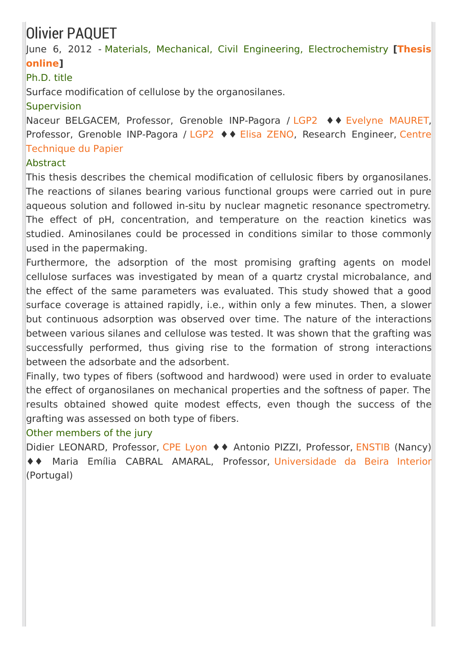## Olivier PAQUET

June 6, 2012 - Materials, Mechanical, Civil Engineering, [Electrochemistry](https://tel.archives-ouvertes.fr/tel-01017164) **[Thesis online]**

#### Ph.D. title

Surface modification of cellulose by the organosilanes.

#### Supervision

Naceur BELGACEM, Professor, Grenoble INP-Pagora / [LGP2](http://pagora.grenoble-inp.fr/fr/recherche) ♦♦ Evelyne [MAURET](http://pagora.grenoble-inp.fr/fr/annuaire/mme-mauret-evelyne), Professor, Grenoble [INP-Pagora](http://www.webctp.com/) / [LGP2](http://pagora.grenoble-inp.fr/fr/recherche) ♦♦ Elisa [ZENO](mailto:Elisa%2EZeno%40webCTP%2Ecom), Research Engineer, Centre Technique du Papier

#### Abstract

This thesis describes the chemical modification of cellulosic fibers by organosilanes. The reactions of silanes bearing various functional groups were carried out in pure aqueous solution and followed in-situ by nuclear magnetic resonance spectrometry. The effect of pH, concentration, and temperature on the reaction kinetics was studied. Aminosilanes could be processed in conditions similar to those commonly used in the papermaking.

Furthermore, the adsorption of the most promising grafting agents on model cellulose surfaces was investigated by mean of a quartz crystal microbalance, and the effect of the same parameters was evaluated. This study showed that a good surface coverage is attained rapidly, i.e., within only a few minutes. Then, a slower but continuous adsorption was observed over time. The nature of the interactions between various silanes and cellulose was tested. It was shown that the grafting was successfully performed, thus giving rise to the formation of strong interactions between the adsorbate and the adsorbent.

Finally, two types of fibers (softwood and hardwood) were used in order to evaluate the effect of organosilanes on mechanical properties and the softness of paper. The results obtained showed quite modest effects, even though the success of the grafting was assessed on both type of fibers.

#### Other members of the jury

Didier LEONARD, Professor, CPE [Lyon](http://www.cpe.fr/) ♦ ♦ Antonio PIZZI, Professor, [ENSTIB](http://www.enstib.uhp-nancy.fr/fr/) (Nancy) ♦♦ Maria Emília CABRAL AMARAL, Professor, [Universidade](https://www.ubi.pt/Index.aspx) da Beira Interior (Portugal)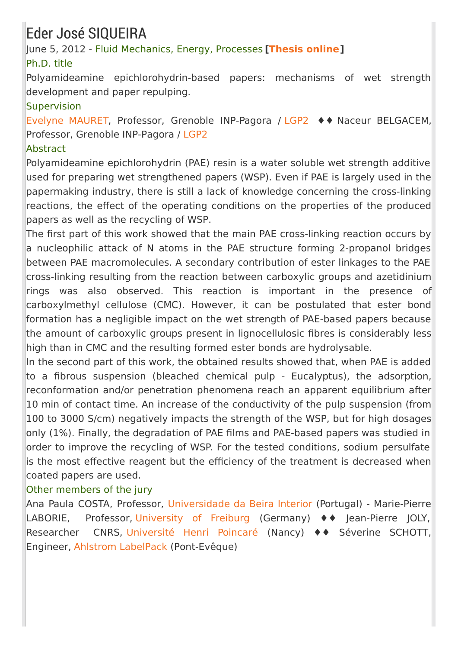## Eder José SIQUEIRA

June 5, 2012 - Fluid Mechanics, Energy, Processes **[\[Thesis](https://tel.archives-ouvertes.fr/tel-00952991) online]** Ph.D. title

Polyamideamine epichlorohydrin-based papers: mechanisms of wet strength development and paper repulping.

#### **Supervision**

Evelyne [MAURET](http://pagora.grenoble-inp.fr/fr/annuaire/mme-mauret-evelyne), Professor, Grenoble INP-Pagora / [LGP2](http://pagora.grenoble-inp.fr/fr/recherche) ♦♦ Naceur BELGACEM, Professor, Grenoble INP-Pagora / [LGP2](http://pagora.grenoble-inp.fr/fr/recherche)

#### Abstract

Polyamideamine epichlorohydrin (PAE) resin is a water soluble wet strength additive used for preparing wet strengthened papers (WSP). Even if PAE is largely used in the papermaking industry, there is still a lack of knowledge concerning the cross-linking reactions, the effect of the operating conditions on the properties of the produced papers as well as the recycling of WSP.

The first part of this work showed that the main PAE cross-linking reaction occurs by a nucleophilic attack of N atoms in the PAE structure forming 2-propanol bridges between PAE macromolecules. A secondary contribution of ester linkages to the PAE cross-linking resulting from the reaction between carboxylic groups and azetidinium rings was also observed. This reaction is important in the presence of carboxylmethyl cellulose (CMC). However, it can be postulated that ester bond formation has a negligible impact on the wet strength of PAE-based papers because the amount of carboxylic groups present in lignocellulosic fibres is considerably less high than in CMC and the resulting formed ester bonds are hydrolysable.

In the second part of this work, the obtained results showed that, when PAE is added to a fibrous suspension (bleached chemical pulp - Eucalyptus), the adsorption, reconformation and/or penetration phenomena reach an apparent equilibrium after 10 min of contact time. An increase of the conductivity of the pulp suspension (from 100 to 3000 S/cm) negatively impacts the strength of the WSP, but for high dosages only (1%). Finally, the degradation of PAE films and PAE-based papers was studied in order to improve the recycling of WSP. For the tested conditions, sodium persulfate is the most effective reagent but the efficiency of the treatment is decreased when coated papers are used.

#### Other members of the jury

Ana Paula COSTA, Professor, [Universidade](https://www.ubi.pt/) da Beira Interior (Portugal) - Marie-Pierre LABORIE, Professor, [University](http://www.uni-freiburg.de/start-en.html?set_language=en) of Freiburg (Germany) ♦♦ Jean-Pierre JOLY, Researcher CNRS, [Université](http://www.uhp-nancy.fr/) Henri Poincaré (Nancy) ♦♦ Séverine SCHOTT, Engineer, Ahlstrom [LabelPack](http://www.ahlstrom.com/en/Pages/default.aspx) (Pont-Evêque)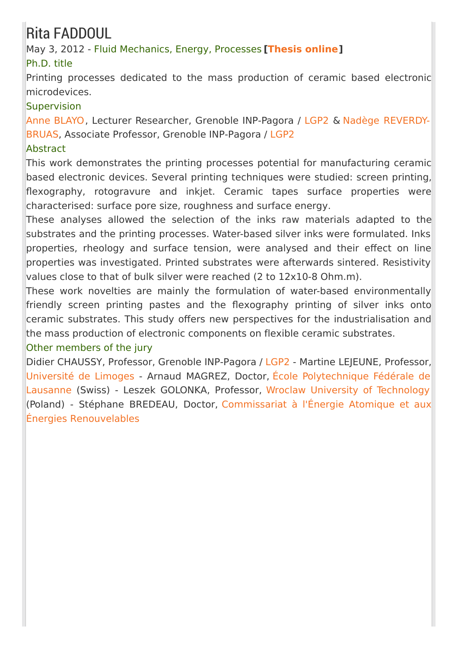## Rita FADDOUL

May 3, 2012 - Fluid Mechanics, Energy, Processes **[\[Thesis](https://tel.archives-ouvertes.fr/tel-00858909) online]**

### Ph.D. title

Printing processes dedicated to the mass production of ceramic based electronic microdevices.

#### Supervision

Anne [BLAYO](http://pagora.grenoble-inp.fr/fr/annuaire/blayo-anne), Lecturer [Researcher,](http://pagora.grenoble-inp.fr/fr/annuaire/mme-reverdy-bruas-nadege) Grenoble INP-Pagora / [LGP2](http://pagora.grenoble-inp.fr/fr/recherche) & Nadège REVERDY-BRUAS, Associate Professor, Grenoble INP-Pagora / [LGP2](http://pagora.grenoble-inp.fr/fr/recherche)

#### Abstract

This work demonstrates the printing processes potential for manufacturing ceramic based electronic devices. Several printing techniques were studied: screen printing, flexography, rotogravure and inkjet. Ceramic tapes surface properties were characterised: surface pore size, roughness and surface energy.

These analyses allowed the selection of the inks raw materials adapted to the substrates and the printing processes. Water-based silver inks were formulated. Inks properties, rheology and surface tension, were analysed and their effect on line properties was investigated. Printed substrates were afterwards sintered. Resistivity values close to that of bulk silver were reached (2 to 12x10-8 Ohm.m).

These work novelties are mainly the formulation of water-based environmentally friendly screen printing pastes and the flexography printing of silver inks onto ceramic substrates. This study offers new perspectives for the industrialisation and the mass production of electronic components on flexible ceramic substrates.

#### Other members of the jury

Didier CHAUSSY, Professor, Grenoble INP-Pagora / [LGP2](http://pagora.grenoble-inp.fr/fr/recherche) - Martine LEJEUNE, Professor, [Université](http://www.sciences.unilim.fr/) de Limoges - Arnaud MAGREZ, Doctor, École [Polytechnique](http://www.epfl.ch/) Fédérale de Lausanne (Swiss) - Leszek GOLONKA, Professor, Wroclaw University of [Technology](http://www.portal.pwr.wroc.pl/index.dhtml) (Poland) - Stéphane BREDEAU, Doctor, Commissariat à l'Énergie Atomique et aux Énergies [Renouvelables](http://www.cea.fr/)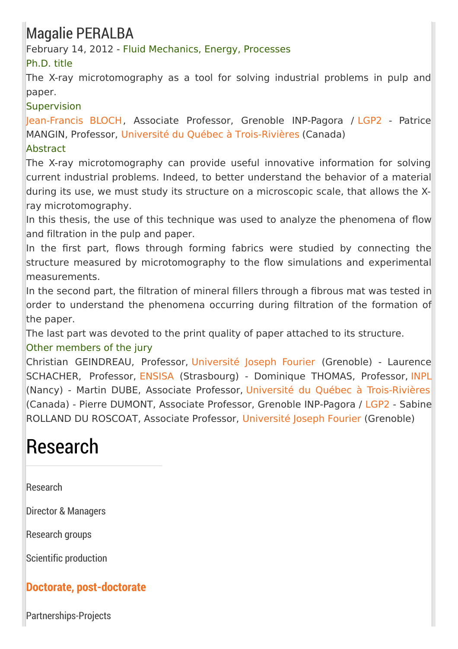## Magalie PERALBA

February 14, 2012 - Fluid Mechanics, Energy, Processes

### Ph.D. title

The X-ray microtomography as a tool for solving industrial problems in pulp and paper.

#### **Supervision**

[Jean-Francis](http://pagora.grenoble-inp.fr/fr/annuaire/bloch-jean-francis) BLOCH, Associate Professor, Grenoble INP-Pagora / [LGP2](http://pagora.grenoble-inp.fr/fr/recherche) - Patrice MANGIN, Professor, Université du Québec à [Trois-Rivières](http://www.uqtr.ca/) (Canada) Abstract

The X-ray microtomography can provide useful innovative information for solving current industrial problems. Indeed, to better understand the behavior of a material during its use, we must study its structure on a microscopic scale, that allows the Xray microtomography.

In this thesis, the use of this technique was used to analyze the phenomena of flow and filtration in the pulp and paper.

In the first part, flows through forming fabrics were studied by connecting the structure measured by microtomography to the flow simulations and experimental measurements.

In the second part, the filtration of mineral fillers through a fibrous mat was tested in order to understand the phenomena occurring during filtration of the formation of the paper.

The last part was devoted to the print quality of paper attached to its structure.

### Other members of the jury

Christian GEINDREAU, Professor, [Université](http://www.ujf-grenoble.fr/) Joseph Fourier (Grenoble) - Laurence SCHACHER, Professor, [ENSISA](www.alsacetech.org/FR/formations/les-ecoles-et-l-offre-de-formation/ensisa.html) (Strasbourg) - Dominique THOMAS, Professor, [INPL](http://www.inpl-nancy.fr/) (Nancy) - Martin DUBE, Associate Professor, Université du Québec à [Trois-Rivières](http://www.uqtr.ca/) (Canada) - Pierre DUMONT, Associate Professor, Grenoble INP-Pagora / [LGP2](http://pagora.grenoble-inp.fr/fr/recherche) - Sabine ROLLAND DU ROSCOAT, Associate Professor, [Université](http://www.ujf-grenoble.fr/) Joseph Fourier (Grenoble)

# Research

[Research](http://pagora.grenoble-inp.fr/en/research?RH=EFP_EN-RESEARCH)

Director & [Managers](http://pagora.grenoble-inp.fr/en/research/director-managers)

[Research](http://pagora.grenoble-inp.fr/en/research/research-groups) groups

Scientific [production](http://pagora.grenoble-inp.fr/en/research/scientific-production)

### **Doctorate, [post-doctorate](http://pagora.grenoble-inp.fr/en/research/doctorate-post-doctorate)**

[Partnerships-Projects](http://pagora.grenoble-inp.fr/en/research/partnerships-projects)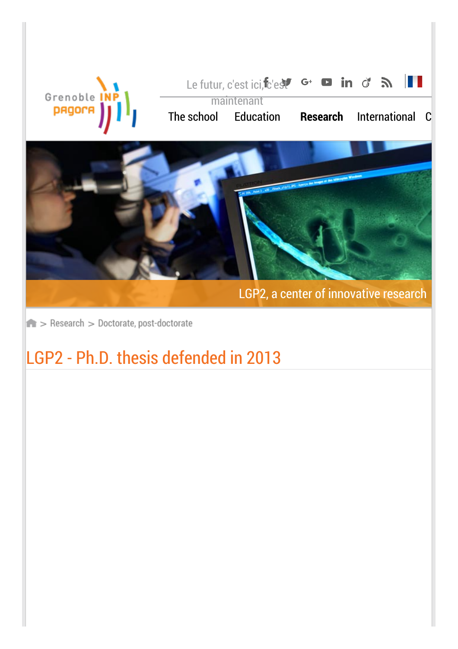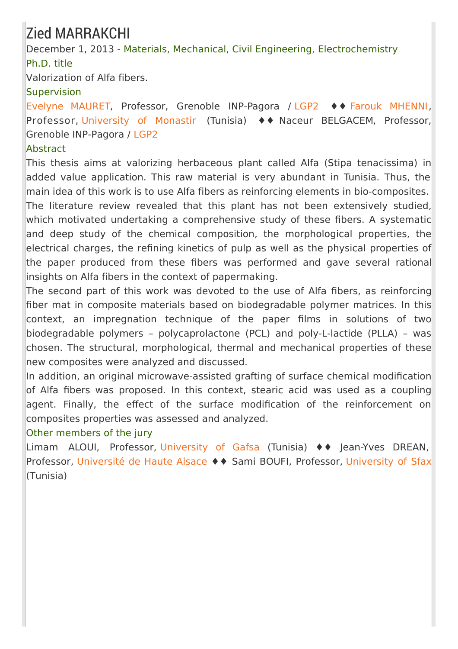# Zied MARRAKCHI

December 1, 2013 - Materials, Mechanical, Civil Engineering, Electrochemistry Ph.D. title

Valorization of Alfa fibers.

### **Supervision**

Evelyne [MAURET](http://pagora.grenoble-inp.fr/fr/annuaire/mme-mauret-evelyne), Professor, Grenoble INP-Pagora / [LGP2](http://pagora.grenoble-inp.fr/fr/recherche) ♦♦ Farouk [MHENNI](http://www.linkedin.com/pub/mhenni-farouk/20/4a0/84a), Professor, [University](http://www.um.rnu.tn/) of Monastir (Tunisia) ♦♦ Naceur BELGACEM, Professor, Grenoble INP-Pagora / [LGP2](http://pagora.grenoble-inp.fr/fr/recherche)

### Abstract

This thesis aims at valorizing herbaceous plant called Alfa (Stipa tenacissima) in added value application. This raw material is very abundant in Tunisia. Thus, the main idea of this work is to use Alfa fibers as reinforcing elements in bio-composites. The literature review revealed that this plant has not been extensively studied, which motivated undertaking a comprehensive study of these fibers. A systematic and deep study of the chemical composition, the morphological properties, the electrical charges, the refining kinetics of pulp as well as the physical properties of the paper produced from these fibers was performed and gave several rational insights on Alfa fibers in the context of papermaking.

The second part of this work was devoted to the use of Alfa fibers, as reinforcing fiber mat in composite materials based on biodegradable polymer matrices. In this context, an impregnation technique of the paper films in solutions of two biodegradable polymers – polycaprolactone (PCL) and poly-L-lactide (PLLA) – was chosen. The structural, morphological, thermal and mechanical properties of these new composites were analyzed and discussed.

In addition, an original microwave-assisted grafting of surface chemical modification of Alfa fibers was proposed. In this context, stearic acid was used as a coupling agent. Finally, the effect of the surface modification of the reinforcement on composites properties was assessed and analyzed.

### Other members of the jury

Limam ALOUI, Professor, [University](http://www.ugaf.rnu.tn/) of Gafsa (Tunisia) ♦♦ Jean-Yves DREAN, Professor, [Université](http://www.uha.fr/) de Haute Alsace ♦ ♦ Sami BOUFI, Professor, [University](http://www.uss.rnu.tn/) of Sfax (Tunisia)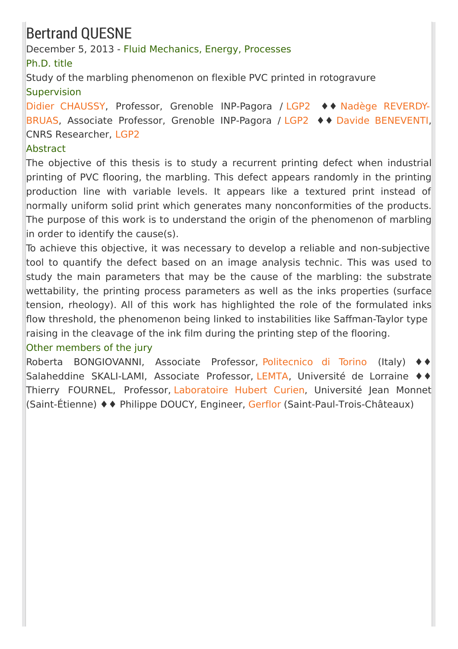# Bertrand QUESNE

December 5, 2013 - Fluid Mechanics, Energy, Processes

Ph.D. title

Study of the marbling phenomenon on flexible PVC printed in rotogravure **Supervision** 

Didier [CHAUSSY](http://pagora.grenoble-inp.fr/fr/annuaire/m-chaussy-didier), Professor, Grenoble INP-Pagora / [LGP2](http://pagora.grenoble-inp.fr/fr/recherche) ♦♦ Nadège REVERDY-BRUAS, Associate Professor, Grenoble INP-Pagora / [LGP2](http://pagora.grenoble-inp.fr/fr/recherche) ♦♦ Davide [BENEVENTI,](http://pagora.grenoble-inp.fr/fr/annuaire/mme-reverdy-bruas-nadege) CNRS Researcher, [LGP2](http://pagora.grenoble-inp.fr/fr/recherche)

### **Abstract**

The objective of this thesis is to study a recurrent printing defect when industrial printing of PVC flooring, the marbling. This defect appears randomly in the printing production line with variable levels. It appears like a textured print instead of normally uniform solid print which generates many nonconformities of the products. The purpose of this work is to understand the origin of the phenomenon of marbling in order to identify the cause(s).

To achieve this objective, it was necessary to develop a reliable and non-subjective tool to quantify the defect based on an image analysis technic. This was used to study the main parameters that may be the cause of the marbling: the substrate wettability, the printing process parameters as well as the inks properties (surface tension, rheology). All of this work has highlighted the role of the formulated inks flow threshold, the phenomenon being linked to instabilities like Saffman-Taylor type raising in the cleavage of the ink film during the printing step of the flooring.

### Other members of the jury

Roberta BONGIOVANNI, Associate Professor, [Politecnico](http://www.polito.it/) di Torino (Italy) ♦♦ Salaheddine SKALI-LAMI, Associate Professor, [LEMTA](http://lemta.univ-lorraine.fr/), Université de Lorraine ♦♦ Thierry FOURNEL, Professor, [Laboratoire](http://laboratoirehubertcurien.fr/) Hubert Curien, Université Jean Monnet (Saint-Étienne) ♦♦ Philippe DOUCY, Engineer, [Gerflor](http://www.gerflor.fr/) (Saint-Paul-Trois-Châteaux)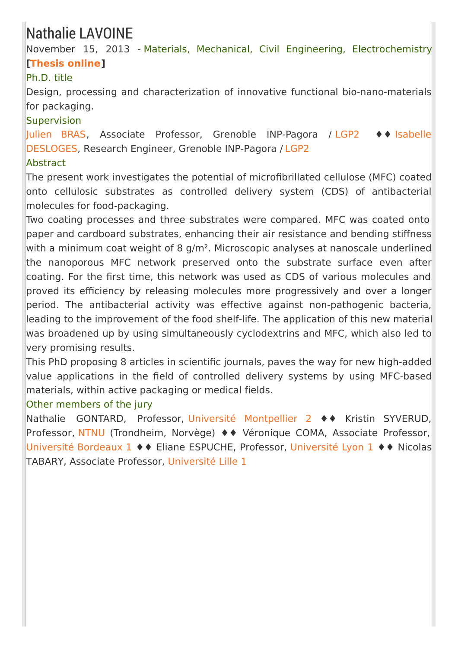# Nathalie LAVOINE

November 15, 2013 - Materials, Mechanical, Civil Engineering, Electrochemistry **[\[Thesis](https://tel.archives-ouvertes.fr/tel-01124263) online]**

### Ph.D. title

Design, processing and characterization of innovative functional bio-nano-materials for packaging.

### **Supervision**

[Julien](http://pagora.grenoble-inp.fr/fr/annuaire/m-bras-julien) BRAS, Associate Professor, Grenoble [INP-Pagora](http://pagora.grenoble-inp.fr/fr/annuaire/mme-desloges-isabelle) / [LGP2](http://pagora.grenoble-inp.fr/fr/recherche) ♦♦ Isabelle DESLOGES, Research Engineer, Grenoble INP-Pagora / [LGP2](http://pagora.grenoble-inp.fr/fr/recherche)

### **Abstract**

The present work investigates the potential of microfibrillated cellulose (MFC) coated onto cellulosic substrates as controlled delivery system (CDS) of antibacterial molecules for food-packaging.

Two coating processes and three substrates were compared. MFC was coated onto paper and cardboard substrates, enhancing their air resistance and bending stiffness with a minimum coat weight of 8 g/m<sup>2</sup>. Microscopic analyses at nanoscale underlined the nanoporous MFC network preserved onto the substrate surface even after coating. For the first time, this network was used as CDS of various molecules and proved its efficiency by releasing molecules more progressively and over a longer period. The antibacterial activity was effective against non-pathogenic bacteria, leading to the improvement of the food shelf-life. The application of this new material was broadened up by using simultaneously cyclodextrins and MFC, which also led to very promising results.

This PhD proposing 8 articles in scientific journals, paves the way for new high-added value applications in the field of controlled delivery systems by using MFC-based materials, within active packaging or medical fields.

### Other members of the jury

Nathalie GONTARD, Professor, Université [Montpellier](http://www.univ-montp2.fr/) 2 ♦♦ Kristin SYVERUD, Professor, [NTNU](http://www.ntnu.no/) (Trondheim, Norvège) ♦♦ Véronique COMA, Associate Professor, [Université](http://www.u-bordeaux1.fr/) Bordeaux 1 ♦♦ Eliane ESPUCHE, Professor, [Université](http://www.univ-lyon1.fr/) Lyon 1 ♦♦ Nicolas TABARY, Associate Professor, [Université](http://www.univ-lille1.fr/) Lille 1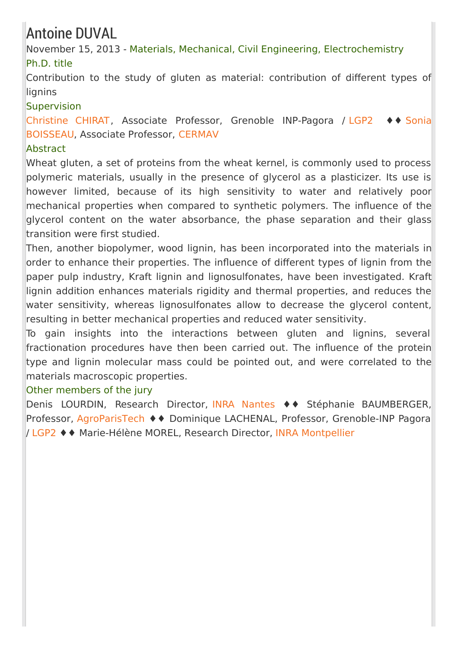## Antoine DUVAL

November 15, 2013 - Materials, Mechanical, Civil Engineering, Electrochemistry Ph.D. title

Contribution to the study of gluten as material: contribution of different types of lignins

### **Supervision**

[Christine](http://pagora.grenoble-inp.fr/fr/annuaire/mme-chirat-christine) CHIRAT, Associate Professor, Grenoble [INP-Pagora](http://www.cermav.cnrs.fr/fr/user/1415) / [LGP2](http://pagora.grenoble-inp.fr/fr/recherche) ♦♦ Sonia BOISSEAU, Associate Professor, [CERMAV](http://www.cermav.cnrs.fr/)

### Abstract

Wheat gluten, a set of proteins from the wheat kernel, is commonly used to process polymeric materials, usually in the presence of glycerol as a plasticizer. Its use is however limited, because of its high sensitivity to water and relatively poor mechanical properties when compared to synthetic polymers. The influence of the glycerol content on the water absorbance, the phase separation and their glass transition were first studied.

Then, another biopolymer, wood lignin, has been incorporated into the materials in order to enhance their properties. The influence of different types of lignin from the paper pulp industry, Kraft lignin and lignosulfonates, have been investigated. Kraft lignin addition enhances materials rigidity and thermal properties, and reduces the water sensitivity, whereas lignosulfonates allow to decrease the glycerol content, resulting in better mechanical properties and reduced water sensitivity.

To gain insights into the interactions between gluten and lignins, several fractionation procedures have then been carried out. The influence of the protein type and lignin molecular mass could be pointed out, and were correlated to the materials macroscopic properties.

### Other members of the jury

Denis LOURDIN, Research Director, INRA [Nantes](http://www.angers-nantes.inra.fr/) ♦♦ Stéphanie BAUMBERGER, Professor, [AgroParisTech](http://www.agroparistech.fr/) ♦♦ Dominique LACHENAL, Professor, Grenoble-INP Pagora / [LGP2](/recherche/lgp2-biomasse-biocomposite-biomateriau-fibre-nanocellulose-papier-emballage-chimie-verte-electronique-imprimee-impression-349729.kjsp?RH=EFP_REC-THESES) ♦♦ Marie-Hélène MOREL, Research Director, INRA [Montpellier](http://www.montpellier.inra.fr/)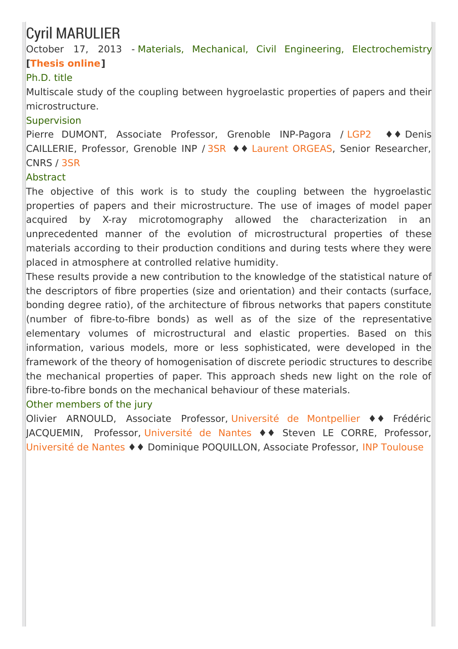# Cyril MARULIER

October 17, 2013 - Materials, Mechanical, Civil Engineering, Electrochemistry **[\[Thesis](https://tel.archives-ouvertes.fr/tel-01204796) online]**

### Ph.D. title

Multiscale study of the coupling between hygroelastic properties of papers and their microstructure.

### **Supervision**

Pierre DUMONT, Associate Professor, Grenoble INP-Pagora / [LGP2](http://pagora.grenoble-inp.fr/fr/recherche) ♦♦ Denis CAILLERIE, Professor, Grenoble INP / [3SR](http://www.3sr-grenoble.fr/) ♦♦ Laurent [ORGEAS](http://www.grenoble-inp.fr/fr/personnel/orgeas-laurent), Senior Researcher, CNRS / [3SR](http://www.3sr-grenoble.fr/)

### **Abstract**

The objective of this work is to study the coupling between the hygroelastic properties of papers and their microstructure. The use of images of model paper acquired by X-ray microtomography allowed the characterization in an unprecedented manner of the evolution of microstructural properties of these materials according to their production conditions and during tests where they were placed in atmosphere at controlled relative humidity.

These results provide a new contribution to the knowledge of the statistical nature of the descriptors of fibre properties (size and orientation) and their contacts (surface, bonding degree ratio), of the architecture of fibrous networks that papers constitute (number of fibre-to-fibre bonds) as well as of the size of the representative elementary volumes of microstructural and elastic properties. Based on this information, various models, more or less sophisticated, were developed in the framework of the theory of homogenisation of discrete periodic structures to describe the mechanical properties of paper. This approach sheds new light on the role of fibre-to-fibre bonds on the mechanical behaviour of these materials.

### Other members of the jury

Olivier ARNOULD, Associate Professor, Université de [Montpellier](http://www.univ-montp2.fr/) ♦♦ Frédéric JACQUEMIN, Professor, [Université](http://www.univ-nantes.fr/) de Nantes ♦♦ Steven LE CORRE, Professor, [Université](http://www.univ-nantes.fr/) de Nantes ♦♦ Dominique POQUILLON, Associate Professor, INP [Toulouse](http://www.inp-toulouse.fr/fr/index.html)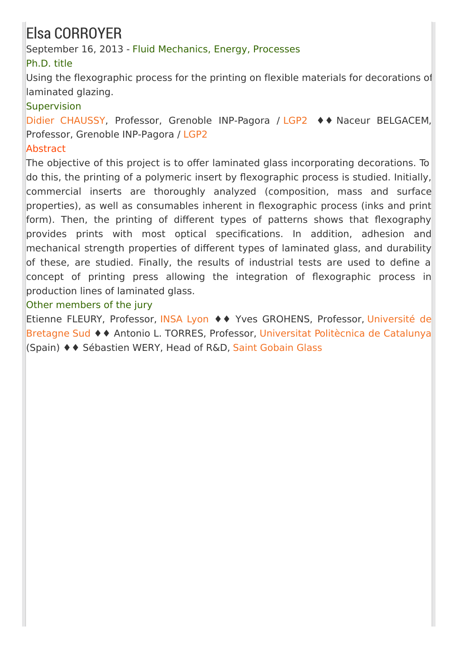# Elsa CORROYER

September 16, 2013 - Fluid Mechanics, Energy, Processes

### Ph.D. title

Using the flexographic process for the printing on flexible materials for decorations of laminated glazing.

### **Supervision**

Didier [CHAUSSY](http://pagora.grenoble-inp.fr/fr/annuaire/m-chaussy-didier), Professor, Grenoble INP-Pagora / [LGP2](http://pagora.grenoble-inp.fr/fr/recherche) ♦♦ Naceur BELGACEM, Professor, Grenoble INP-Pagora / [LGP2](http://pagora.grenoble-inp.fr/fr/recherche)

### Abstract

The objective of this project is to offer laminated glass incorporating decorations. To do this, the printing of a polymeric insert by flexographic process is studied. Initially, commercial inserts are thoroughly analyzed (composition, mass and surface properties), as well as consumables inherent in flexographic process (inks and print form). Then, the printing of different types of patterns shows that flexography provides prints with most optical specifications. In addition, adhesion and mechanical strength properties of different types of laminated glass, and durability of these, are studied. Finally, the results of industrial tests are used to define a concept of printing press allowing the integration of flexographic process in production lines of laminated glass.

### Other members of the jury

Etienne FLEURY, Professor, [INSA](http://www.insa-lyon.fr) Lyon ♦♦ Yves [GROHENS,](http://www.univ-ubs.fr) Professor, Université de Bretagne Sud ♦♦ Antonio L. TORRES, Professor, [Universitat](http://www.upc.edu/) Politècnica de Catalunya (Spain) ♦♦ Sébastien WERY, Head of R&D, Saint [Gobain](http://fr.saint-gobain-glass.com/) Glass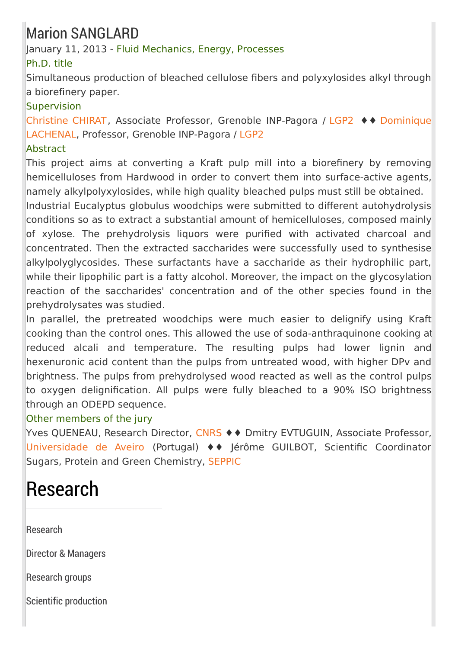# Marion SANGLARD

### January 11, 2013 - Fluid Mechanics, Energy, Processes

### Ph.D. title

Simultaneous production of bleached cellulose fibers and polyxylosides alkyl through a biorefinery paper.

### **Supervision**

[Christine](http://pagora.grenoble-inp.fr/fr/annuaire/mme-chirat-christine) CHIRAT, Associate Professor, Grenoble [INP-Pagora](http://pagora.grenoble-inp.fr/fr/annuaire/lachenal-dominique) / [LGP2](http://pagora.grenoble-inp.fr/fr/recherche) ♦♦ Dominique LACHENAL, Professor, Grenoble INP-Pagora / [LGP2](http://pagora.grenoble-inp.fr/fr/recherche)

### Abstract

This project aims at converting a Kraft pulp mill into a biorefinery by removing hemicelluloses from Hardwood in order to convert them into surface-active agents, namely alkylpolyxylosides, while high quality bleached pulps must still be obtained.

Industrial Eucalyptus globulus woodchips were submitted to different autohydrolysis conditions so as to extract a substantial amount of hemicelluloses, composed mainly of xylose. The prehydrolysis liquors were purified with activated charcoal and concentrated. Then the extracted saccharides were successfully used to synthesise alkylpolyglycosides. These surfactants have a saccharide as their hydrophilic part, while their lipophilic part is a fatty alcohol. Moreover, the impact on the glycosylation reaction of the saccharides' concentration and of the other species found in the prehydrolysates was studied.

In parallel, the pretreated woodchips were much easier to delignify using Kraft cooking than the control ones. This allowed the use of soda-anthraquinone cooking at reduced alcali and temperature. The resulting pulps had lower lignin and hexenuronic acid content than the pulps from untreated wood, with higher DPv and brightness. The pulps from prehydrolysed wood reacted as well as the control pulps to oxygen delignification. All pulps were fully bleached to a 90% ISO brightness through an ODEPD sequence.

### Other members of the jury

Yves QUENEAU, Research Director, [CNRS](http://www.cnrs.fr/) ♦ ♦ Dmitry EVTUGUIN, Associate Professor, [Universidade](http://www.ua.pt/) de Aveiro (Portugal) ♦♦ Jérôme GUILBOT, Scientific Coordinator Sugars, Protein and Green Chemistry, [SEPPIC](http://www.seppic.com/index.html)

# Research

[Research](http://pagora.grenoble-inp.fr/en/research?RH=EFP_EN-RESEARCH)

Director & [Managers](http://pagora.grenoble-inp.fr/en/research/director-managers)

[Research](http://pagora.grenoble-inp.fr/en/research/research-groups) groups

Scientific [production](http://pagora.grenoble-inp.fr/en/research/scientific-production)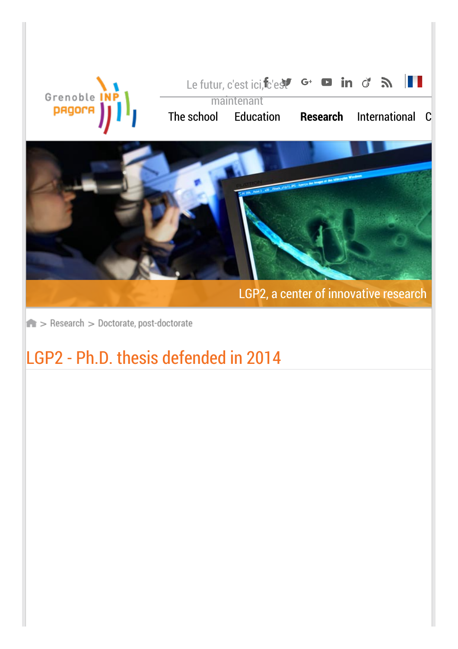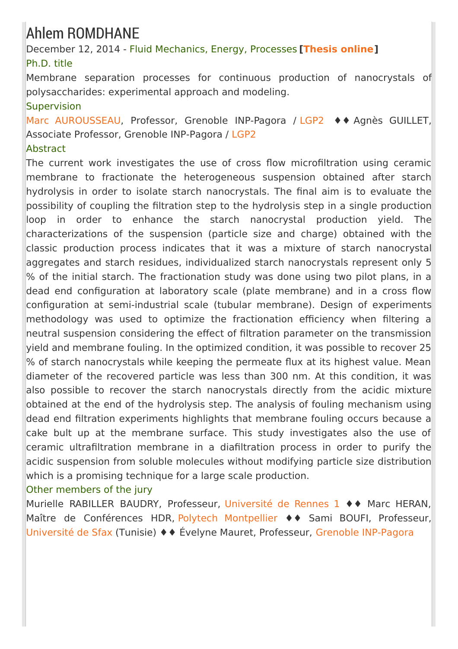# Ahlem ROMDHANE

December 12, 2014 - Fluid Mechanics, Energy, Processes **[\[Thesis](https://tel.archives-ouvertes.fr/tel-01153860) online]** Ph.D. title

Membrane separation processes for continuous production of nanocrystals of polysaccharides: experimental approach and modeling.

### Supervision

Marc [AUROUSSEAU](http://pagora.grenoble-inp.fr/fr/annuaire/m-aurousseau-marc), Professor, Grenoble INP-Pagora / [LGP2](http://pagora.grenoble-inp.fr/fr/recherche) ♦♦ Agnès GUILLET, Associate Professor, Grenoble INP-Pagora / [LGP2](http://pagora.grenoble-inp.fr/fr/recherche)

### **Abstract**

The current work investigates the use of cross flow microfiltration using ceramic membrane to fractionate the heterogeneous suspension obtained after starch hydrolysis in order to isolate starch nanocrystals. The final aim is to evaluate the possibility of coupling the filtration step to the hydrolysis step in a single production loop in order to enhance the starch nanocrystal production yield. The characterizations of the suspension (particle size and charge) obtained with the classic production process indicates that it was a mixture of starch nanocrystal aggregates and starch residues, individualized starch nanocrystals represent only 5 % of the initial starch. The fractionation study was done using two pilot plans, in a dead end configuration at laboratory scale (plate membrane) and in a cross flow configuration at semi-industrial scale (tubular membrane). Design of experiments methodology was used to optimize the fractionation efficiency when filtering a neutral suspension considering the effect of filtration parameter on the transmission yield and membrane fouling. In the optimized condition, it was possible to recover 25  $\%$  of starch nanocrystals while keeping the permeate flux at its highest value. Mean diameter of the recovered particle was less than 300 nm. At this condition, it was also possible to recover the starch nanocrystals directly from the acidic mixture obtained at the end of the hydrolysis step. The analysis of fouling mechanism using dead end filtration experiments highlights that membrane fouling occurs because a cake bult up at the membrane surface. This study investigates also the use of ceramic ultrafiltration membrane in a diafiltration process in order to purify the acidic suspension from soluble molecules without modifying particle size distribution which is a promising technique for a large scale production.

### Other members of the jury

Murielle RABILLER BAUDRY, Professeur, [Université](https://www.univ-rennes1.fr/) de Rennes 1 ♦♦ Marc HERAN, Maître de Conférences HDR, Polytech [Montpellier](http://www.polytech-montpellier.fr/) ♦♦ Sami BOUFI, Professeur, [Université](http://www.uss.rnu.tn/) de Sfax (Tunisie) ♦♦ Évelyne Mauret, Professeur, Grenoble [INP-Pagora](http://pagora.grenoble-inp.fr/)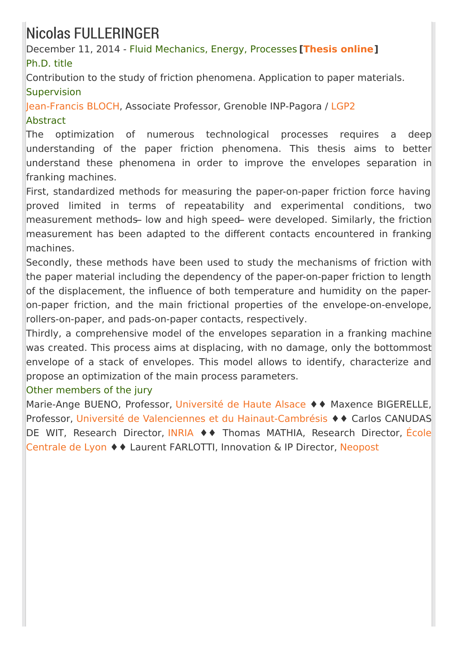# Nicolas FULLERINGER

December 11, 2014 - Fluid Mechanics, Energy, Processes **[\[Thesis](https://tel.archives-ouvertes.fr/tel-01153587) online]** Ph.D. title

Contribution to the study of friction phenomena. Application to paper materials. **Supervision** 

[Jean-Francis](http://pagora.grenoble-inp.fr/fr/annuaire/bloch-jean-francis) BLOCH, Associate Professor, Grenoble INP-Pagora / [LGP2](http://pagora.grenoble-inp.fr/en/research) **Abstract** 

The optimization of numerous technological processes requires a deep understanding of the paper friction phenomena. This thesis aims to better understand these phenomena in order to improve the envelopes separation in franking machines.

First, standardized methods for measuring the paper-on-paper friction force having proved limited in terms of repeatability and experimental conditions, two measurement methods low and high speed were developed. Similarly, the friction measurement has been adapted to the different contacts encountered in franking machines.

Secondly, these methods have been used to study the mechanisms of friction with the paper material including the dependency of the paper-on-paper friction to length of the displacement, the influence of both temperature and humidity on the paperon-paper friction, and the main frictional properties of the envelope-on-envelope, rollers-on-paper, and pads-on-paper contacts, respectively.

Thirdly, a comprehensive model of the envelopes separation in a franking machine was created. This process aims at displacing, with no damage, only the bottommost envelope of a stack of envelopes. This model allows to identify, characterize and propose an optimization of the main process parameters.

Other members of the jury

Marie-Ange BUENO, Professor, [Université](http://www.uha.fr/) de Haute Alsace ♦♦ Maxence BIGERELLE, Professor, Université de Valenciennes et du [Hainaut-Cambrésis](http://www.univ-valenciennes.fr/) ♦♦ Carlos CANUDAS DE WIT, Research Director, [INRIA](http://www.inria.fr/) ♦♦ Thomas MATHIA, Research Director, École Centrale de Lyon ♦♦ Laurent FARLOTTI, [Innovation](http://www.ec-lyon.fr/) & IP Director, [Neopost](http://www.neopost.fr/)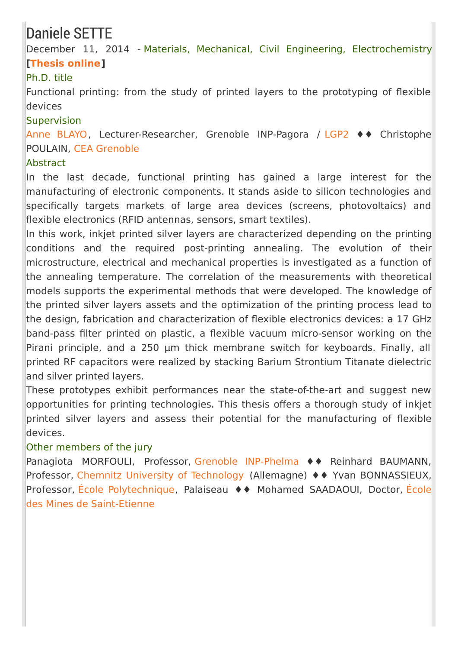## Daniele SETTE

December 11, 2014 - Materials, Mechanical, Civil Engineering, Electrochemistry **[\[Thesis](https://tel.archives-ouvertes.fr/tel-01152867) online]**

### Ph.D. title

Functional printing: from the study of printed layers to the prototyping of flexible devices

#### **Supervision**

Anne [BLAYO](http://pagora.grenoble-inp.fr/fr/annuaire/blayo-anne), Lecturer-Researcher, Grenoble INP-Pagora / [LGP2](http://pagora.grenoble-inp.fr/en/research) ♦♦ Christophe POULAIN, CEA [Grenoble](http://www.cea.fr/)

### **Abstract**

In the last decade, functional printing has gained a large interest for the manufacturing of electronic components. It stands aside to silicon technologies and specifically targets markets of large area devices (screens, photovoltaics) and flexible electronics (RFID antennas, sensors, smart textiles).

In this work, inkjet printed silver layers are characterized depending on the printing conditions and the required post-printing annealing. The evolution of their microstructure, electrical and mechanical properties is investigated as a function of the annealing temperature. The correlation of the measurements with theoretical models supports the experimental methods that were developed. The knowledge of the printed silver layers assets and the optimization of the printing process lead to the design, fabrication and characterization of flexible electronics devices: a 17 GHz band-pass filter printed on plastic, a flexible vacuum micro-sensor working on the Pirani principle, and a 250 µm thick membrane switch for keyboards. Finally, all printed RF capacitors were realized by stacking Barium Strontium Titanate dielectric and silver printed layers.

These prototypes exhibit performances near the state-of-the-art and suggest new opportunities for printing technologies. This thesis offers a thorough study of inkjet printed silver layers and assess their potential for the manufacturing of flexible devices.

### Other members of the jury

Panagiota MORFOULI, Professor, Grenoble [INP-Phelma](/) ♦♦ Reinhard BAUMANN, Professor, Chemnitz University of [Technology](https://www.tu-chemnitz.de/index.html.en) (Allemagne) ♦♦ Yvan BONNASSIEUX, Professor, École [Polytechnique,](http://www.mines-stetienne.fr/fr) Palaiseau ♦♦ Mohamed SAADAOUI, Doctor, École des Mines de Saint-Etienne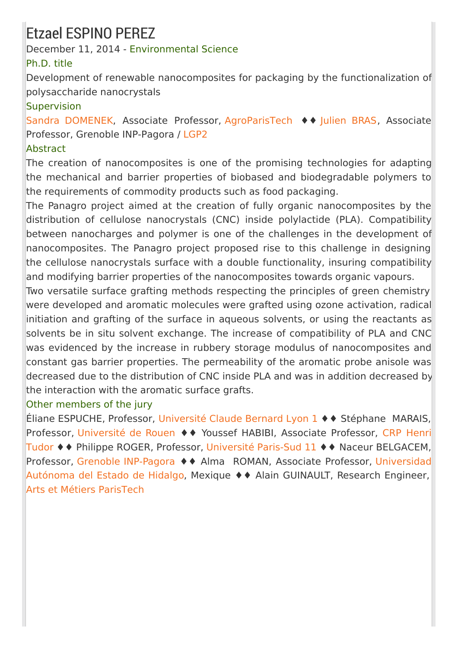# Etzael ESPINO PEREZ

December 11, 2014 - Environmental Science

### Ph.D. title

Development of renewable nanocomposites for packaging by the functionalization of polysaccharide nanocrystals

### **Supervision**

Sandra [DOMENEK](http://fr.viadeo.com/fr/profile/sandra.domenek), Associate Professor, [AgroParisTech](http://www.agroparistech.fr) ♦♦ [Julien](http://pagora.grenoble-inp.fr/fr/annuaire/m-bras-julien) BRAS, Associate Professor, Grenoble INP-Pagora / [LGP2](http://pagora.grenoble-inp.fr/en/research)

### Abstract

The creation of nanocomposites is one of the promising technologies for adapting the mechanical and barrier properties of biobased and biodegradable polymers to the requirements of commodity products such as food packaging.

The Panagro project aimed at the creation of fully organic nanocomposites by the distribution of cellulose nanocrystals (CNC) inside polylactide (PLA). Compatibility between nanocharges and polymer is one of the challenges in the development of nanocomposites. The Panagro project proposed rise to this challenge in designing the cellulose nanocrystals surface with a double functionality, insuring compatibility and modifying barrier properties of the nanocomposites towards organic vapours.

Two versatile surface grafting methods respecting the principles of green chemistry were developed and aromatic molecules were grafted using ozone activation, radical initiation and grafting of the surface in aqueous solvents, or using the reactants as solvents be in situ solvent exchange. The increase of compatibility of PLA and CNC was evidenced by the increase in rubbery storage modulus of nanocomposites and constant gas barrier properties. The permeability of the aromatic probe anisole was decreased due to the distribution of CNC inside PLA and was in addition decreased by the interaction with the aromatic surface grafts.

### Other members of the jury

Éliane ESPUCHE, Professor, [Université](http://www.univ-lyon1.fr/) Claude Bernard Lyon 1 ♦♦ Stéphane MARAIS, Professor, [Université](http://www.univ-rouen.fr/) de Rouen ♦ ♦ Youssef HABIBI, Associate Professor, CRP Henri Tudor ♦♦ Philippe ROGER, Professor, [Université](http://www.u-psud.fr/fr/index.html) Paris-Sud 11 ♦♦ Naceur [BELGACEM,](http://www.list.lu/) Professor, Grenoble [INP-Pagora](http://pagora.grenoble-inp.fr/) ♦ ♦ Alma ROMAN, Associate Professor, [Universidad](http://www.uaeh.edu.mx/) Autónoma del Estado de Hidalgo, Mexique ♦♦ Alain GUINAULT, Research Engineer, Arts et Métiers [ParisTech](http://www.ensam.eu/)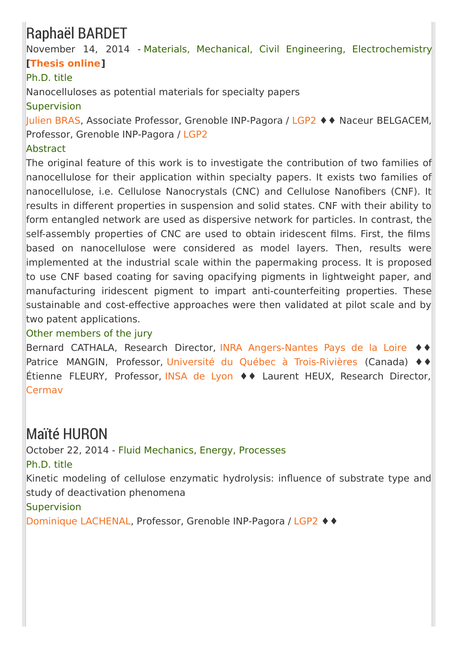# Raphaël BARDET

November 14, 2014 - Materials, Mechanical, Civil Engineering, Electrochemistry **[\[Thesis](https://tel.archives-ouvertes.fr/tel-01647222) online]**

### Ph.D. title

Nanocelluloses as potential materials for specialty papers

**Supervision** 

[Julien](http://pagora.grenoble-inp.fr/fr/annuaire/m-bras-julien) BRAS, Associate Professor, Grenoble INP-Pagora / [LGP2](http://pagora.grenoble-inp.fr/en/research) ♦♦ Naceur BELGACEM, Professor, Grenoble INP-Pagora / [LGP2](http://pagora.grenoble-inp.fr/en/research)

### Abstract

The original feature of this work is to investigate the contribution of two families of nanocellulose for their application within specialty papers. It exists two families of nanocellulose, i.e. Cellulose Nanocrystals (CNC) and Cellulose Nanofibers (CNF). It results in different properties in suspension and solid states. CNF with their ability to form entangled network are used as dispersive network for particles. In contrast, the self-assembly properties of CNC are used to obtain iridescent films. First, the films based on nanocellulose were considered as model layers. Then, results were implemented at the industrial scale within the papermaking process. It is proposed to use CNF based coating for saving opacifying pigments in lightweight paper, and manufacturing iridescent pigment to impart anti-counterfeiting properties. These sustainable and cost-effective approaches were then validated at pilot scale and by two patent applications.

### Other members of the jury

Bernard CATHALA, Research Director, INRA [Angers-Nantes](http://www.angers-nantes.inra.fr/) Pays de la Loire ♦♦ Patrice MANGIN, Professor, Université du Québec à [Trois-Rivières](http://www.uqtr.uquebec.ca/) (Canada) ♦♦ Étienne FLEURY, Professor, [INSA](http://www.insa-lyon.fr/) de Lyon ♦♦ Laurent HEUX, Research Director, [Cermav](http://www.cermav.cnrs.fr/)

### Maïté HURON

October 22, 2014 - Fluid Mechanics, Energy, Processes Ph.D. title Kinetic modeling of cellulose enzymatic hydrolysis: influence of substrate type and study of deactivation phenomena **Supervision** [Dominique](http://pagora.grenoble-inp.fr/fr/annuaire/lachenal-dominique) LACHENAL, Professor, Grenoble INP-Pagora / [LGP2](http://pagora.grenoble-inp.fr/en/research) ♦♦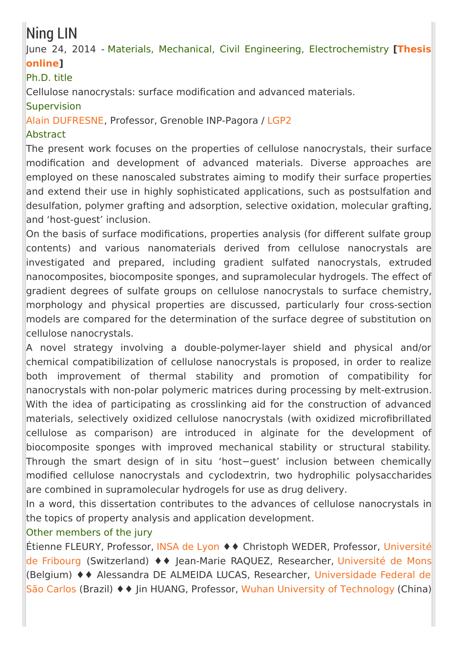## Ning LIN

### June 24, 2014 - Materials, Mechanical, Civil Engineering, [Electrochemistry](https://tel.archives-ouvertes.fr/tel-01296967) **[Thesis online]**

### Ph.D. title

Cellulose nanocrystals: surface modification and advanced materials.

### Supervision

Alain [DUFRESNE](http://pagora.grenoble-inp.fr/fr/annuaire/dufresne-alain), Professor, Grenoble INP-Pagora / [LGP2](http://pagora.grenoble-inp.fr/en/research)

### Abstract

The present work focuses on the properties of cellulose nanocrystals, their surface modification and development of advanced materials. Diverse approaches are employed on these nanoscaled substrates aiming to modify their surface properties and extend their use in highly sophisticated applications, such as postsulfation and desulfation, polymer grafting and adsorption, selective oxidation, molecular grafting, and 'host-guest' inclusion.

On the basis of surface modifications, properties analysis (for different sulfate group contents) and various nanomaterials derived from cellulose nanocrystals are investigated and prepared, including gradient sulfated nanocrystals, extruded nanocomposites, biocomposite sponges, and supramolecular hydrogels. The effect of gradient degrees of sulfate groups on cellulose nanocrystals to surface chemistry, morphology and physical properties are discussed, particularly four cross-section models are compared for the determination of the surface degree of substitution on cellulose nanocrystals.

A novel strategy involving a double-polymer-layer shield and physical and/or chemical compatibilization of cellulose nanocrystals is proposed, in order to realize both improvement of thermal stability and promotion of compatibility for nanocrystals with non-polar polymeric matrices during processing by melt-extrusion. With the idea of participating as crosslinking aid for the construction of advanced materials, selectively oxidized cellulose nanocrystals (with oxidized microfibrillated cellulose as comparison) are introduced in alginate for the development of biocomposite sponges with improved mechanical stability or structural stability. Through the smart design of in situ 'host−guest' inclusion between chemically modified cellulose nanocrystals and cyclodextrin, two hydrophilic polysaccharides are combined in supramolecular hydrogels for use as drug delivery.

In a word, this dissertation contributes to the advances of cellulose nanocrystals in the topics of property analysis and application development.

### Other members of the jury

Étienne FLEURY, Professor, [INSA](http://www.insa-lyon.fr/) de Lyon ♦♦ Christoph WEDER, Professor, Université de Fribourg [\(Switzerland\)](http://www.unifr.ch/home/welcomeF.php) ♦♦ Jean-Marie RAQUEZ, Researcher, [Université](http://portail.umons.ac.be/FR/Pages/default.aspx) de Mons (Belgium) ♦♦ Alessandra DE ALMEIDA LUCAS, Researcher, [Universidade](http://www2.ufscar.br/home/index.php) Federal de São Carlos (Brazil) ♦♦ Jin HUANG, Professor, Wuhan University of [Technology](http://english.whut.edu.cn/) (China)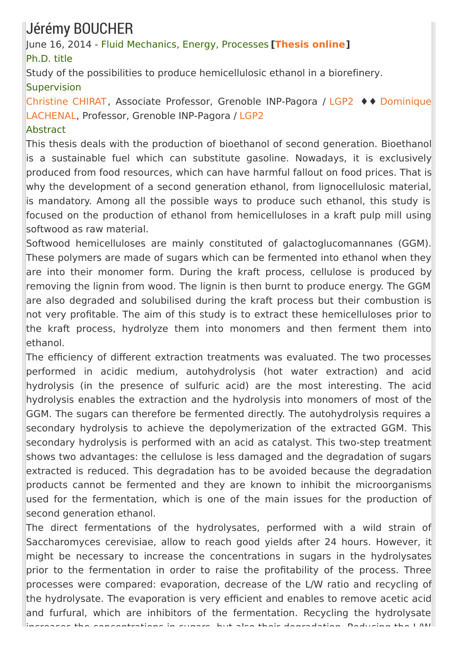## Jérémy BOUCHER

June 16, 2014 - Fluid Mechanics, Energy, Processes **[\[Thesis](https://tel.archives-ouvertes.fr/tel-01278355) online]** Ph.D. title

Study of the possibilities to produce hemicellulosic ethanol in a biorefinery. Supervision

[Christine](http://pagora.grenoble-inp.fr/fr/annuaire/mme-chirat-christine) CHIRAT, Associate Professor, Grenoble INP-Pagora / [LGP2](http://pagora.grenoble-inp.fr/en/research) ♦♦ Dominique [LACHENAL,](http://pagora.grenoble-inp.fr/fr/annuaire/lachenal-dominique) Professor, Grenoble INP-Pagora / [LGP2](http://pagora.grenoble-inp.fr/en/research)

### Abstract

This thesis deals with the production of bioethanol of second generation. Bioethanol is a sustainable fuel which can substitute gasoline. Nowadays, it is exclusively produced from food resources, which can have harmful fallout on food prices. That is why the development of a second generation ethanol, from lignocellulosic material, is mandatory. Among all the possible ways to produce such ethanol, this study is focused on the production of ethanol from hemicelluloses in a kraft pulp mill using softwood as raw material.

Softwood hemicelluloses are mainly constituted of galactoglucomannanes (GGM). These polymers are made of sugars which can be fermented into ethanol when they are into their monomer form. During the kraft process, cellulose is produced by removing the lignin from wood. The lignin is then burnt to produce energy. The GGM are also degraded and solubilised during the kraft process but their combustion is not very profitable. The aim of this study is to extract these hemicelluloses prior to the kraft process, hydrolyze them into monomers and then ferment them into ethanol.

The efficiency of different extraction treatments was evaluated. The two processes performed in acidic medium, autohydrolysis (hot water extraction) and acid hydrolysis (in the presence of sulfuric acid) are the most interesting. The acid hydrolysis enables the extraction and the hydrolysis into monomers of most of the GGM. The sugars can therefore be fermented directly. The autohydrolysis requires a secondary hydrolysis to achieve the depolymerization of the extracted GGM. This secondary hydrolysis is performed with an acid as catalyst. This two-step treatment shows two advantages: the cellulose is less damaged and the degradation of sugars extracted is reduced. This degradation has to be avoided because the degradation products cannot be fermented and they are known to inhibit the microorganisms used for the fermentation, which is one of the main issues for the production of second generation ethanol.

The direct fermentations of the hydrolysates, performed with a wild strain of Saccharomyces cerevisiae, allow to reach good yields after 24 hours. However, it might be necessary to increase the concentrations in sugars in the hydrolysates prior to the fermentation in order to raise the profitability of the process. Three processes were compared: evaporation, decrease of the L/W ratio and recycling of the hydrolysate. The evaporation is very efficient and enables to remove acetic acid and furfural, which are inhibitors of the fermentation. Recycling the hydrolysate increases the concentrations in sugars, but also their degradation. Reducing the L/W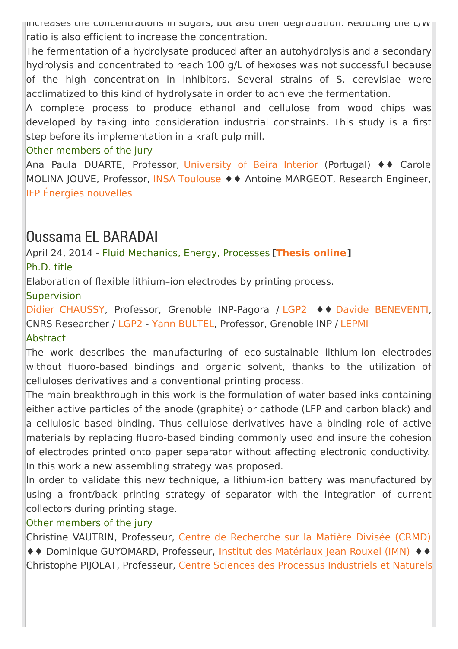increases the concentrations in sugars, but also their degradation. Reducing the L/W ratio is also efficient to increase the concentration.

The fermentation of a hydrolysate produced after an autohydrolysis and a secondary hydrolysis and concentrated to reach 100 g/L of hexoses was not successful because of the high concentration in inhibitors. Several strains of S. cerevisiae were acclimatized to this kind of hydrolysate in order to achieve the fermentation.

A complete process to produce ethanol and cellulose from wood chips was developed by taking into consideration industrial constraints. This study is a first step before its implementation in a kraft pulp mill.

### Other members of the jury

Ana Paula DUARTE, Professor, [University](https://www.ubi.pt/) of Beira Interior (Portugal) ♦♦ Carole MOLINA JOUVE, Professor, INSA [Toulouse](http://www.insa-toulouse.fr/fr/index.html) ♦♦ Antoine MARGEOT, Research Engineer, IFP Énergies [nouvelles](http://www.ifpenergiesnouvelles.fr/)

### Oussama EL BARADAI

### April 24, 2014 - Fluid Mechanics, Energy, Processes **[[Thesis](https://tel.archives-ouvertes.fr/tel-01348853) online]** Ph.D. title

Elaboration of flexible lithium–ion electrodes by printing process.

**Supervision** 

Didier [CHAUSSY](http://pagora.grenoble-inp.fr/fr/annuaire/m-chaussy-didier), Professor, Grenoble INP-Pagora / [LGP2](http://pagora.grenoble-inp.fr/en/research) ♦♦ Davide [BENEVENTI](http://pagora.grenoble-inp.fr/fr/annuaire/beneventi-davide), CNRS Researcher / [LGP2](http://pagora.grenoble-inp.fr/en/research) - Yann [BULTEL](http://www.grenoble-inp.fr/fr/personnel/bultel-yann), Professor, Grenoble INP / [LEPMI](/) **Abstract** 

The work describes the manufacturing of eco-sustainable lithium-ion electrodes without fluoro-based bindings and organic solvent, thanks to the utilization of celluloses derivatives and a conventional printing process.

The main breakthrough in this work is the formulation of water based inks containing either active particles of the anode (graphite) or cathode (LFP and carbon black) and a cellulosic based binding. Thus cellulose derivatives have a binding role of active materials by replacing fluoro-based binding commonly used and insure the cohesion of electrodes printed onto paper separator without affecting electronic conductivity. In this work a new assembling strategy was proposed.

In order to validate this new technique, a lithium-ion battery was manufactured by using a front/back printing strategy of separator with the integration of current collectors during printing stage.

### Other members of the jury

Christine VAUTRIN, Professeur, Centre de [Recherche](http://www.crmd.cnrs-orleans.fr/) sur la Matière Divisée (CRMD) ♦♦ Dominique GUYOMARD, Professeur, Institut des [Matériaux](http://www.cnrs-imn.fr/index.php?lang=fr) Jean Rouxel (IMN) ♦♦ Christophe PIJOLAT, Professeur, Centre Sciences des Processus [Industriels](http://spin.mines-stetienne.fr/fr/) et Naturels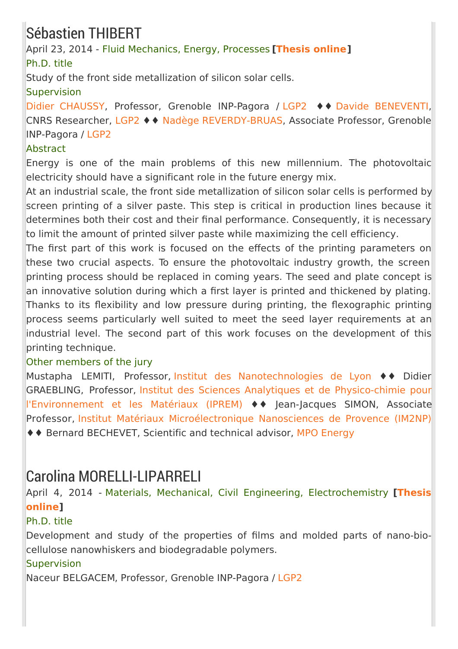# Sébastien THIBERT

April 23, 2014 - Fluid Mechanics, Energy, Processes **[[Thesis](https://tel.archives-ouvertes.fr/tel-01127018) online]** Ph.D. title

Study of the front side metallization of silicon solar cells.

### **Supervision**

Didier [CHAUSSY](http://pagora.grenoble-inp.fr/fr/annuaire/m-chaussy-didier), Professor, Grenoble INP-Pagora / [LGP2](http://pagora.grenoble-inp.fr/en/research) ♦♦ Davide [BENEVENTI](http://pagora.grenoble-inp.fr/fr/annuaire/beneventi-davide), CNRS Researcher, [LGP2](/menu-principal/recherche-laboratoire-genie-des-procedes-papetiers-lgp2--349729.kjsp?RH=EFP_REC-THESES) ♦♦ Nadège [REVERDY-BRUAS](http://pagora.grenoble-inp.fr/fr/annuaire/mme-reverdy-bruas-nadege), Associate Professor, Grenoble INP-Pagora / [LGP2](http://pagora.grenoble-inp.fr/en/research)

### Abstract

Energy is one of the main problems of this new millennium. The photovoltaic electricity should have a significant role in the future energy mix.

At an industrial scale, the front side metallization of silicon solar cells is performed by screen printing of a silver paste. This step is critical in production lines because it determines both their cost and their final performance. Consequently, it is necessary to limit the amount of printed silver paste while maximizing the cell efficiency.

The first part of this work is focused on the effects of the printing parameters on these two crucial aspects. To ensure the photovoltaic industry growth, the screen printing process should be replaced in coming years. The seed and plate concept is an innovative solution during which a first layer is printed and thickened by plating. Thanks to its flexibility and low pressure during printing, the flexographic printing process seems particularly well suited to meet the seed layer requirements at an industrial level. The second part of this work focuses on the development of this printing technique.

### Other members of the jury

Mustapha LEMITI, Professor, Institut des [Nanotechnologies](http://inl.cnrs.fr/) de Lyon ♦♦ Didier GRAEBLING, Professor, Institut des Sciences Analytiques et de Physico-chimie pour [l'Environnement](http://iprem.univ-pau.fr/live/) et les Matériaux (IPREM) ♦♦ Jean-Jacques SIMON, Associate Professor, Institut Matériaux [Microélectronique](http://www.im2np.fr/) Nanosciences de Provence (IM2NP) ♦♦ Bernard BECHEVET, Scientific and technical advisor, MPO [Energy](http://www.mpo-international.com/?-MPO-Energy-)

## Carolina MORELLI-LIPARRELI

April 4, 2014 - Materials, Mechanical, Civil Engineering, [Electrochemistry](https://tel.archives-ouvertes.fr/tel-01290491) **[Thesis online]**

### Ph.D. title

Development and study of the properties of films and molded parts of nano-biocellulose nanowhiskers and biodegradable polymers.

### Supervision

Naceur BELGACEM, Professor, Grenoble INP-Pagora / [LGP2](http://pagora.grenoble-inp.fr/fr/recherche)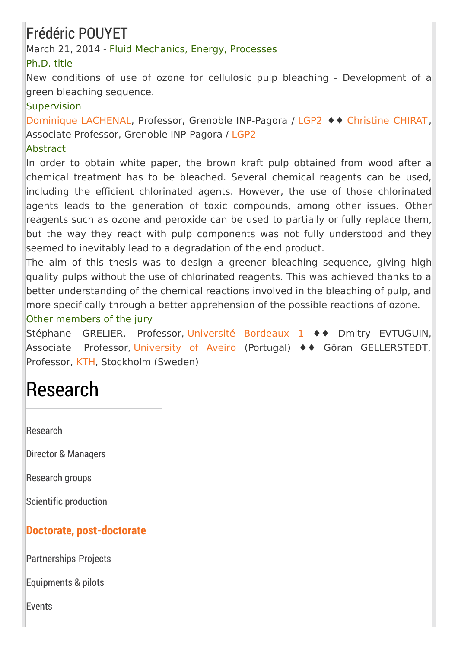# Frédéric POUYET

March 21, 2014 - Fluid Mechanics, Energy, Processes

### Ph.D. title

New conditions of use of ozone for cellulosic pulp bleaching - Development of a green bleaching sequence.

### **Supervision**

[Dominique](http://pagora.grenoble-inp.fr/fr/annuaire/lachenal-dominique) LACHENAL, Professor, Grenoble INP-Pagora / [LGP2](http://pagora.grenoble-inp.fr/en/research) ♦♦ [Christine](http://pagora.grenoble-inp.fr/fr/annuaire/mme-chirat-christine) CHIRAT, Associate Professor, Grenoble INP-Pagora / [LGP2](http://pagora.grenoble-inp.fr/en/research)

### Abstract

In order to obtain white paper, the brown kraft pulp obtained from wood after a chemical treatment has to be bleached. Several chemical reagents can be used, including the efficient chlorinated agents. However, the use of those chlorinated agents leads to the generation of toxic compounds, among other issues. Other reagents such as ozone and peroxide can be used to partially or fully replace them, but the way they react with pulp components was not fully understood and they seemed to inevitably lead to a degradation of the end product.

The aim of this thesis was to design a greener bleaching sequence, giving high quality pulps without the use of chlorinated reagents. This was achieved thanks to a better understanding of the chemical reactions involved in the bleaching of pulp, and more specifically through a better apprehension of the possible reactions of ozone. Other members of the jury

Stéphane GRELIER, Professor, [Université](http://www.u-bordeaux1.fr) Bordeaux 1 ♦♦ Dmitry EVTUGUIN, Associate Professor, [University](https://www.ua.pt/) of Aveiro (Portugal) ♦♦ Göran GELLERSTEDT, Professor, [KTH](http://www.kth.se/en), Stockholm (Sweden)

# Research

**[Research](http://pagora.grenoble-inp.fr/en/research?RH=EFP_EN-RESEARCH)** 

Director & [Managers](http://pagora.grenoble-inp.fr/en/research/director-managers)

[Research](http://pagora.grenoble-inp.fr/en/research/research-groups) groups

Scientific [production](http://pagora.grenoble-inp.fr/en/research/scientific-production)

### **Doctorate, [post-doctorate](http://pagora.grenoble-inp.fr/en/research/doctorate-post-doctorate)**

[Partnerships-Projects](http://pagora.grenoble-inp.fr/en/research/partnerships-projects)

[Equipments](http://pagora.grenoble-inp.fr/en/research/equipments-pilots) & pilots

**[Events](http://pagora.grenoble-inp.fr/en/research/events)**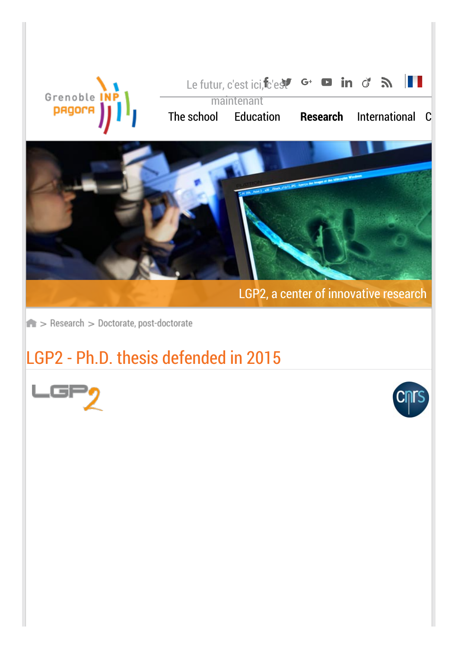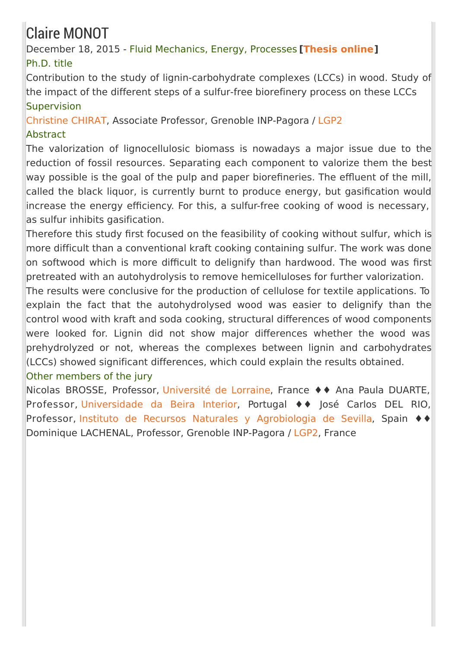# Claire MONOT

### December 18, 2015 - Fluid Mechanics, Energy, Processes **[\[Thesis](https://tel.archives-ouvertes.fr/tel-01293498) online]** Ph.D. title

Contribution to the study of lignin-carbohydrate complexes (LCCs) in wood. Study of the impact of the different steps of a sulfur-free biorefinery process on these LCCs **Supervision** 

[Christine](/mme-christine-chirat--190832.kjsp?RH=EFP_REC-THESES) CHIRAT, Associate Professor, Grenoble INP-Pagora / [LGP2](http://pagora.grenoble-inp.fr/en/research)

### **Abstract**

The valorization of lignocellulosic biomass is nowadays a major issue due to the reduction of fossil resources. Separating each component to valorize them the best way possible is the goal of the pulp and paper biorefineries. The effluent of the mill, called the black liquor, is currently burnt to produce energy, but gasification would increase the energy efficiency. For this, a sulfur-free cooking of wood is necessary,  $\vert$ as sulfur inhibits gasification.

Therefore this study first focused on the feasibility of cooking without sulfur, which is more difficult than a conventional kraft cooking containing sulfur. The work was done on softwood which is more difficult to delignify than hardwood. The wood was first pretreated with an autohydrolysis to remove hemicelluloses for further valorization.

The results were conclusive for the production of cellulose for textile applications. To explain the fact that the autohydrolysed wood was easier to delignify than the control wood with kraft and soda cooking, structural differences of wood components were looked for. Lignin did not show major differences whether the wood was prehydrolyzed or not, whereas the complexes between lignin and carbohydrates (LCCs) showed significant differences, which could explain the results obtained.

### Other members of the jury

Nicolas BROSSE, Professor, [Université](http://www.univ-lorraine.fr/) de Lorraine, France ♦♦ Ana Paula DUARTE, Professor, [Universidade](http://www.ubi.pt/) da Beira Interior, Portugal ♦♦ José Carlos DEL RIO, Professor, Instituto de Recursos Naturales y [Agrobiologia](https://www.irnas.csic.es/) de Sevilla, Spain ♦♦ Dominique LACHENAL, Professor, Grenoble INP-Pagora / [LGP2](http://pagora.grenoble-inp.fr/fr/recherche), France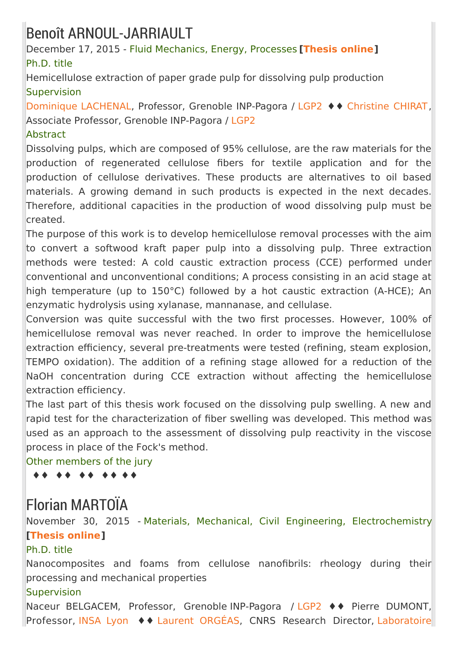## Benoît ARNOUL-JARRIAULT

December 17, 2015 - Fluid Mechanics, Energy, Processes **[\[Thesis](https://tel.archives-ouvertes.fr/tel-01690890) online]** Ph.D. title

Hemicellulose extraction of paper grade pulp for dissolving pulp production **Supervision** 

[Dominique](/dominique-lachenal--429212.kjsp?RH=EFP_REC-THESES) LACHENAL, Professor, Grenoble INP-Pagora / [LGP2](http://pagora.grenoble-inp.fr/en/research) ♦♦ [Christine](/mme-christine-chirat--190832.kjsp?RH=EFP_REC-THESES) CHIRAT, Associate Professor, Grenoble INP-Pagora / [LGP2](http://pagora.grenoble-inp.fr/en/research)

### Abstract

Dissolving pulps, which are composed of 95% cellulose, are the raw materials for the production of regenerated cellulose fibers for textile application and for the production of cellulose derivatives. These products are alternatives to oil based materials. A growing demand in such products is expected in the next decades. Therefore, additional capacities in the production of wood dissolving pulp must be created.

The purpose of this work is to develop hemicellulose removal processes with the aim to convert a softwood kraft paper pulp into a dissolving pulp. Three extraction methods were tested: A cold caustic extraction process (CCE) performed under conventional and unconventional conditions; A process consisting in an acid stage at high temperature (up to 150°C) followed by a hot caustic extraction (A-HCE); An enzymatic hydrolysis using xylanase, mannanase, and cellulase.

Conversion was quite successful with the two first processes. However, 100% of hemicellulose removal was never reached. In order to improve the hemicellulose extraction efficiency, several pre-treatments were tested (refining, steam explosion, TEMPO oxidation). The addition of a refining stage allowed for a reduction of the NaOH concentration during CCE extraction without affecting the hemicellulose extraction efficiency.

The last part of this thesis work focused on the dissolving pulp swelling. A new and rapid test for the characterization of fiber swelling was developed. This method was used as an approach to the assessment of dissolving pulp reactivity in the viscose process in place of the Fock's method.

Other members of the jury

♦♦ ♦♦ ♦♦ ♦♦ ♦♦

## Florian MARTOÏA

November 30, 2015 - Materials, Mechanical, Civil Engineering, Electrochemistry **[\[Thesis](https://tel.archives-ouvertes.fr/tel-01254834) online]**

### Ph.D. title

Nanocomposites and foams from cellulose nanofibrils: rheology during their processing and mechanical properties

### **Supervision**

Naceur BELGACEM, Professor, Grenoble INP-Pagora / [LGP2](http://pagora.grenoble-inp.fr/en/research) ♦♦ Pierre DUMONT, Professor, [INSA](https://www.insa-lyon.fr/) Lyon ♦♦ Laurent [ORGÉAS](https://www.3sr-grenoble.fr/spip.php?article396), CNRS Research Director, Laboratoire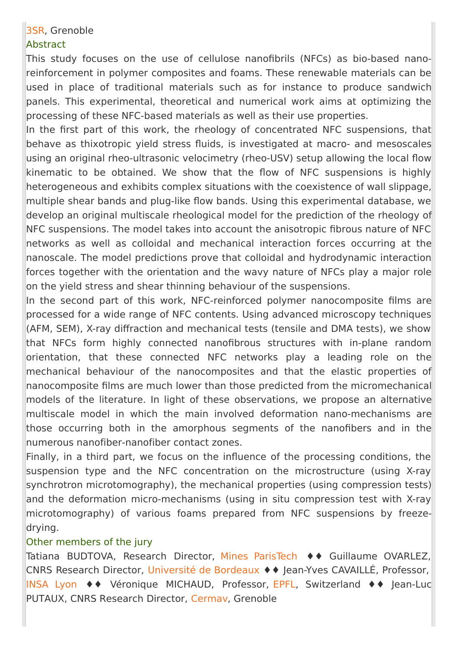### 3SR, [Grenoble](http://www.3sr-grenoble.fr/)

### **Abstract**

This study focuses on the use of cellulose nanofibrils (NFCs) as bio-based nanoreinforcement in polymer composites and foams. These renewable materials can be used in place of traditional materials such as for instance to produce sandwich panels. This experimental, theoretical and numerical work aims at optimizing the processing of these NFC-based materials as well as their use properties.

In the first part of this work, the rheology of concentrated NFC suspensions, that behave as thixotropic yield stress fluids, is investigated at macro- and mesoscales using an original rheo-ultrasonic velocimetry (rheo-USV) setup allowing the local flow kinematic to be obtained. We show that the flow of NFC suspensions is highly heterogeneous and exhibits complex situations with the coexistence of wall slippage, multiple shear bands and plug-like flow bands. Using this experimental database, we develop an original multiscale rheological model for the prediction of the rheology of NFC suspensions. The model takes into account the anisotropic fibrous nature of NFC networks as well as colloidal and mechanical interaction forces occurring at the nanoscale. The model predictions prove that colloidal and hydrodynamic interaction forces together with the orientation and the wavy nature of NFCs play a major role on the yield stress and shear thinning behaviour of the suspensions.

In the second part of this work, NFC-reinforced polymer nanocomposite films are processed for a wide range of NFC contents. Using advanced microscopy techniques (AFM, SEM), X-ray diffraction and mechanical tests (tensile and DMA tests), we show that NFCs form highly connected nanofibrous structures with in-plane random orientation, that these connected NFC networks play a leading role on the mechanical behaviour of the nanocomposites and that the elastic properties of nanocomposite films are much lower than those predicted from the micromechanical models of the literature. In light of these observations, we propose an alternative multiscale model in which the main involved deformation nano-mechanisms are those occurring both in the amorphous segments of the nanofibers and in the numerous nanofiber-nanofiber contact zones.

Finally, in a third part, we focus on the influence of the processing conditions, the suspension type and the NFC concentration on the microstructure (using X-ray synchrotron microtomography), the mechanical properties (using compression tests) and the deformation micro-mechanisms (using in situ compression test with X-ray microtomography) of various foams prepared from NFC suspensions by freezedrying.

#### Other members of the jury

Tatiana BUDTOVA, Research Director, Mines [ParisTech](http://www.mines-paristech.fr/) ♦♦ Guillaume OVARLEZ, CNRS Research Director, [Université](http://www.u-bordeaux.fr/) de Bordeaux ♦♦ Jean-Yves CAVAILLÉ, Professor, [INSA](https://www.insa-lyon.fr/) Lyon ♦♦ Véronique MICHAUD, Professor, [EPFL](https://www.epfl.ch/), Switzerland ♦♦ Jean-Luc PUTAUX, CNRS Research Director, [Cermav](https://www.cermav.cnrs.fr/), Grenoble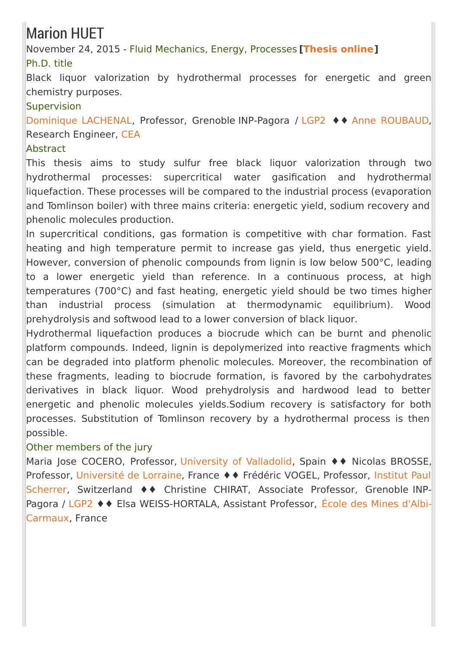# Marion HUET

November 24, 2015 - Fluid Mechanics, Energy, Processes **[\[Thesis](https://tel.archives-ouvertes.fr/tel-01268144) online]** Ph.D. title

Black liquor valorization by hydrothermal processes for energetic and green chemistry purposes.

### **Supervision**

[Dominique](http://pagora.grenoble-inp.fr/fr/annuaire/lachenal-dominique) LACHENAL, Professor, Grenoble INP-Pagora / [LGP2](http://pagora.grenoble-inp.fr/en/research) ♦♦ Anne [ROUBAUD](https://fr.linkedin.com/in/anne-roubaud-2a49b46a), Research Engineer, [CEA](http://portail.cea.fr/)

### Abstract

This thesis aims to study sulfur free black liquor valorization through two hydrothermal processes: supercritical water gasification and hydrothermal liquefaction. These processes will be compared to the industrial process (evaporation and Tomlinson boiler) with three mains criteria: energetic yield, sodium recovery and phenolic molecules production.

In supercritical conditions, gas formation is competitive with char formation. Fast heating and high temperature permit to increase gas yield, thus energetic yield. However, conversion of phenolic compounds from lignin is low below 500°C, leading to a lower energetic yield than reference. In a continuous process, at high temperatures (700°C) and fast heating, energetic yield should be two times higher than industrial process (simulation at thermodynamic equilibrium). Wood prehydrolysis and softwood lead to a lower conversion of black liquor.

Hydrothermal liquefaction produces a biocrude which can be burnt and phenolic platform compounds. Indeed, lignin is depolymerized into reactive fragments which can be degraded into platform phenolic molecules. Moreover, the recombination of these fragments, leading to biocrude formation, is favored by the carbohydrates derivatives in black liquor. Wood prehydrolysis and hardwood lead to better energetic and phenolic molecules yields.Sodium recovery is satisfactory for both processes. Substitution of Tomlinson recovery by a hydrothermal process is then possible.

### Other members of the jury

Maria Jose COCERO, Professor, [University](http://www.uva.es/export/sites/uva/) of Valladolid, Spain ♦♦ Nicolas BROSSE, Professor, [Université](http://www.univ-lorraine.fr/) de Lorraine, France ♦ ♦ Frédéric VOGEL, Professor, Institut Paul Scherrer, [Switzerland](https://www.psi.ch/) ♦♦ Christine CHIRAT, Associate Professor, Grenoble INP-Pagora / [LGP2](http://pagora.grenoble-inp.fr/en/research) ♦♦ Elsa [WEISS-HORTALA,](http://www.mines-albi.fr/) Assistant Professor, École des Mines d'Albi-Carmaux, France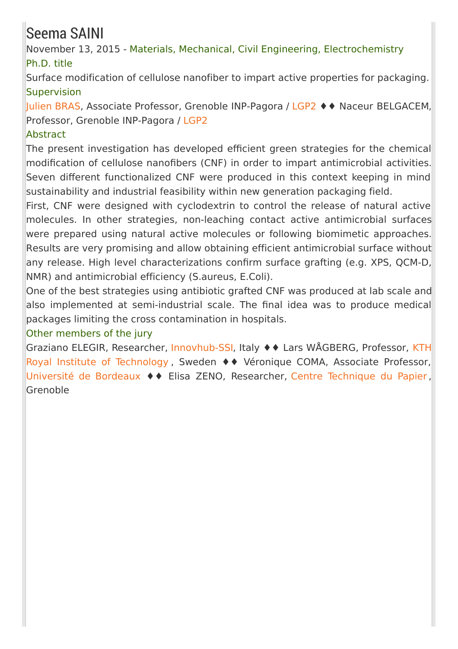# Seema SAINI

November 13, 2015 - Materials, Mechanical, Civil Engineering, Electrochemistry Ph.D. title

Surface modification of cellulose nanofiber to impart active properties for packaging. **Supervision** 

[Julien](http://pagora.grenoble-inp.fr/fr/annuaire/m-bras-julien) BRAS, Associate Professor, Grenoble INP-Pagora / [LGP2](http://pagora.grenoble-inp.fr/en/research) ♦♦ Naceur BELGACEM, Professor, Grenoble INP-Pagora / [LGP2](http://pagora.grenoble-inp.fr/en/research)

### **Abstract**

The present investigation has developed efficient green strategies for the chemical modification of cellulose nanofibers (CNF) in order to impart antimicrobial activities. Seven different functionalized CNF were produced in this context keeping in mind sustainability and industrial feasibility within new generation packaging field.

First, CNF were designed with cyclodextrin to control the release of natural active molecules. In other strategies, non-leaching contact active antimicrobial surfaces were prepared using natural active molecules or following biomimetic approaches. Results are very promising and allow obtaining efficient antimicrobial surface without any release. High level characterizations confirm surface grafting (e.g. XPS, QCM-D, NMR) and antimicrobial efficiency (S.aureus, E.Coli).

One of the best strategies using antibiotic grafted CNF was produced at lab scale and also implemented at semi-industrial scale. The final idea was to produce medical packages limiting the cross contamination in hospitals.

### Other members of the jury

Graziano ELEGIR, Researcher, [Innovhub-SS](http://www.innovhub-ssi.it/)[I,](https://www.kth.se/en) Italy ♦♦ Lars WÅGBERG, Professor, KTH Royal Institute of Technology , Sweden ♦♦ Véronique COMA, Associate Professor, [Université](http://www.u-bordeaux.fr/) de Bordeaux ♦♦ Elisa ZENO, Researcher, Centre [Technique](http://www.webctp.com/) du Papier , Grenoble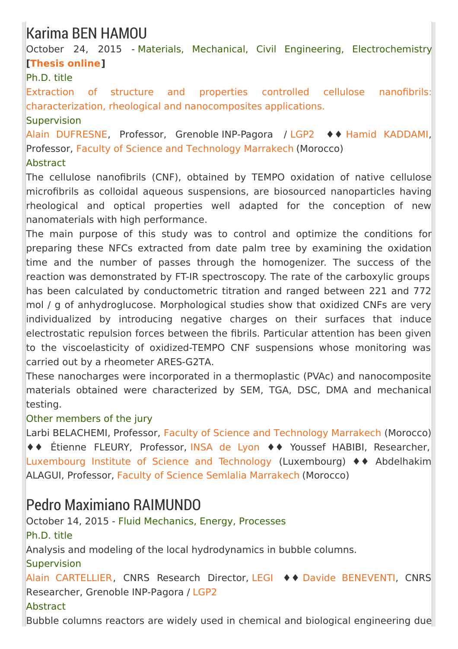## Karima BEN HAMOU

October 24, 2015 - Materials, Mechanical, Civil Engineering, Electrochemistry **[\[Thesis](https://tel.archives-ouvertes.fr/tel-01260323) online]**

### Ph.D. title

Extraction of structure and properties controlled cellulose nanofibrils: [characterization,](https://hal.archives-ouvertes.fr/tel-01260323) rheological and nanocomposites applications.

**Supervision** 

Alain [DUFRESNE](http://pagora.grenoble-inp.fr/fr/annuaire/dufresne-alain), Professor, Grenoble INP-Pagora / [LGP2](http://pagora.grenoble-inp.fr/fr/recherche) ♦♦ Hamid [KADDAMI](http://competences.imist.ma/CVdetails.htm;jsessionid=47F7B0DA8D74A018B274B051A1A2BF3B?idCompetence=531), Professor, Faculty of Science and [Technology](http://www.fstg-marrakech.ac.ma/) Marrakech (Morocco)

### Abstract

The cellulose nanofibrils (CNF), obtained by TEMPO oxidation of native cellulose microfibrils as colloidal aqueous suspensions, are biosourced nanoparticles having rheological and optical properties well adapted for the conception of new nanomaterials with high performance.

The main purpose of this study was to control and optimize the conditions for preparing these NFCs extracted from date palm tree by examining the oxidation time and the number of passes through the homogenizer. The success of the reaction was demonstrated by FT-IR spectroscopy. The rate of the carboxylic groups has been calculated by conductometric titration and ranged between 221 and 772 mol / g of anhydroglucose. Morphological studies show that oxidized CNFs are very individualized by introducing negative charges on their surfaces that induce electrostatic repulsion forces between the fibrils. Particular attention has been given to the viscoelasticity of oxidized-TEMPO CNF suspensions whose monitoring was carried out by a rheometer ARES-G2TA.

These nanocharges were incorporated in a thermoplastic (PVAc) and nanocomposite materials obtained were characterized by SEM, TGA, DSC, DMA and mechanical testing.

### Other members of the jury

Larbi BELACHEMI, Professor, Faculty of Science and [Technology](http://www.fstg-marrakech.ac.ma/) Marrakech (Morocco) ♦♦ Étienne FLEURY, Professor, [INSA](https://www.insa-lyon.fr/) de Lyon ♦♦ Youssef HABIBI, Researcher, [Luxembourg](http://www.list.lu/fr/) Institute of Science and Technology (Luxembourg) ♦♦ Abdelhakim ALAGUI, Professor, Faculty of Science Semlalia [Marrakech](http://www.fssm.uca.ma/) (Morocco)

## Pedro Maximiano RAIMUNDO

October 14, 2015 - Fluid Mechanics, Energy, Processes Ph.D. title Analysis and modeling of the local hydrodynamics in bubble columns. **Supervision** Alain [CARTELLIER](http://www.legi.grenoble-inp.fr/web/spip.php?rubrique6), CNRS Research Director, [LEGI](http://www.legi.grenoble-inp.fr/web/) ♦♦ Davide [BENEVENTI](http://pagora.grenoble-inp.fr/fr/annuaire/beneventi-davide), CNRS Researcher, Grenoble INP-Pagora / [LGP2](http://pagora.grenoble-inp.fr/en/research) **Abstract** Bubble columns reactors are widely used in chemical and biological engineering due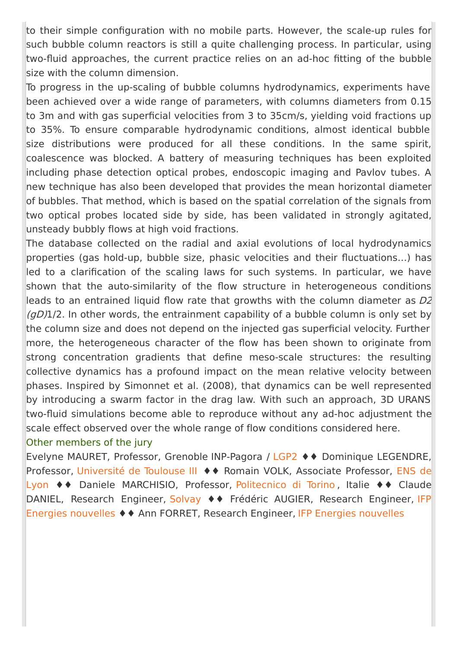to their simple configuration with no mobile parts. However, the scale-up rules for such bubble column reactors is still a quite challenging process. In particular, using two-fluid approaches, the current practice relies on an ad-hoc fitting of the bubble size with the column dimension.

To progress in the up-scaling of bubble columns hydrodynamics, experiments have been achieved over a wide range of parameters, with columns diameters from 0.15 to 3m and with gas superficial velocities from 3 to 35cm/s, yielding void fractions up to 35%. To ensure comparable hydrodynamic conditions, almost identical bubble size distributions were produced for all these conditions. In the same spirit, coalescence was blocked. A battery of measuring techniques has been exploited including phase detection optical probes, endoscopic imaging and Pavlov tubes. A new technique has also been developed that provides the mean horizontal diameter of bubbles. That method, which is based on the spatial correlation of the signals from two optical probes located side by side, has been validated in strongly agitated, unsteady bubbly flows at high void fractions.

The database collected on the radial and axial evolutions of local hydrodynamics properties (gas hold-up, bubble size, phasic velocities and their fluctuations…) has led to a clarification of the scaling laws for such systems. In particular, we have shown that the auto-similarity of the flow structure in heterogeneous conditions leads to an entrained liquid flow rate that growths with the column diameter as  $D2$  $(qD)1/2$ . In other words, the entrainment capability of a bubble column is only set by the column size and does not depend on the injected gas superficial velocity. Further more, the heterogeneous character of the flow has been shown to originate from strong concentration gradients that define meso-scale structures: the resulting collective dynamics has a profound impact on the mean relative velocity between phases. Inspired by Simonnet et al. (2008), that dynamics can be well represented by introducing a swarm factor in the drag law. With such an approach, 3D URANS two-fluid simulations become able to reproduce without any ad-hoc adjustment the scale effect observed over the whole range of flow conditions considered here.

#### Other members of the jury

Evelyne MAURET, Professor, Grenoble INP-Pagora / [LGP2](http://pagora.grenoble-inp.fr/en/research) ♦♦ Dominique LEGENDRE, Professor, [Université](http://www.univ-tlse3.fr/) de Toulouse III ♦ ♦ Romain VOLK, Associate Professor, ENS de Lyon ♦♦ Daniele [MARCHISIO,](http://www.ens-lyon.eu/ecole-normale-superieure-de-lyon-accueil-77247.kjsp) Professor, [Politecnico](http://www.polito.it/) di Torino , Italie ♦♦ Claude DANIEL, Research Engineer, [Solvay](http://www.solvay.fr/fr/index.html) ♦♦ Frédéric AUGIER, Research [Engineer,](http://www.ifpenergiesnouvelles.fr/) IFP Energies nouvelles ♦♦ Ann FORRET, Research Engineer, IFP Energies [nouvelles](http://www.ifpenergiesnouvelles.fr/)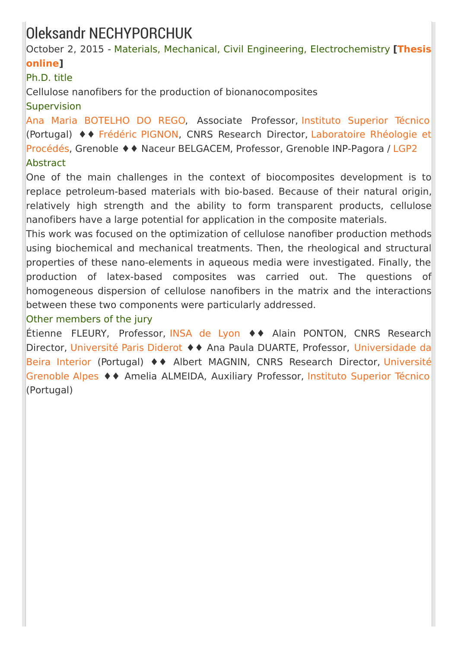## Oleksandr NECHYPORCHUK

October 2, 2015 - Materials, Mechanical, Civil Engineering, [Electrochemistry](https://tel.archives-ouvertes.fr/tel-01244186) **[Thesis online]**

### Ph.D. title

Cellulose nanofibers for the production of bionanocomposites

### Supervision

Ana Maria [BOTELHO](http://web.ist.utl.pt/ist10800/) DO REGO, Associate Professor, Instituto [Superior](http://tecnico.ulisboa.pt/) Técnico (Portugal) ♦♦ [Frédéric](http://www.laboratoire-rheologie-et-procedes.fr/spip.php?article56) PIGNON, CNRS Research Director, [Laboratoire](http://www.laboratoire-rheologie-et-procedes.fr/) Rhéologie et Procédés, Grenoble ♦♦ Naceur BELGACEM, Professor, Grenoble INP-Pagora / [LGP2](http://pagora.grenoble-inp.fr/en/research) Abstract

One of the main challenges in the context of biocomposites development is to replace petroleum-based materials with bio-based. Because of their natural origin, relatively high strength and the ability to form transparent products, cellulose nanofibers have a large potential for application in the composite materials.

This work was focused on the optimization of cellulose nanofiber production methods using biochemical and mechanical treatments. Then, the rheological and structural properties of these nano-elements in aqueous media were investigated. Finally, the production of latex-based composites was carried out. The questions of homogeneous dispersion of cellulose nanofibers in the matrix and the interactions between these two components were particularly addressed.

### Other members of the jury

Étienne FLEURY, Professor, [INSA](http://www.insa-lyon.fr/) de Lyon ♦♦ Alain PONTON, CNRS Research Director, [Université](http://www.univ-paris-diderot.fr) Paris Diderot ♦ ♦ Ana Paula DUARTE, Professor, [Universidade](http://www.ubi.pt/) da Beira Interior (Portugal) ♦♦ Albert MAGNIN, CNRS Research Director, Université Grenoble Alpes ♦♦ Amelia ALMEIDA, Auxiliary [Professor,](http://www.univ-grenoble-alpes.fr/) Instituto [Superior](http://tecnico.ulisboa.pt/) Técnico (Portugal)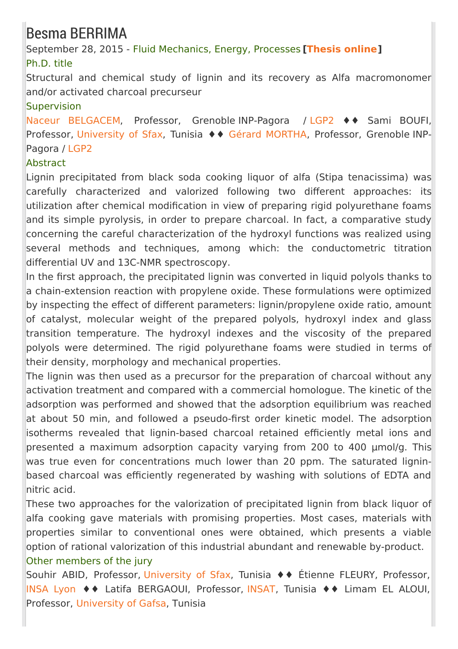## Besma BERRIMA

September 28, 2015 - Fluid Mechanics, Energy, Processes **[\[Thesis](https://tel.archives-ouvertes.fr/tel-01259480) online]** Ph.D. title

Structural and chemical study of lignin and its recovery as Alfa macromonomer and/or activated charcoal precurseur

### Supervision

Naceur [BELGACEM](/m-mohamed-naceur-belgacem--429108.kjsp?RH=EFP_REC-THESES), Professor, Grenoble INP-Pagora / [LGP2](http://pagora.grenoble-inp.fr/en/research) ♦♦ Sami BOUFI, Professor, [University](http://www.uss.rnu.tn/) of Sfax, Tunisia ♦ ♦ Gérard [MORTHA](/m-gerard-mortha--429358.kjsp?RH=EFP_REC-THESES), Professor, Grenoble INP-Pagora / [LGP2](http://pagora.grenoble-inp.fr/en/research)

### **Abstract**

Lignin precipitated from black soda cooking liquor of alfa (Stipa tenacissima) was carefully characterized and valorized following two different approaches: its utilization after chemical modification in view of preparing rigid polyurethane foams and its simple pyrolysis, in order to prepare charcoal. In fact, a comparative study concerning the careful characterization of the hydroxyl functions was realized using several methods and techniques, among which: the conductometric titration differential UV and 13C-NMR spectroscopy.

In the first approach, the precipitated lignin was converted in liquid polyols thanks to a chain-extension reaction with propylene oxide. These formulations were optimized by inspecting the effect of different parameters: lignin/propylene oxide ratio, amount of catalyst, molecular weight of the prepared polyols, hydroxyl index and glass transition temperature. The hydroxyl indexes and the viscosity of the prepared polyols were determined. The rigid polyurethane foams were studied in terms of their density, morphology and mechanical properties.

The lignin was then used as a precursor for the preparation of charcoal without any activation treatment and compared with a commercial homologue. The kinetic of the adsorption was performed and showed that the adsorption equilibrium was reached at about 50 min, and followed a pseudo-first order kinetic model. The adsorption isotherms revealed that lignin-based charcoal retained efficiently metal ions and presented a maximum adsorption capacity varying from 200 to 400 µmol/g. This was true even for concentrations much lower than 20 ppm. The saturated ligninbased charcoal was efficiently regenerated by washing with solutions of EDTA and nitric acid.

These two approaches for the valorization of precipitated lignin from black liquor of alfa cooking gave materials with promising properties. Most cases, materials with properties similar to conventional ones were obtained, which presents a viable option of rational valorization of this industrial abundant and renewable by-product. Other members of the jury

Souhir ABID, Professor, [University](http://www.uss.rnu.tn/) of Sfax, Tunisia ♦♦ Étienne FLEURY, Professor, [INSA](https://www.insa-lyon.fr/) Lyon ♦♦ Latifa BERGAOUI, Professor, [INSAT](http://www.insat.rnu.tn/Fr/accueil_46_34), Tunisia ♦♦ Limam EL ALOUI, Professor, [University](http://www.ugaf.rnu.tn/) of Gafsa, Tunisia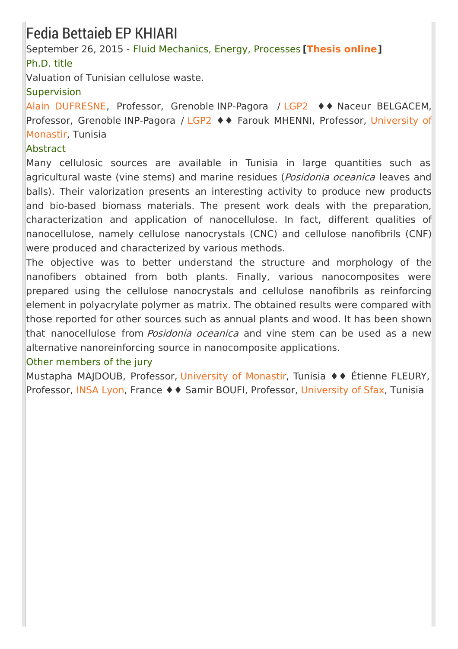## Fedia Bettaieb EP KHIARI

September 26, 2015 - Fluid Mechanics, Energy, Processes **[\[Thesis](https://tel.archives-ouvertes.fr/tel-01247661) online]** Ph.D. title

Valuation of Tunisian cellulose waste.

### **Supervision**

Alain [DUFRESNE](http://pagora.grenoble-inp.fr/fr/annuaire/dufresne-alain), Professor, Grenoble INP-Pagora / [LGP2](http://pagora.grenoble-inp.fr/fr/recherche) ♦♦ Naceur BELGACEM, Professor, Grenoble [INP-Pagora](http://www.um.rnu.tn/) / [LGP2](http://pagora.grenoble-inp.fr/fr/recherche) ♦♦ Farouk MHENNI, Professor, University of Monastir, Tunisia

### Abstract

Many cellulosic sources are available in Tunisia in large quantities such as agricultural waste (vine stems) and marine residues (Posidonia oceanica leaves and balls). Their valorization presents an interesting activity to produce new products and bio-based biomass materials. The present work deals with the preparation, characterization and application of nanocellulose. In fact, different qualities of nanocellulose, namely cellulose nanocrystals (CNC) and cellulose nanofibrils (CNF) were produced and characterized by various methods.

The objective was to better understand the structure and morphology of the nanofibers obtained from both plants. Finally, various nanocomposites were prepared using the cellulose nanocrystals and cellulose nanofibrils as reinforcing element in polyacrylate polymer as matrix. The obtained results were compared with those reported for other sources such as annual plants and wood. It has been shown that nanocellulose from *Posidonia oceanica* and vine stem can be used as a new alternative nanoreinforcing source in nanocomposite applications.

### Other members of the jury

Mustapha MAJDOUB, Professor, [University](http://www.um.rnu.tn/) of Monastir, Tunisia ♦♦ Étienne FLEURY, Professor, [INSA](http://www.insa-lyon.fr/) Lyon, France ♦ ♦ Samir BOUFI, Professor, [University](http://www.uss.rnu.tn/) of Sfax, Tunisia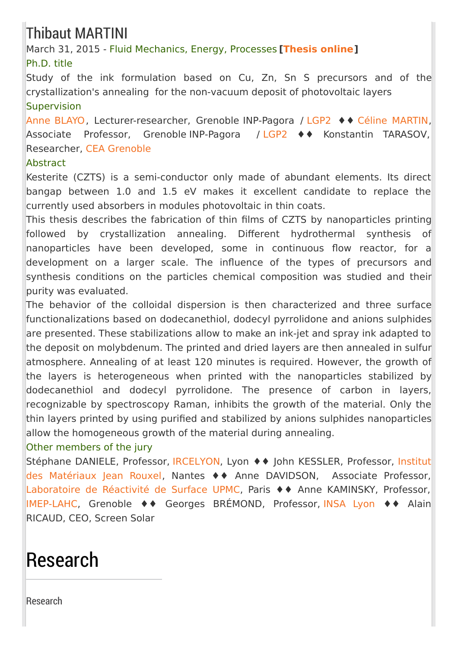# Thibaut MARTINI

March 31, 2015 - Fluid Mechanics, Energy, Processes **[\[Thesis](https://tel.archives-ouvertes.fr/tel-01266968) online]** Ph.D. title

Study of the ink formulation based on Cu, Zn, Sn S precursors and of the crystallization's annealing for the non-vacuum deposit of photovoltaic layers **Supervision** 

Anne [BLAYO](http://pagora.grenoble-inp.fr/fr/annuaire/blayo-anne), Lecturer-researcher, Grenoble INP-Pagora / [LGP2](http://pagora.grenoble-inp.fr/en/research) ♦♦ Céline [MARTIN](http://pagora.grenoble-inp.fr/fr/annuaire/martin-celine), Associate Professor, Grenoble INP-Pagora / [LGP2](http://pagora.grenoble-inp.fr/en/research) ♦♦ Konstantin TARASOV, Researcher, CEA [Grenoble](http://www.cea.fr/)

### Abstract

Kesterite (CZTS) is a semi-conductor only made of abundant elements. Its direct bangap between 1.0 and 1.5 eV makes it excellent candidate to replace the currently used absorbers in modules photovoltaic in thin coats.

This thesis describes the fabrication of thin films of CZTS by nanoparticles printing followed by crystallization annealing. Different hydrothermal synthesis of nanoparticles have been developed, some in continuous flow reactor, for a development on a larger scale. The influence of the types of precursors and synthesis conditions on the particles chemical composition was studied and their purity was evaluated.

The behavior of the colloidal dispersion is then characterized and three surface functionalizations based on dodecanethiol, dodecyl pyrrolidone and anions sulphides are presented. These stabilizations allow to make an ink-jet and spray ink adapted to the deposit on molybdenum. The printed and dried layers are then annealed in sulfur atmosphere. Annealing of at least 120 minutes is required. However, the growth of the layers is heterogeneous when printed with the nanoparticles stabilized by dodecanethiol and dodecyl pyrrolidone. The presence of carbon in layers, recognizable by spectroscopy Raman, inhibits the growth of the material. Only the thin layers printed by using purified and stabilized by anions sulphides nanoparticles allow the homogeneous growth of the material during annealing.

### Other members of the jury

Stéphane DANIELE, Professor, [IRCELYON,](http://www.ircelyon.univ-lyon1.fr/) Lyon ♦♦ John KESSLER, Professor, Institut des Matériaux Jean Rouxel, Nantes ♦♦ Anne [DAVIDSON,](http://www.cnrs-imn.fr/index.php?lang=fr) Associate Professor, [Laboratoire](http://www.labos.upmc.fr/lrs/) de Réactivité de Surface UPMC, Paris ♦♦ Anne KAMINSKY, Professor, [IMEP-LAHC](http://imep-lahc.grenoble-inp.fr/), Grenoble ♦♦ Georges BRÉMOND, Professor, [INSA](http://www.insa-lyon.fr/) Lyon ♦♦ Alain RICAUD, CEO, Screen Solar

# Research

[Research](http://pagora.grenoble-inp.fr/en/research?RH=EFP_EN-RESEARCH)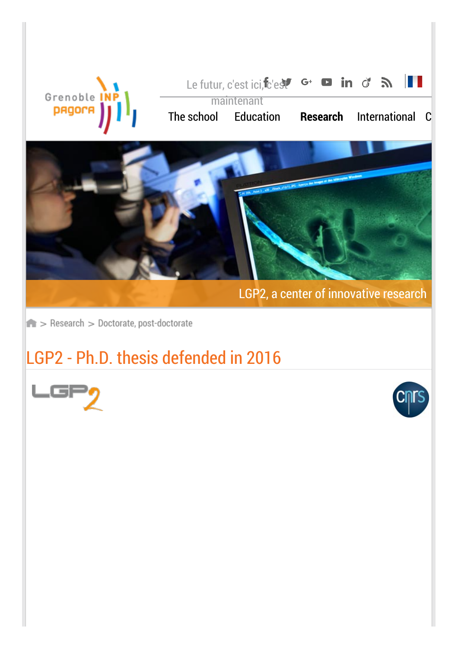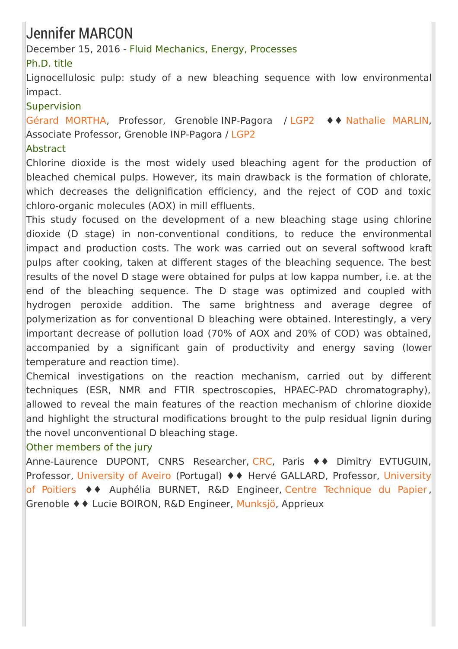# Jennifer MARCON

December 15, 2016 - Fluid Mechanics, Energy, Processes

### Ph.D. title

Lignocellulosic pulp: study of a new bleaching sequence with low environmental impact.

### Supervision

Gérard [MORTHA](http://pagora.grenoble-inp.fr/fr/annuaire/m-mortha-gerard), Professor, Grenoble INP-Pagora / [LGP2](http://pagora.grenoble-inp.fr/en/research) ♦♦ [Nathalie](http://pagora.grenoble-inp.fr/fr/annuaire/mme-marlin-nathalie) MARLIN, Associate Professor, Grenoble INP-Pagora / [LGP2](http://pagora.grenoble-inp.fr/en/research)

### **Abstract**

Chlorine dioxide is the most widely used bleaching agent for the production of bleached chemical pulps. However, its main drawback is the formation of chlorate, which decreases the delignification efficiency, and the reject of COD and toxic chloro-organic molecules (AOX) in mill effluents.

This study focused on the development of a new bleaching stage using chlorine dioxide (D stage) in non-conventional conditions, to reduce the environmental impact and production costs. The work was carried out on several softwood kraft pulps after cooking, taken at different stages of the bleaching sequence. The best results of the novel D stage were obtained for pulps at low kappa number, i.e. at the end of the bleaching sequence. The D stage was optimized and coupled with hydrogen peroxide addition. The same brightness and average degree of polymerization as for conventional D bleaching were obtained. Interestingly, a very important decrease of pollution load (70% of AOX and 20% of COD) was obtained, accompanied by a significant gain of productivity and energy saving (lower temperature and reaction time).

Chemical investigations on the reaction mechanism, carried out by different techniques (ESR, NMR and FTIR spectroscopies, HPAEC-PAD chromatography), allowed to reveal the main features of the reaction mechanism of chlorine dioxide and highlight the structural modifications brought to the pulp residual lignin during the novel unconventional D bleaching stage.

### Other members of the jury

Anne-Laurence DUPONT, CNRS Researcher, [CRC](http://crc.mnhn.fr/Le-CRC.html), Paris ♦♦ Dimitry EVTUGUIN, Professor, [U](http://www.univ-poitiers.fr/)[niversity](https://www.ua.pt/) of Aveiro (Portugal) ♦ ♦ Hervé GALLARD, Professor, University of Poitiers ♦♦ Auphélia BURNET, R&D Engineer, Centre [Technique](http://www.webctp.com/) du Papier , Grenoble ♦♦ Lucie BOIRON, R&D Engineer, [Munksjö](http://www.munksjo.com/), Apprieux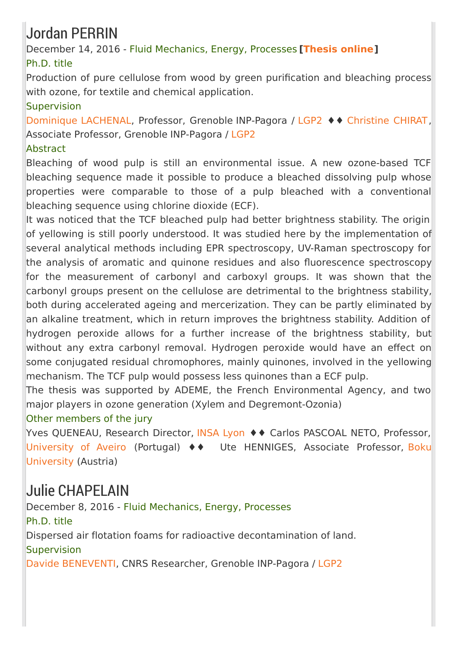# Jordan PERRIN

December 14, 2016 - Fluid Mechanics, Energy, Processes **[\[Thesis](https://tel.archives-ouvertes.fr/tel-01689744) online]** Ph.D. title

Production of pure cellulose from wood by green purification and bleaching process with ozone, for textile and chemical application.

### **Supervision**

[Dominique](http://pagora.grenoble-inp.fr/fr/annuaire/lachenal-dominique) LACHENAL, Professor, Grenoble INP-Pagora / [LGP2](http://pagora.grenoble-inp.fr/en/research) ♦♦ [Christine](http://pagora.grenoble-inp.fr/fr/annuaire/mme-chirat-christine) CHIRAT, Associate Professor, Grenoble INP-Pagora / [LGP2](http://pagora.grenoble-inp.fr/en/research)

### Abstract

Bleaching of wood pulp is still an environmental issue. A new ozone-based TCF bleaching sequence made it possible to produce a bleached dissolving pulp whose properties were comparable to those of a pulp bleached with a conventional bleaching sequence using chlorine dioxide (ECF).

It was noticed that the TCF bleached pulp had better brightness stability. The origin of yellowing is still poorly understood. It was studied here by the implementation of several analytical methods including EPR spectroscopy, UV-Raman spectroscopy for the analysis of aromatic and quinone residues and also fluorescence spectroscopy for the measurement of carbonyl and carboxyl groups. It was shown that the carbonyl groups present on the cellulose are detrimental to the brightness stability, both during accelerated ageing and mercerization. They can be partly eliminated by an alkaline treatment, which in return improves the brightness stability. Addition of hydrogen peroxide allows for a further increase of the brightness stability, but without any extra carbonyl removal. Hydrogen peroxide would have an effect on some conjugated residual chromophores, mainly quinones, involved in the yellowing mechanism. The TCF pulp would possess less quinones than a ECF pulp.

The thesis was supported by ADEME, the French Environmental Agency, and two major players in ozone generation (Xylem and Degremont-Ozonia)

### Other members of the jury

Yves QUENEAU, Research Director, [INSA](https://www.insa-lyon.fr/) Lyon ♦ ♦ Carlos PASCOAL NETO, Professor, [University](https://www.ua.pt/) of Aveiro (Portugal) ♦♦ Ute [HENNIGES,](https://www.boku.ac.at/en/) Associate Professor, Boku University (Austria)

## Julie CHAPELAIN

December 8, 2016 - Fluid Mechanics, Energy, Processes Ph.D. title Dispersed air flotation foams for radioactive decontamination of land. **Supervision** Davide [BENEVENTI](http://pagora.grenoble-inp.fr/fr/annuaire/beneventi-davide), CNRS Researcher, Grenoble INP-Pagora / [LGP2](http://pagora.grenoble-inp.fr/en/research)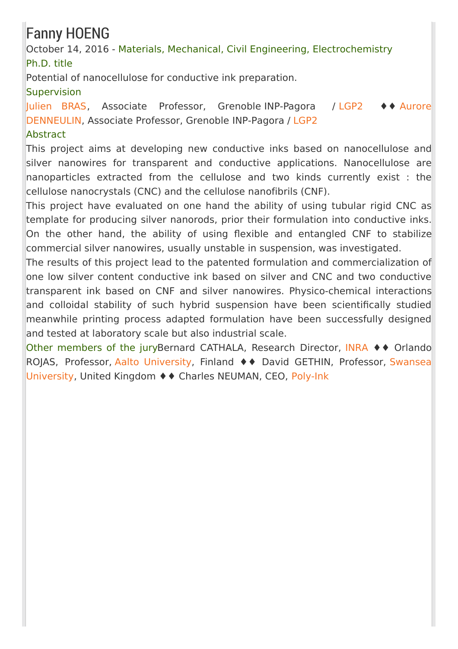# Fanny HOENG

October 14, 2016 - Materials, Mechanical, Civil Engineering, Electrochemistry Ph.D. title

Potential of nanocellulose for conductive ink preparation.

### **Supervision**

[Julien](http://pagora.grenoble-inp.fr/fr/annuaire/m-bras-julien) BRAS, Associate Professor, Grenoble INP-Pagora / [LGP2](http://pagora.grenoble-inp.fr/en/research) ♦♦ Aurore [DENNEULIN,](http://pagora.grenoble-inp.fr/fr/annuaire/mlle-denneulin-aurore) Associate Professor, Grenoble INP-Pagora / [LGP2](http://pagora.grenoble-inp.fr/en/research)

### **Abstract**

This project aims at developing new conductive inks based on nanocellulose and silver nanowires for transparent and conductive applications. Nanocellulose are nanoparticles extracted from the cellulose and two kinds currently exist : the cellulose nanocrystals (CNC) and the cellulose nanofibrils (CNF).

This project have evaluated on one hand the ability of using tubular rigid CNC as template for producing silver nanorods, prior their formulation into conductive inks. On the other hand, the ability of using flexible and entangled CNF to stabilize commercial silver nanowires, usually unstable in suspension, was investigated.

The results of this project lead to the patented formulation and commercialization of one low silver content conductive ink based on silver and CNC and two conductive transparent ink based on CNF and silver nanowires. Physico-chemical interactions and colloidal stability of such hybrid suspension have been scientifically studied meanwhile printing process adapted formulation have been successfully designed and tested at laboratory scale but also industrial scale.

Other members of the juryBernard CATHALA, Research Director, [INRA](http://www.inra.fr/) ♦♦ Orlando ROJAS, Professor, Aalto [University](http://www.aalto.fi/en/), Finland ♦♦ David GETHIN, Professor, Swansea [University,](http://www.swansea.ac.uk/) United Kingdom ♦♦ Charles NEUMAN, CEO, [Poly-Ink](http://www.poly-ink.fr/)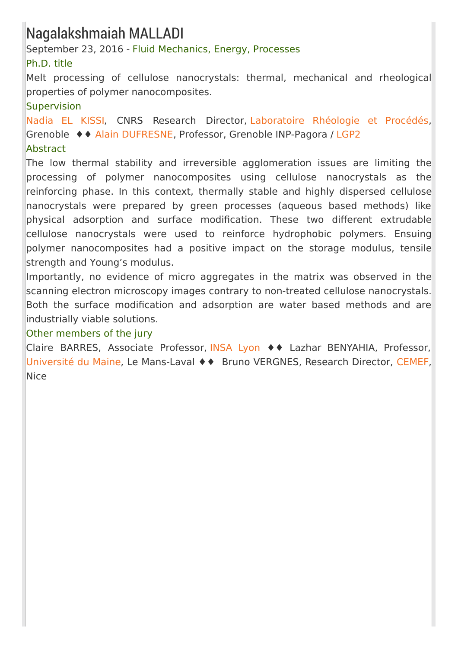## Nagalakshmaiah MALLADI

September 23, 2016 - Fluid Mechanics, Energy, Processes

### Ph.D. title

Melt processing of cellulose nanocrystals: thermal, mechanical and rheological properties of polymer nanocomposites.

### Supervision

[Nadia](http://www.laboratoire-rheologie-et-procedes.fr/spip.php?article33) EL KISSI, CNRS Research Director, [Laboratoire](http://www.laboratoire-rheologie-et-procedes.fr/) Rhéologie et Procédés, Grenoble ♦♦ Alain [DUFRESNE](http://pagora.grenoble-inp.fr/fr/annuaire/dufresne-alain), Professor, Grenoble INP-Pagora / [LGP2](http://pagora.grenoble-inp.fr/en/research)

### **Abstract**

The low thermal stability and irreversible agglomeration issues are limiting the processing of polymer nanocomposites using cellulose nanocrystals as the reinforcing phase. In this context, thermally stable and highly dispersed cellulose nanocrystals were prepared by green processes (aqueous based methods) like physical adsorption and surface modification. These two different extrudable cellulose nanocrystals were used to reinforce hydrophobic polymers. Ensuing polymer nanocomposites had a positive impact on the storage modulus, tensile strength and Young's modulus.

Importantly, no evidence of micro aggregates in the matrix was observed in the scanning electron microscopy images contrary to non-treated cellulose nanocrystals. Both the surface modification and adsorption are water based methods and are industrially viable solutions.

### Other members of the jury

Claire BARRES, Associate Professor, [INSA](https://www.insa-lyon.fr/) Lyon ♦♦ Lazhar BENYAHIA, Professor, [Université](http://www.univ-lemans.fr/fr/index.html) du Maine, Le Mans-Laval ♦♦ Bruno VERGNES, Research Director, [CEMEF](http://www.cemef.mines-paristech.fr/), Nice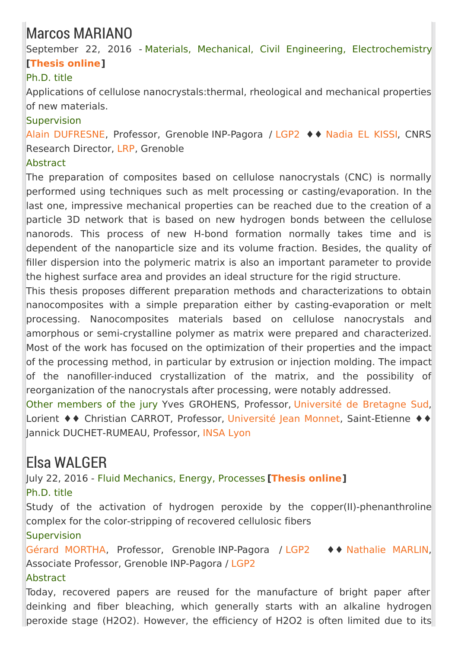## Marcos MARIANO

September 22, 2016 - Materials, Mechanical, Civil Engineering, Electrochemistry **[\[Thesis](https://tel.archives-ouvertes.fr/tel-01560014) online]**

### Ph.D. title

Applications of cellulose nanocrystals:thermal, rheological and mechanical properties of new materials.

### **Supervision**

Alain [DUFRESNE](http://pagora.grenoble-inp.fr/fr/annuaire/dufresne-alain), Professor, Grenoble INP-Pagora / [LGP2](http://pagora.grenoble-inp.fr/en/research) ♦♦ [Nadia](http://www.laboratoire-rheologie-et-procedes.fr/spip.php?article33) EL KISSI, CNRS Research Director, [LRP](http://www.laboratoire-rheologie-et-procedes.fr/), Grenoble

### Abstract

The preparation of composites based on cellulose nanocrystals (CNC) is normally performed using techniques such as melt processing or casting/evaporation. In the last one, impressive mechanical properties can be reached due to the creation of a particle 3D network that is based on new hydrogen bonds between the cellulose nanorods. This process of new H-bond formation normally takes time and is dependent of the nanoparticle size and its volume fraction. Besides, the quality of filler dispersion into the polymeric matrix is also an important parameter to provide the highest surface area and provides an ideal structure for the rigid structure.

This thesis proposes different preparation methods and characterizations to obtain nanocomposites with a simple preparation either by casting-evaporation or melt processing. Nanocomposites materials based on cellulose nanocrystals and amorphous or semi-crystalline polymer as matrix were prepared and characterized. Most of the work has focused on the optimization of their properties and the impact of the processing method, in particular by extrusion or injection molding. The impact of the nanofiller-induced crystallization of the matrix, and the possibility of reorganization of the nanocrystals after processing, were notably addressed.

Other members of the jury Yves GROHENS, Professor, [Université](http://www.univ-ubs.fr/) de Bretagne Sud, Lorient ♦♦ Christian CARROT, Professor, [Université](https://www.univ-st-etienne.fr/fr/index.html) Jean Monnet, Saint-Etienne ♦♦ Jannick DUCHET-RUMEAU, Professor, [INSA](https://www.insa-lyon.fr/) Lyon

## Elsa WALGER

July 22, 2016 - Fluid Mechanics, Energy, Processes **[\[Thesis](https://tel.archives-ouvertes.fr/tel-01533315) online]** Ph.D. title

Study of the activation of hydrogen peroxide by the copper(II)-phenanthroline complex for the color-stripping of recovered cellulosic fibers

### **Supervision**

Gérard [MORTHA](http://pagora.grenoble-inp.fr/fr/annuaire/m-mortha-gerard), Professor, Grenoble INP-Pagora / [LGP2](http://pagora.grenoble-inp.fr/en/research) ♦♦ [Nathalie](http://pagora.grenoble-inp.fr/fr/annuaire/mme-marlin-nathalie) MARLIN, Associate Professor, Grenoble INP-Pagora / [LGP2](http://pagora.grenoble-inp.fr/en/research)

### **Abstract**

Today, recovered papers are reused for the manufacture of bright paper after deinking and fiber bleaching, which generally starts with an alkaline hydrogen peroxide stage (H2O2). However, the efficiency of H2O2 is often limited due to its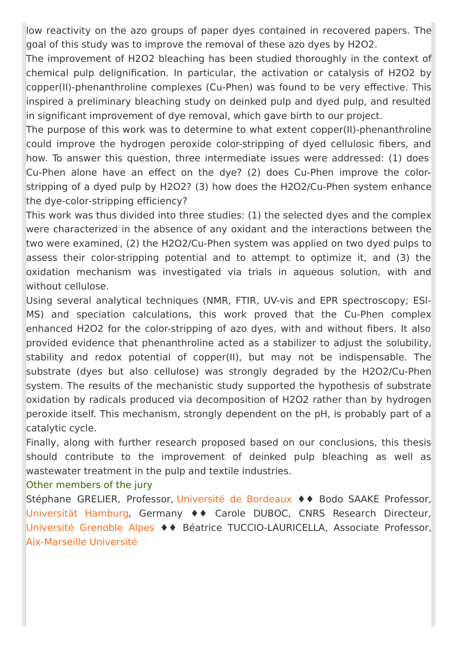low reactivity on the azo groups of paper dyes contained in recovered papers. The goal of this study was to improve the removal of these azo dyes by H2O2.

The improvement of H2O2 bleaching has been studied thoroughly in the context of chemical pulp delignification. In particular, the activation or catalysis of H2O2 by copper(II)-phenanthroline complexes (Cu-Phen) was found to be very effective. This inspired a preliminary bleaching study on deinked pulp and dyed pulp, and resulted in significant improvement of dye removal, which gave birth to our project.

The purpose of this work was to determine to what extent copper(II)-phenanthroline could improve the hydrogen peroxide color-stripping of dyed cellulosic fibers, and how. To answer this question, three intermediate issues were addressed: (1) does Cu-Phen alone have an effect on the dye? (2) does Cu-Phen improve the colorstripping of a dyed pulp by H2O2? (3) how does the H2O2/Cu-Phen system enhance the dye-color-stripping efficiency?

This work was thus divided into three studies: (1) the selected dyes and the complex were characterized in the absence of any oxidant and the interactions between the two were examined, (2) the H2O2/Cu-Phen system was applied on two dyed pulps to assess their color-stripping potential and to attempt to optimize it, and (3) the oxidation mechanism was investigated via trials in aqueous solution, with and without cellulose.

Using several analytical techniques (NMR, FTIR, UV-vis and EPR spectroscopy; ESI-MS) and speciation calculations, this work proved that the Cu-Phen complex enhanced H2O2 for the color-stripping of azo dyes, with and without fibers. It also provided evidence that phenanthroline acted as a stabilizer to adjust the solubility, stability and redox potential of copper(II), but may not be indispensable. The substrate (dyes but also cellulose) was strongly degraded by the H2O2/Cu-Phen system. The results of the mechanistic study supported the hypothesis of substrate oxidation by radicals produced via decomposition of H2O2 rather than by hydrogen peroxide itself. This mechanism, strongly dependent on the pH, is probably part of a catalytic cycle.

Finally, along with further research proposed based on our conclusions, this thesis should contribute to the improvement of deinked pulp bleaching as well as wastewater treatment in the pulp and textile industries.

#### Other members of the jury

Stéphane GRELIER, Professor, [Université](https://www.u-bordeaux.fr/) de Bordeaux ♦♦ Bodo SAAKE Professor, [Universität](https://www.uni-hamburg.de/) Hamburg, Germany ♦♦ Carole DUBOC, CNRS Research Directeur, [Université](http://www.univ-grenoble-alpes.fr/) Grenoble Alpes ♦♦ Béatrice TUCCIO-LAURICELLA, Associate Professor, [Aix-Marseille](http://www.univ-amu.fr/) Université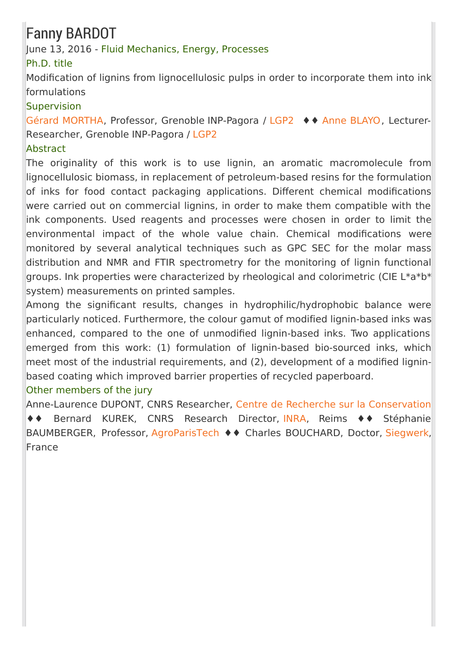### Fanny BARDOT

#### June 13, 2016 - Fluid Mechanics, Energy, Processes

#### Ph.D. title

Modification of lignins from lignocellulosic pulps in order to incorporate them into ink formulations

#### Supervision

Gérard [MORTHA](http://pagora.grenoble-inp.fr/fr/annuaire/m-mortha-gerard), Professor, Grenoble INP-Pagora / [LGP2](http://pagora.grenoble-inp.fr/en/research) ♦♦ Anne [BLAYO](http://pagora.grenoble-inp.fr/fr/annuaire/blayo-anne), Lecturer-Researcher, Grenoble INP-Pagora / [LGP2](http://pagora.grenoble-inp.fr/en/research)

#### Abstract

The originality of this work is to use lignin, an aromatic macromolecule from lignocellulosic biomass, in replacement of petroleum-based resins for the formulation of inks for food contact packaging applications. Different chemical modifications were carried out on commercial lignins, in order to make them compatible with the ink components. Used reagents and processes were chosen in order to limit the environmental impact of the whole value chain. Chemical modifications were monitored by several analytical techniques such as GPC SEC for the molar mass distribution and NMR and FTIR spectrometry for the monitoring of lignin functional groups. Ink properties were characterized by rheological and colorimetric (CIE L\*a\*b\* system) measurements on printed samples.

Among the significant results, changes in hydrophilic/hydrophobic balance were particularly noticed. Furthermore, the colour gamut of modified lignin-based inks was enhanced, compared to the one of unmodified lignin-based inks. Two applications emerged from this work: (1) formulation of lignin-based bio-sourced inks, which meet most of the industrial requirements, and (2), development of a modified ligninbased coating which improved barrier properties of recycled paperboard.

### Other members of the jury

Anne-Laurence DUPONT, CNRS Researcher, Centre de Recherche sur la [Conservation](http://crc.mnhn.fr/) ♦♦ Bernard KUREK, CNRS Research Director, [INRA](http://www.npc.inra.fr/Le-centre-Les-recherches/Les-unites-du-centre/UMR-FARE), Reims ♦♦ Stéphanie BAUMBERGER, Professor, [AgroParisTech](http://www.agroparistech.fr/) ♦♦ Charles BOUCHARD, Doctor, [Siegwerk](https://www.siegwerk.com/en/home.html), France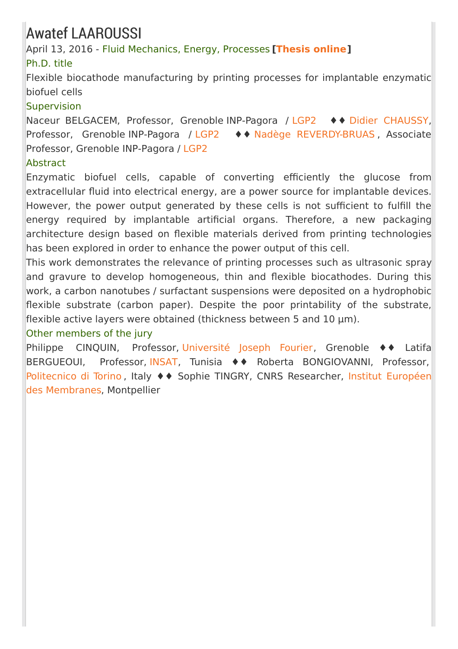### Awatef LAAROUSSI

April 13, 2016 - Fluid Mechanics, Energy, Processes **[[Thesis](https://tel.archives-ouvertes.fr/tel-01332750) online]**

#### Ph.D. title

Flexible biocathode manufacturing by printing processes for implantable enzymatic biofuel cells

#### **Supervision**

Naceur BELGACEM, Professor, Grenoble INP-Pagora / [LGP2](http://pagora.grenoble-inp.fr/en/research) ♦♦ Didier [CHAUSSY](http://pagora.grenoble-inp.fr/fr/annuaire/m-chaussy-didier), Professor, Grenoble INP-Pagora / [LGP2](http://pagora.grenoble-inp.fr/en/research) ♦♦ Nadège [REVERDY-BRUAS](http://pagora.grenoble-inp.fr/fr/annuaire/mme-reverdy-bruas-nadege) , Associate Professor, Grenoble INP-Pagora / [LGP2](http://pagora.grenoble-inp.fr/en/research)

#### **Abstract**

Enzymatic biofuel cells, capable of converting efficiently the glucose from extracellular fluid into electrical energy, are a power source for implantable devices. However, the power output generated by these cells is not sufficient to fulfill the energy required by implantable artificial organs. Therefore, a new packaging architecture design based on flexible materials derived from printing technologies has been explored in order to enhance the power output of this cell.

This work demonstrates the relevance of printing processes such as ultrasonic spray and gravure to develop homogeneous, thin and flexible biocathodes. During this work, a carbon nanotubes / surfactant suspensions were deposited on a hydrophobic flexible substrate (carbon paper). Despite the poor printability of the substrate, flexible active layers were obtained (thickness between 5 and 10 µm).

#### Other members of the jury

Philippe CINQUIN, Professor, [Université](https://www.ujf-grenoble.fr/) Joseph Fourier, Grenoble ♦♦ Latifa BERGUEOUI, Professor, [INSAT](http://www.insat.rnu.tn/Fr/accueil_46_34), Tunisia ♦♦ Roberta BONGIOVANNI, Professor, [Politecnico](http://www.polito.it/) di Torino, Italy ♦♦ Sophie TINGRY, CNRS Researcher, Institut Européen des [Membranes,](http://www.iemm.univ-montp2.fr/) Montpellier